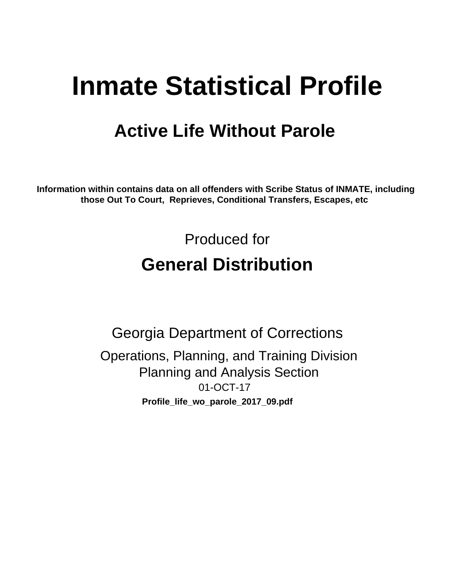# **Inmate Statistical Profile**

## **Active Life Without Parole**

Information within contains data on all offenders with Scribe Status of INMATE, including those Out To Court, Reprieves, Conditional Transfers, Escapes, etc

> Produced for **General Distribution**

**Georgia Department of Corrections** Operations, Planning, and Training Division **Planning and Analysis Section** 01-OCT-17 Profile\_life\_wo\_parole\_2017\_09.pdf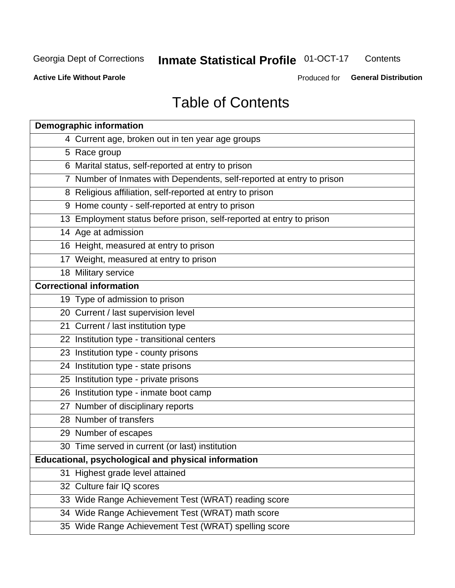#### **Inmate Statistical Profile 01-OCT-17** Contents

**Active Life Without Parole** 

Produced for General Distribution

## **Table of Contents**

|    | <b>Demographic information</b>                                        |
|----|-----------------------------------------------------------------------|
|    | 4 Current age, broken out in ten year age groups                      |
|    | 5 Race group                                                          |
|    | 6 Marital status, self-reported at entry to prison                    |
|    | 7 Number of Inmates with Dependents, self-reported at entry to prison |
|    | 8 Religious affiliation, self-reported at entry to prison             |
|    | 9 Home county - self-reported at entry to prison                      |
|    | 13 Employment status before prison, self-reported at entry to prison  |
|    | 14 Age at admission                                                   |
|    | 16 Height, measured at entry to prison                                |
|    | 17 Weight, measured at entry to prison                                |
|    | 18 Military service                                                   |
|    | <b>Correctional information</b>                                       |
|    | 19 Type of admission to prison                                        |
|    | 20 Current / last supervision level                                   |
|    | 21 Current / last institution type                                    |
|    | 22 Institution type - transitional centers                            |
|    | 23 Institution type - county prisons                                  |
|    | 24 Institution type - state prisons                                   |
|    | 25 Institution type - private prisons                                 |
|    | 26 Institution type - inmate boot camp                                |
|    | 27 Number of disciplinary reports                                     |
|    | 28 Number of transfers                                                |
|    | 29 Number of escapes                                                  |
|    | 30 Time served in current (or last) institution                       |
|    | Educational, psychological and physical information                   |
| 31 | Highest grade level attained                                          |
|    | 32 Culture fair IQ scores                                             |
|    | 33 Wide Range Achievement Test (WRAT) reading score                   |
|    | 34 Wide Range Achievement Test (WRAT) math score                      |
|    | 35 Wide Range Achievement Test (WRAT) spelling score                  |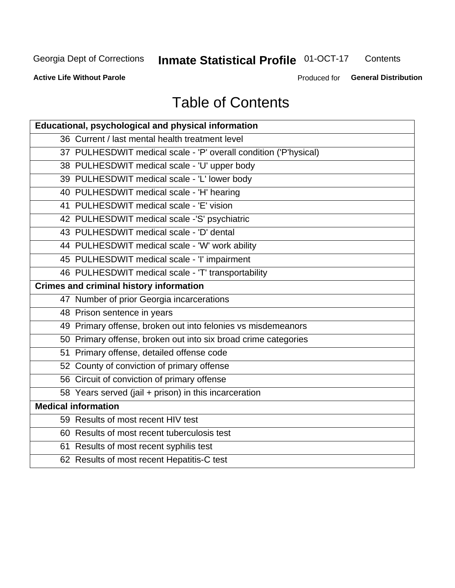## **Inmate Statistical Profile 01-OCT-17**

Contents

**Active Life Without Parole** 

Produced for General Distribution

## **Table of Contents**

| Educational, psychological and physical information              |
|------------------------------------------------------------------|
| 36 Current / last mental health treatment level                  |
| 37 PULHESDWIT medical scale - 'P' overall condition ('P'hysical) |
| 38 PULHESDWIT medical scale - 'U' upper body                     |
| 39 PULHESDWIT medical scale - 'L' lower body                     |
| 40 PULHESDWIT medical scale - 'H' hearing                        |
| 41 PULHESDWIT medical scale - 'E' vision                         |
| 42 PULHESDWIT medical scale -'S' psychiatric                     |
| 43 PULHESDWIT medical scale - 'D' dental                         |
| 44 PULHESDWIT medical scale - 'W' work ability                   |
| 45 PULHESDWIT medical scale - 'I' impairment                     |
| 46 PULHESDWIT medical scale - 'T' transportability               |
| <b>Crimes and criminal history information</b>                   |
| 47 Number of prior Georgia incarcerations                        |
| 48 Prison sentence in years                                      |
| 49 Primary offense, broken out into felonies vs misdemeanors     |
| 50 Primary offense, broken out into six broad crime categories   |
| 51 Primary offense, detailed offense code                        |
| 52 County of conviction of primary offense                       |
| 56 Circuit of conviction of primary offense                      |
| 58 Years served (jail + prison) in this incarceration            |
| <b>Medical information</b>                                       |
| 59 Results of most recent HIV test                               |
| 60 Results of most recent tuberculosis test                      |
| 61 Results of most recent syphilis test                          |
| 62 Results of most recent Hepatitis-C test                       |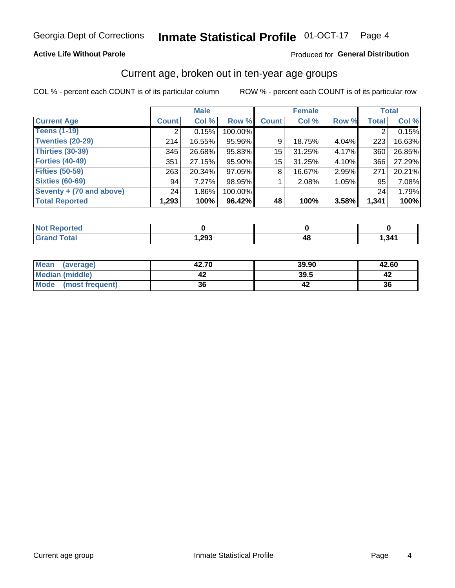#### **Active Life Without Parole**

#### Produced for General Distribution

### Current age, broken out in ten-year age groups

COL % - percent each COUNT is of its particular column

|                          | <b>Male</b>  |          |         |              | <b>Female</b> |          |              | <b>Total</b> |
|--------------------------|--------------|----------|---------|--------------|---------------|----------|--------------|--------------|
| <b>Current Age</b>       | <b>Count</b> | Col %    | Row %   | <b>Count</b> | Col %         | Row %    | <b>Total</b> | Col %        |
| <b>Teens (1-19)</b>      | ⌒            | 0.15%    | 100.00% |              |               |          | 2            | 0.15%        |
| <b>Twenties (20-29)</b>  | 214          | 16.55%   | 95.96%  | 9            | 18.75%        | $4.04\%$ | 223          | 16.63%       |
| Thirties (30-39)         | 345          | 26.68%   | 95.83%  | 15           | 31.25%        | 4.17%    | 360          | 26.85%       |
| <b>Forties (40-49)</b>   | 351          | 27.15%   | 95.90%  | 15           | 31.25%        | 4.10%    | 366          | 27.29%       |
| <b>Fifties (50-59)</b>   | 263          | 20.34%   | 97.05%  | 8            | 16.67%        | 2.95%    | 271          | 20.21%       |
| <b>Sixties (60-69)</b>   | 94           | 7.27%    | 98.95%  |              | 2.08%         | 1.05%    | 95           | 7.08%        |
| Seventy + (70 and above) | 24           | $1.86\%$ | 100.00% |              |               |          | 24           | 1.79%        |
| <b>Total Reported</b>    | 1,293        | 100%     | 96.42%  | 48           | 100%          | 3.58%    | 1,341        | 100%         |

| $m = 1$               |      |      |
|-----------------------|------|------|
| $f \wedge f \wedge f$ | ,293 | ,341 |

| <b>Mean</b><br>(average) | 42.70 | 39.90 | 42.60 |
|--------------------------|-------|-------|-------|
| Median (middle)          |       | 39.5  |       |
| Mode<br>(most frequent)  | 36    |       | 36    |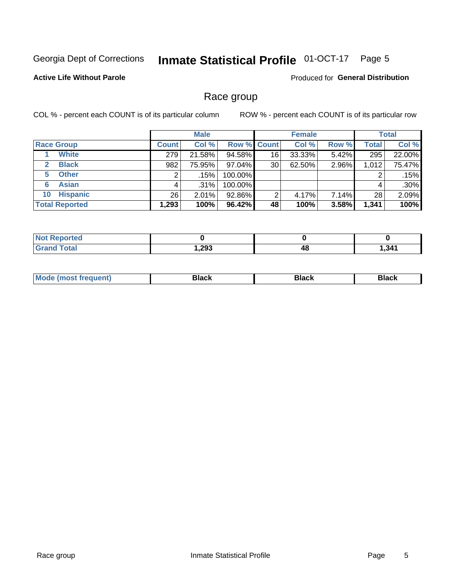#### **Inmate Statistical Profile 01-OCT-17** Page 5

#### **Active Life Without Parole**

Produced for General Distribution

### Race group

COL % - percent each COUNT is of its particular column

|                              | <b>Male</b>  |         |         | <b>Female</b>      |           |          | <b>Total</b> |        |
|------------------------------|--------------|---------|---------|--------------------|-----------|----------|--------------|--------|
| <b>Race Group</b>            | <b>Count</b> | Col %   |         | <b>Row % Count</b> | Col %     | Row %    | Total        | Col %  |
| <b>White</b>                 | 279          | 21.58%  | 94.58%  | 16                 | $33.33\%$ | 5.42%    | 295          | 22.00% |
| <b>Black</b><br>$\mathbf{2}$ | 982          | 75.95%  | 97.04%  | 30                 | 62.50%    | 2.96%    | 1,012        | 75.47% |
| <b>Other</b><br>5.           |              | .15%    | 100.00% |                    |           |          | 2            | .15%   |
| <b>Asian</b><br>6            | 4            | $.31\%$ | 100.00% |                    |           |          | 4            | .30%   |
| <b>Hispanic</b><br>10        | 26           | 2.01%   | 92.86%  | 2                  | 4.17%     | $7.14\%$ | 28           | 2.09%  |
| <b>Total Reported</b>        | 1,293        | 100%    | 96.42%  | 48                 | 100%      | 3.58%    | 1,341        | 100%   |

| rted         |      |    |     |
|--------------|------|----|-----|
| <b>Total</b> | ,293 | 4٤ | 341 |

| –•••• |  | M |  |  |  |
|-------|--|---|--|--|--|
|-------|--|---|--|--|--|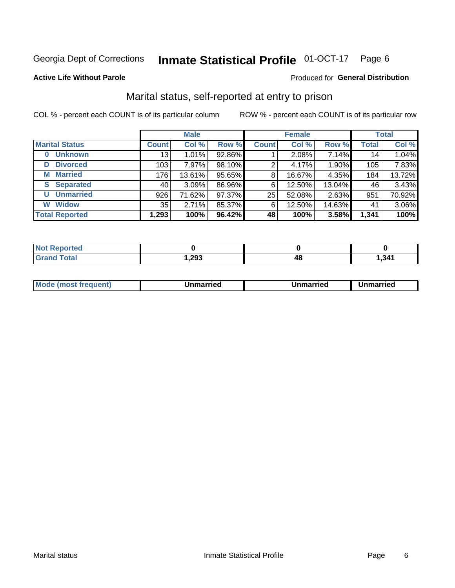#### **Inmate Statistical Profile 01-OCT-17** Page 6

#### **Active Life Without Parole**

#### **Produced for General Distribution**

### Marital status, self-reported at entry to prison

COL % - percent each COUNT is of its particular column

|                            | <b>Male</b>     |        |        |              | <b>Female</b> | <b>Total</b> |                  |        |
|----------------------------|-----------------|--------|--------|--------------|---------------|--------------|------------------|--------|
| <b>Marital Status</b>      | <b>Count</b>    | Col %  | Row %  | <b>Count</b> | Col %         | Row %        | <b>Total</b>     | Col %  |
| <b>Unknown</b><br>$\bf{0}$ | 13 <sub>1</sub> | 1.01%  | 92.86% |              | $2.08\%$      | 7.14%        | 14               | 1.04%  |
| <b>Divorced</b><br>D       | 103             | 7.97%  | 98.10% | 2            | 4.17%         | 1.90%        | 105 <sub>1</sub> | 7.83%  |
| <b>Married</b><br>М        | 176             | 13.61% | 95.65% | 8            | 16.67%        | 4.35%        | 184              | 13.72% |
| <b>S</b> Separated         | 40              | 3.09%  | 86.96% | 6            | 12.50%        | 13.04%       | 46               | 3.43%  |
| <b>Unmarried</b><br>U      | 926             | 71.62% | 97.37% | 25           | 52.08%        | 2.63%        | 951              | 70.92% |
| <b>Widow</b><br>W          | 35              | 2.71%  | 85.37% | 6            | 12.50%        | 14.63%       | 41               | 3.06%  |
| <b>Total Reported</b>      | 1,293           | 100%   | 96.42% | 48           | 100%          | 3.58%        | 1,341            | 100%   |

| prted<br>NOT RADO |       |      |
|-------------------|-------|------|
| <b>Total</b>      | 1,293 | .341 |

|  | M | . | Unmarried | າmarried<br>_____ |
|--|---|---|-----------|-------------------|
|--|---|---|-----------|-------------------|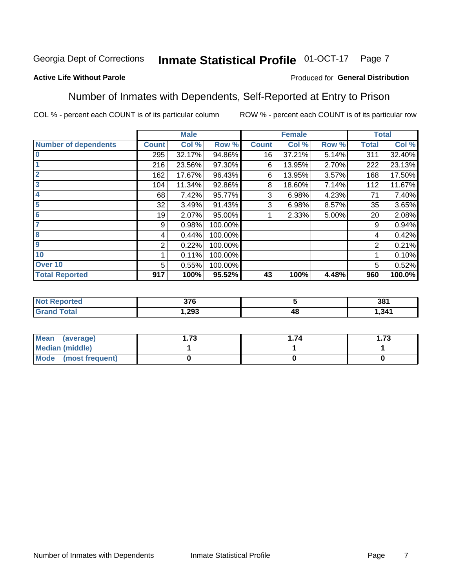#### Inmate Statistical Profile 01-OCT-17 Page 7

#### **Active Life Without Parole**

#### Produced for General Distribution

### Number of Inmates with Dependents, Self-Reported at Entry to Prison

COL % - percent each COUNT is of its particular column

|                             |              | <b>Male</b> |         |              | <b>Female</b> |       |              | <b>Total</b> |
|-----------------------------|--------------|-------------|---------|--------------|---------------|-------|--------------|--------------|
| <b>Number of dependents</b> | <b>Count</b> | Col %       | Row %   | <b>Count</b> | Col %         | Row % | <b>Total</b> | Col %        |
| $\bf{0}$                    | 295          | 32.17%      | 94.86%  | 16           | 37.21%        | 5.14% | 311          | 32.40%       |
|                             | 216          | 23.56%      | 97.30%  | 6            | 13.95%        | 2.70% | 222          | 23.13%       |
| $\overline{2}$              | 162          | 17.67%      | 96.43%  | 6            | 13.95%        | 3.57% | 168          | 17.50%       |
| 3                           | 104          | 11.34%      | 92.86%  | 8            | 18.60%        | 7.14% | 112          | 11.67%       |
| 4                           | 68           | 7.42%       | 95.77%  | 3            | 6.98%         | 4.23% | 71           | 7.40%        |
| 5                           | 32           | 3.49%       | 91.43%  | 3            | 6.98%         | 8.57% | 35           | 3.65%        |
| $6\phantom{1}6$             | 19           | 2.07%       | 95.00%  |              | 2.33%         | 5.00% | 20           | 2.08%        |
| 7                           | 9            | 0.98%       | 100.00% |              |               |       | 9            | 0.94%        |
| $\overline{\mathbf{8}}$     | 4            | 0.44%       | 100.00% |              |               |       | 4            | 0.42%        |
| $\boldsymbol{9}$            | 2            | 0.22%       | 100.00% |              |               |       | 2            | 0.21%        |
| 10                          |              | 0.11%       | 100.00% |              |               |       |              | 0.10%        |
| Over 10                     | 5            | 0.55%       | 100.00% |              |               |       | 5            | 0.52%        |
| <b>Total Reported</b>       | 917          | 100%        | 95.52%  | 43           | 100%          | 4.48% | 960          | 100.0%       |

| τeα  | $\sim$ |    | 381   |
|------|--------|----|-------|
| otal | .293   | 46 | 1,341 |

| Mean (average)          | 70 | . 74 | 72<br>I . / J |
|-------------------------|----|------|---------------|
| <b>Median (middle)</b>  |    |      |               |
| Mode<br>(most frequent) |    |      |               |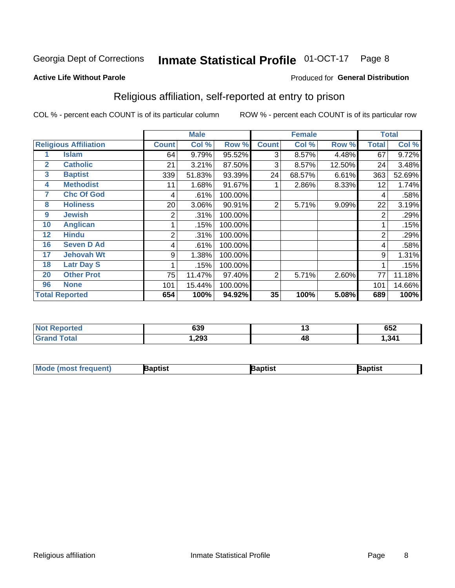#### **Inmate Statistical Profile 01-OCT-17** Page 8

#### **Active Life Without Parole**

#### Produced for General Distribution

### Religious affiliation, self-reported at entry to prison

COL % - percent each COUNT is of its particular column

|              |                              |                | <b>Male</b> |         |              | <b>Female</b> |        |                | <b>Total</b> |
|--------------|------------------------------|----------------|-------------|---------|--------------|---------------|--------|----------------|--------------|
|              | <b>Religious Affiliation</b> | <b>Count</b>   | Col %       | Row %   | <b>Count</b> | Col %         | Row %  | <b>Total</b>   | Col %        |
|              | <b>Islam</b>                 | 64             | 9.79%       | 95.52%  | 3            | 8.57%         | 4.48%  | 67             | 9.72%        |
| $\mathbf{2}$ | <b>Catholic</b>              | 21             | 3.21%       | 87.50%  | 3            | 8.57%         | 12.50% | 24             | 3.48%        |
| 3            | <b>Baptist</b>               | 339            | 51.83%      | 93.39%  | 24           | 68.57%        | 6.61%  | 363            | 52.69%       |
| 4            | <b>Methodist</b>             | 11             | 1.68%       | 91.67%  |              | 2.86%         | 8.33%  | 12             | 1.74%        |
| 7            | <b>Chc Of God</b>            | 4              | .61%        | 100.00% |              |               |        | 4              | .58%         |
| 8            | <b>Holiness</b>              | 20             | 3.06%       | 90.91%  | 2            | 5.71%         | 9.09%  | 22             | 3.19%        |
| 9            | <b>Jewish</b>                | 2              | .31%        | 100.00% |              |               |        | $\overline{2}$ | .29%         |
| 10           | <b>Anglican</b>              |                | .15%        | 100.00% |              |               |        |                | .15%         |
| 12           | <b>Hindu</b>                 | $\overline{2}$ | .31%        | 100.00% |              |               |        | $\overline{2}$ | .29%         |
| 16           | <b>Seven D Ad</b>            | 4              | .61%        | 100.00% |              |               |        | 4              | .58%         |
| 17           | <b>Jehovah Wt</b>            | 9              | 1.38%       | 100.00% |              |               |        | 9              | 1.31%        |
| 18           | <b>Latr Day S</b>            |                | .15%        | 100.00% |              |               |        |                | .15%         |
| 20           | <b>Other Prot</b>            | 75             | 11.47%      | 97.40%  | 2            | 5.71%         | 2.60%  | 77             | 11.18%       |
| 96           | <b>None</b>                  | 101            | 15.44%      | 100.00% |              |               |        | 101            | 14.66%       |
|              | <b>Total Reported</b>        | 654            | 100%        | 94.92%  | 35           | 100%          | 5.08%  | 689            | 100%         |

| rteo<br>$\sim$ | 639   | . . | <b>CEO</b><br>⊿כס |
|----------------|-------|-----|-------------------|
|                | 1,293 | 4C  | , 341             |

| <b>Mode (most frequent)</b> | 3aptist | 3aptist | Baptist |
|-----------------------------|---------|---------|---------|
|-----------------------------|---------|---------|---------|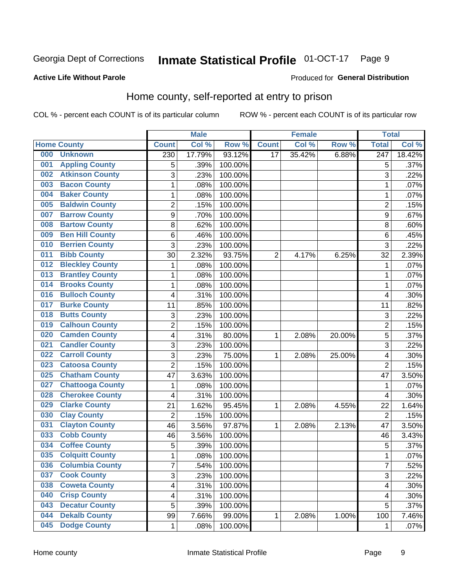#### **Inmate Statistical Profile 01-OCT-17** Page 9

#### **Active Life Without Parole**

#### **Produced for General Distribution**

### Home county, self-reported at entry to prison

COL % - percent each COUNT is of its particular column

|     |                         |                           | <b>Male</b> |         |                 | <b>Female</b> |        | <b>Total</b>            |        |
|-----|-------------------------|---------------------------|-------------|---------|-----------------|---------------|--------|-------------------------|--------|
|     | <b>Home County</b>      | <b>Count</b>              | Col %       | Row %   | <b>Count</b>    | Col %         | Row %  | <b>Total</b>            | Col %  |
| 000 | <b>Unknown</b>          | 230                       | 17.79%      | 93.12%  | $\overline{17}$ | 35.42%        | 6.88%  | $\overline{247}$        | 18.42% |
| 001 | <b>Appling County</b>   | 5                         | .39%        | 100.00% |                 |               |        | 5                       | .37%   |
| 002 | <b>Atkinson County</b>  | 3                         | .23%        | 100.00% |                 |               |        | 3                       | .22%   |
| 003 | <b>Bacon County</b>     | $\mathbf 1$               | .08%        | 100.00% |                 |               |        | 1                       | .07%   |
| 004 | <b>Baker County</b>     | $\mathbf 1$               | .08%        | 100.00% |                 |               |        | 1                       | .07%   |
| 005 | <b>Baldwin County</b>   | $\overline{c}$            | .15%        | 100.00% |                 |               |        | $\overline{2}$          | .15%   |
| 007 | <b>Barrow County</b>    | $\boldsymbol{9}$          | .70%        | 100.00% |                 |               |        | 9                       | .67%   |
| 008 | <b>Bartow County</b>    | 8                         | .62%        | 100.00% |                 |               |        | 8                       | .60%   |
| 009 | <b>Ben Hill County</b>  | 6                         | .46%        | 100.00% |                 |               |        | 6                       | .45%   |
| 010 | <b>Berrien County</b>   | 3                         | .23%        | 100.00% |                 |               |        | 3                       | .22%   |
| 011 | <b>Bibb County</b>      | 30                        | 2.32%       | 93.75%  | $\overline{2}$  | 4.17%         | 6.25%  | 32                      | 2.39%  |
| 012 | <b>Bleckley County</b>  | $\mathbf 1$               | .08%        | 100.00% |                 |               |        | 1                       | .07%   |
| 013 | <b>Brantley County</b>  | $\mathbf 1$               | .08%        | 100.00% |                 |               |        | 1                       | .07%   |
| 014 | <b>Brooks County</b>    | $\mathbf 1$               | .08%        | 100.00% |                 |               |        | 1                       | .07%   |
| 016 | <b>Bulloch County</b>   | 4                         | .31%        | 100.00% |                 |               |        | $\overline{4}$          | .30%   |
| 017 | <b>Burke County</b>     | 11                        | .85%        | 100.00% |                 |               |        | 11                      | .82%   |
| 018 | <b>Butts County</b>     | $\ensuremath{\mathsf{3}}$ | .23%        | 100.00% |                 |               |        | 3                       | .22%   |
| 019 | <b>Calhoun County</b>   | $\overline{c}$            | .15%        | 100.00% |                 |               |        | $\overline{2}$          | .15%   |
| 020 | <b>Camden County</b>    | 4                         | .31%        | 80.00%  | 1               | 2.08%         | 20.00% | 5                       | .37%   |
| 021 | <b>Candler County</b>   | 3                         | .23%        | 100.00% |                 |               |        | 3                       | .22%   |
| 022 | <b>Carroll County</b>   | 3                         | .23%        | 75.00%  | 1               | 2.08%         | 25.00% | $\overline{\mathbf{4}}$ | .30%   |
| 023 | <b>Catoosa County</b>   | $\overline{2}$            | .15%        | 100.00% |                 |               |        | $\overline{2}$          | .15%   |
| 025 | <b>Chatham County</b>   | 47                        | 3.63%       | 100.00% |                 |               |        | 47                      | 3.50%  |
| 027 | <b>Chattooga County</b> | $\mathbf 1$               | .08%        | 100.00% |                 |               |        | 1                       | .07%   |
| 028 | <b>Cherokee County</b>  | 4                         | .31%        | 100.00% |                 |               |        | $\overline{\mathbf{4}}$ | .30%   |
| 029 | <b>Clarke County</b>    | 21                        | 1.62%       | 95.45%  | 1               | 2.08%         | 4.55%  | 22                      | 1.64%  |
| 030 | <b>Clay County</b>      | $\mathbf 2$               | .15%        | 100.00% |                 |               |        | $\overline{2}$          | .15%   |
| 031 | <b>Clayton County</b>   | 46                        | 3.56%       | 97.87%  | 1               | 2.08%         | 2.13%  | 47                      | 3.50%  |
| 033 | <b>Cobb County</b>      | 46                        | 3.56%       | 100.00% |                 |               |        | 46                      | 3.43%  |
| 034 | <b>Coffee County</b>    | 5                         | .39%        | 100.00% |                 |               |        | 5                       | .37%   |
| 035 | <b>Colquitt County</b>  | 1                         | .08%        | 100.00% |                 |               |        | 1                       | .07%   |
| 036 | <b>Columbia County</b>  | 7                         | .54%        | 100.00% |                 |               |        | $\overline{7}$          | .52%   |
| 037 | <b>Cook County</b>      | 3                         | .23%        | 100.00% |                 |               |        | 3                       | .22%   |
| 038 | <b>Coweta County</b>    | $\overline{\mathbf{4}}$   | .31%        | 100.00% |                 |               |        | 4                       | .30%   |
| 040 | <b>Crisp County</b>     | 4                         | .31%        | 100.00% |                 |               |        | 4                       | .30%   |
| 043 | <b>Decatur County</b>   | 5                         | .39%        | 100.00% |                 |               |        | 5                       | .37%   |
| 044 | <b>Dekalb County</b>    | 99                        | 7.66%       | 99.00%  | 1               | 2.08%         | 1.00%  | 100                     | 7.46%  |
| 045 | <b>Dodge County</b>     | $\mathbf{1}$              | .08%        | 100.00% |                 |               |        | 1                       | .07%   |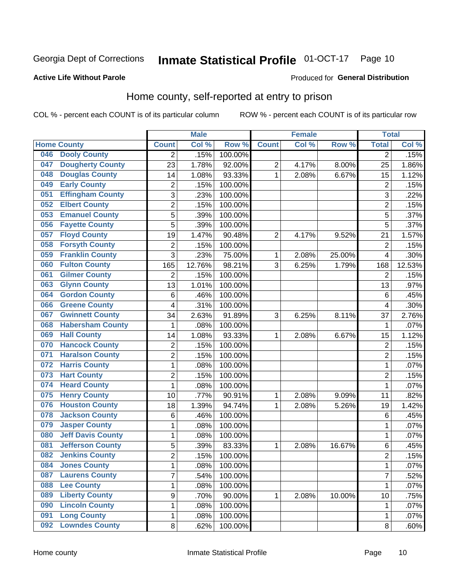#### **Inmate Statistical Profile 01-OCT-17** Page 10

#### **Active Life Without Parole**

#### Produced for General Distribution

### Home county, self-reported at entry to prison

COL % - percent each COUNT is of its particular column

|     |                          |                | <b>Male</b> |                  |                | <b>Female</b> |        | <b>Total</b>   |        |
|-----|--------------------------|----------------|-------------|------------------|----------------|---------------|--------|----------------|--------|
|     | <b>Home County</b>       | <b>Count</b>   | Col %       | Row <sup>%</sup> | <b>Count</b>   | Col %         | Row %  | <b>Total</b>   | Col %  |
| 046 | <b>Dooly County</b>      | $\overline{2}$ | .15%        | 100.00%          |                |               |        | $\overline{2}$ | .15%   |
| 047 | <b>Dougherty County</b>  | 23             | 1.78%       | 92.00%           | $\overline{c}$ | 4.17%         | 8.00%  | 25             | 1.86%  |
| 048 | <b>Douglas County</b>    | 14             | 1.08%       | 93.33%           | 1              | 2.08%         | 6.67%  | 15             | 1.12%  |
| 049 | <b>Early County</b>      | 2              | .15%        | 100.00%          |                |               |        | $\overline{2}$ | .15%   |
| 051 | <b>Effingham County</b>  | 3              | .23%        | 100.00%          |                |               |        | 3              | .22%   |
| 052 | <b>Elbert County</b>     | $\overline{2}$ | .15%        | 100.00%          |                |               |        | $\overline{2}$ | .15%   |
| 053 | <b>Emanuel County</b>    | 5              | .39%        | 100.00%          |                |               |        | 5              | .37%   |
| 056 | <b>Fayette County</b>    | 5              | .39%        | 100.00%          |                |               |        | 5              | .37%   |
| 057 | <b>Floyd County</b>      | 19             | 1.47%       | 90.48%           | $\overline{2}$ | 4.17%         | 9.52%  | 21             | 1.57%  |
| 058 | <b>Forsyth County</b>    | 2              | .15%        | 100.00%          |                |               |        | $\overline{2}$ | .15%   |
| 059 | <b>Franklin County</b>   | $\overline{3}$ | .23%        | 75.00%           | 1              | 2.08%         | 25.00% | 4              | .30%   |
| 060 | <b>Fulton County</b>     | 165            | 12.76%      | 98.21%           | 3              | 6.25%         | 1.79%  | 168            | 12.53% |
| 061 | <b>Gilmer County</b>     | $\overline{2}$ | .15%        | 100.00%          |                |               |        | $\overline{2}$ | .15%   |
| 063 | <b>Glynn County</b>      | 13             | 1.01%       | 100.00%          |                |               |        | 13             | .97%   |
| 064 | <b>Gordon County</b>     | 6              | .46%        | 100.00%          |                |               |        | 6              | .45%   |
| 066 | <b>Greene County</b>     | 4              | .31%        | 100.00%          |                |               |        | 4              | .30%   |
| 067 | <b>Gwinnett County</b>   | 34             | 2.63%       | 91.89%           | 3              | 6.25%         | 8.11%  | 37             | 2.76%  |
| 068 | <b>Habersham County</b>  | 1              | .08%        | 100.00%          |                |               |        | 1              | .07%   |
| 069 | <b>Hall County</b>       | 14             | 1.08%       | 93.33%           | 1              | 2.08%         | 6.67%  | 15             | 1.12%  |
| 070 | <b>Hancock County</b>    | $\overline{2}$ | .15%        | 100.00%          |                |               |        | $\overline{2}$ | .15%   |
| 071 | <b>Haralson County</b>   | $\overline{2}$ | .15%        | 100.00%          |                |               |        | $\overline{2}$ | .15%   |
| 072 | <b>Harris County</b>     | $\mathbf{1}$   | .08%        | 100.00%          |                |               |        | 1              | .07%   |
| 073 | <b>Hart County</b>       | $\overline{c}$ | .15%        | 100.00%          |                |               |        | $\overline{2}$ | .15%   |
| 074 | <b>Heard County</b>      | 1              | .08%        | 100.00%          |                |               |        | 1              | .07%   |
| 075 | <b>Henry County</b>      | 10             | .77%        | 90.91%           | 1              | 2.08%         | 9.09%  | 11             | .82%   |
| 076 | <b>Houston County</b>    | 18             | 1.39%       | 94.74%           | 1              | 2.08%         | 5.26%  | 19             | 1.42%  |
| 078 | <b>Jackson County</b>    | 6              | .46%        | 100.00%          |                |               |        | $\,6$          | .45%   |
| 079 | <b>Jasper County</b>     | $\mathbf 1$    | .08%        | 100.00%          |                |               |        | 1              | .07%   |
| 080 | <b>Jeff Davis County</b> | $\mathbf 1$    | .08%        | 100.00%          |                |               |        | 1              | .07%   |
| 081 | <b>Jefferson County</b>  | 5              | .39%        | 83.33%           | 1              | 2.08%         | 16.67% | $\,6\,$        | .45%   |
| 082 | <b>Jenkins County</b>    | $\overline{2}$ | .15%        | 100.00%          |                |               |        | $\overline{2}$ | .15%   |
| 084 | <b>Jones County</b>      | 1              | .08%        | 100.00%          |                |               |        | 1              | .07%   |
| 087 | <b>Laurens County</b>    | $\overline{7}$ | .54%        | 100.00%          |                |               |        | 7              | .52%   |
| 088 | <b>Lee County</b>        | $\mathbf{1}$   | .08%        | 100.00%          |                |               |        | 1              | .07%   |
| 089 | <b>Liberty County</b>    | 9              | .70%        | 90.00%           | 1              | 2.08%         | 10.00% | 10             | .75%   |
| 090 | <b>Lincoln County</b>    | 1              | .08%        | 100.00%          |                |               |        | 1              | .07%   |
| 091 | <b>Long County</b>       | $\mathbf{1}$   | .08%        | 100.00%          |                |               |        | 1              | .07%   |
| 092 | <b>Lowndes County</b>    | 8              | .62%        | 100.00%          |                |               |        | 8              | .60%   |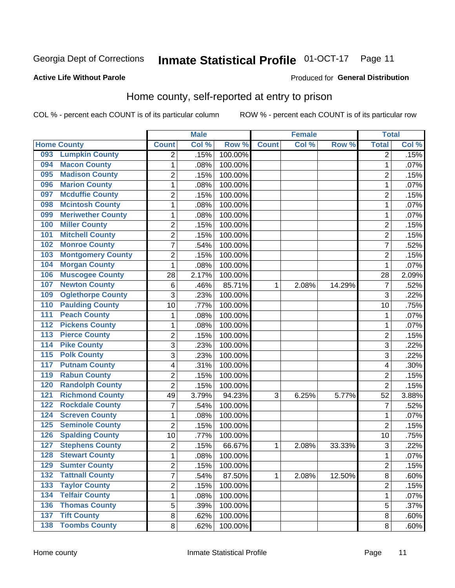#### **Inmate Statistical Profile 01-OCT-17** Page 11

#### **Active Life Without Parole**

#### Produced for General Distribution

### Home county, self-reported at entry to prison

COL % - percent each COUNT is of its particular column

|                  |                          |                         | <b>Male</b> |         |              | <b>Female</b> |        | <b>Total</b>   |       |
|------------------|--------------------------|-------------------------|-------------|---------|--------------|---------------|--------|----------------|-------|
|                  | <b>Home County</b>       | <b>Count</b>            | Col %       | Row %   | <b>Count</b> | Col %         | Row %  | <b>Total</b>   | Col % |
| 093              | <b>Lumpkin County</b>    | $\overline{2}$          | .15%        | 100.00% |              |               |        | 2              | .15%  |
| 094              | <b>Macon County</b>      | 1                       | .08%        | 100.00% |              |               |        | 1              | .07%  |
| 095              | <b>Madison County</b>    | 2                       | .15%        | 100.00% |              |               |        | $\overline{2}$ | .15%  |
| 096              | <b>Marion County</b>     | $\mathbf{1}$            | .08%        | 100.00% |              |               |        | 1              | .07%  |
| 097              | <b>Mcduffie County</b>   | $\overline{c}$          | .15%        | 100.00% |              |               |        | 2              | .15%  |
| 098              | <b>Mcintosh County</b>   | $\mathbf{1}$            | .08%        | 100.00% |              |               |        | 1              | .07%  |
| 099              | <b>Meriwether County</b> | $\mathbf{1}$            | .08%        | 100.00% |              |               |        | 1              | .07%  |
| 100              | <b>Miller County</b>     | $\overline{2}$          | .15%        | 100.00% |              |               |        | $\overline{2}$ | .15%  |
| 101              | <b>Mitchell County</b>   | $\boldsymbol{2}$        | .15%        | 100.00% |              |               |        | 2              | .15%  |
| 102              | <b>Monroe County</b>     | $\overline{7}$          | .54%        | 100.00% |              |               |        | 7              | .52%  |
| 103              | <b>Montgomery County</b> | $\overline{c}$          | .15%        | 100.00% |              |               |        | $\overline{c}$ | .15%  |
| 104              | <b>Morgan County</b>     | 1                       | .08%        | 100.00% |              |               |        | 1              | .07%  |
| 106              | <b>Muscogee County</b>   | 28                      | 2.17%       | 100.00% |              |               |        | 28             | 2.09% |
| 107              | <b>Newton County</b>     | $\,6$                   | .46%        | 85.71%  | 1            | 2.08%         | 14.29% | 7              | .52%  |
| 109              | <b>Oglethorpe County</b> | 3                       | .23%        | 100.00% |              |               |        | 3              | .22%  |
| 110              | <b>Paulding County</b>   | 10                      | .77%        | 100.00% |              |               |        | 10             | .75%  |
| 111              | <b>Peach County</b>      | 1                       | .08%        | 100.00% |              |               |        | 1              | .07%  |
| $\overline{112}$ | <b>Pickens County</b>    | $\mathbf{1}$            | .08%        | 100.00% |              |               |        | 1              | .07%  |
| 113              | <b>Pierce County</b>     | $\overline{c}$          | .15%        | 100.00% |              |               |        | $\overline{c}$ | .15%  |
| 114              | <b>Pike County</b>       | 3                       | .23%        | 100.00% |              |               |        | 3              | .22%  |
| $\overline{115}$ | <b>Polk County</b>       | 3                       | .23%        | 100.00% |              |               |        | 3              | .22%  |
| 117              | <b>Putnam County</b>     | $\overline{\mathbf{4}}$ | .31%        | 100.00% |              |               |        | 4              | .30%  |
| 119              | <b>Rabun County</b>      | $\overline{2}$          | .15%        | 100.00% |              |               |        | 2              | .15%  |
| 120              | <b>Randolph County</b>   | $\overline{2}$          | .15%        | 100.00% |              |               |        | $\overline{2}$ | .15%  |
| 121              | <b>Richmond County</b>   | 49                      | 3.79%       | 94.23%  | 3            | 6.25%         | 5.77%  | 52             | 3.88% |
| 122              | <b>Rockdale County</b>   | $\overline{7}$          | .54%        | 100.00% |              |               |        | 7              | .52%  |
| 124              | <b>Screven County</b>    | $\mathbf{1}$            | .08%        | 100.00% |              |               |        | 1              | .07%  |
| 125              | <b>Seminole County</b>   | $\overline{2}$          | .15%        | 100.00% |              |               |        | $\overline{2}$ | .15%  |
| 126              | <b>Spalding County</b>   | 10                      | .77%        | 100.00% |              |               |        | 10             | .75%  |
| 127              | <b>Stephens County</b>   | $\overline{2}$          | .15%        | 66.67%  | 1            | 2.08%         | 33.33% | 3              | .22%  |
| 128              | <b>Stewart County</b>    | $\mathbf{1}$            | .08%        | 100.00% |              |               |        | 1              | .07%  |
| 129              | <b>Sumter County</b>     | $\overline{c}$          | .15%        | 100.00% |              |               |        | $\overline{c}$ | .15%  |
| 132              | <b>Tattnall County</b>   | $\overline{7}$          | .54%        | 87.50%  | $\mathbf{1}$ | 2.08%         | 12.50% | 8              | .60%  |
| 133              | <b>Taylor County</b>     | $\boldsymbol{2}$        | .15%        | 100.00% |              |               |        | $\overline{2}$ | .15%  |
| 134              | <b>Telfair County</b>    | $\mathbf{1}$            | .08%        | 100.00% |              |               |        | 1              | .07%  |
| 136              | <b>Thomas County</b>     | 5                       | .39%        | 100.00% |              |               |        | 5              | .37%  |
| $\overline{137}$ | <b>Tift County</b>       | 8                       | .62%        | 100.00% |              |               |        | 8              | .60%  |
| 138              | <b>Toombs County</b>     | 8                       | .62%        | 100.00% |              |               |        | 8              | .60%  |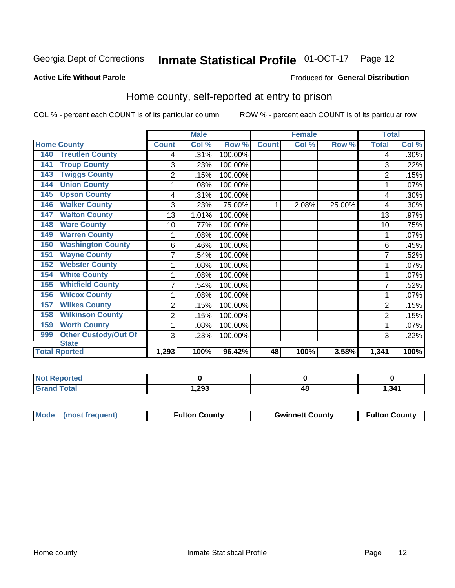#### Inmate Statistical Profile 01-OCT-17 Page 12

#### **Active Life Without Parole**

#### Produced for General Distribution

#### Home county, self-reported at entry to prison

COL % - percent each COUNT is of its particular column

|                                      |                | <b>Male</b> |         |              | <b>Female</b> |        | <b>Total</b>   |       |
|--------------------------------------|----------------|-------------|---------|--------------|---------------|--------|----------------|-------|
| <b>Home County</b>                   | <b>Count</b>   | Col %       | Row %   | <b>Count</b> | Col %         | Row %  | <b>Total</b>   | Col % |
| <b>Treutlen County</b><br>140        | 4              | .31%        | 100.00% |              |               |        | 4              | .30%  |
| <b>Troup County</b><br>141           | 3              | .23%        | 100.00% |              |               |        | 3              | .22%  |
| <b>Twiggs County</b><br>143          | $\overline{2}$ | .15%        | 100.00% |              |               |        | 2              | .15%  |
| <b>Union County</b><br>144           | 1              | .08%        | 100.00% |              |               |        |                | .07%  |
| <b>Upson County</b><br>145           | 4              | .31%        | 100.00% |              |               |        | 4              | .30%  |
| <b>Walker County</b><br>146          | 3              | .23%        | 75.00%  | 1            | 2.08%         | 25.00% | 4              | .30%  |
| <b>Walton County</b><br>147          | 13             | 1.01%       | 100.00% |              |               |        | 13             | .97%  |
| <b>Ware County</b><br>148            | 10             | .77%        | 100.00% |              |               |        | 10             | .75%  |
| <b>Warren County</b><br>149          | 1              | $.08\%$     | 100.00% |              |               |        |                | .07%  |
| <b>Washington County</b><br>150      | 6              | .46%        | 100.00% |              |               |        | 6              | .45%  |
| <b>Wayne County</b><br>151           | 7              | .54%        | 100.00% |              |               |        |                | .52%  |
| <b>Webster County</b><br>152         | 1              | .08%        | 100.00% |              |               |        |                | .07%  |
| <b>White County</b><br>154           | 1              | .08%        | 100.00% |              |               |        |                | .07%  |
| <b>Whitfield County</b><br>155       | 7              | .54%        | 100.00% |              |               |        | 7              | .52%  |
| <b>Wilcox County</b><br>156          | 1              | .08%        | 100.00% |              |               |        |                | .07%  |
| <b>Wilkes County</b><br>157          | $\overline{2}$ | .15%        | 100.00% |              |               |        | $\overline{2}$ | .15%  |
| <b>Wilkinson County</b><br>158       | 2              | .15%        | 100.00% |              |               |        | $\overline{2}$ | .15%  |
| <b>Worth County</b><br>159           | 1              | .08%        | 100.00% |              |               |        |                | .07%  |
| <b>Other Custody/Out Of</b><br>999   | 3              | .23%        | 100.00% |              |               |        | 3              | .22%  |
| <b>State</b><br><b>Total Rported</b> | 1,293          | 100%        | 96.42%  | 48           | 100%          | 3.58%  | 1,341          | 100%  |
|                                      |                |             |         |              |               |        |                |       |

| <b>Not Reported</b> |      |    |       |
|---------------------|------|----|-------|
| <b>Total</b>        | ,293 | ту | l.341 |

| Mode (most frequent) | <b>Fulton County</b> | <b>Gwinnett County</b> | <b>Fulton County</b> |
|----------------------|----------------------|------------------------|----------------------|
|                      |                      |                        |                      |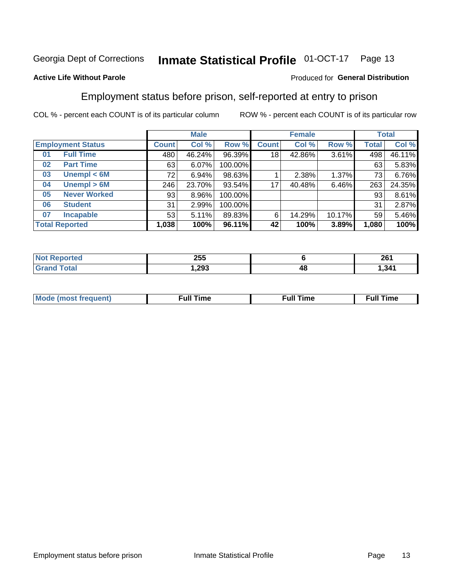#### **Inmate Statistical Profile 01-OCT-17** Page 13

#### **Active Life Without Parole**

#### Produced for General Distribution

### Employment status before prison, self-reported at entry to prison

COL % - percent each COUNT is of its particular column

|                           |              | <b>Male</b> |         |              | <b>Female</b> |        |              | <b>Total</b> |  |
|---------------------------|--------------|-------------|---------|--------------|---------------|--------|--------------|--------------|--|
| <b>Employment Status</b>  | <b>Count</b> | Col %       | Row %   | <b>Count</b> | Col %         | Row %  | <b>Total</b> | Col %        |  |
| <b>Full Time</b><br>01    | 480          | 46.24%      | 96.39%  | 18           | 42.86%        | 3.61%  | 498          | 46.11%       |  |
| <b>Part Time</b><br>02    | 63           | 6.07%       | 100.00% |              |               |        | 63           | 5.83%        |  |
| Unempl $<$ 6M<br>03       | 72           | 6.94%       | 98.63%  |              | 2.38%         | 1.37%  | 73           | 6.76%        |  |
| Unempl > 6M<br>04         | 246          | 23.70%      | 93.54%  | 17           | 40.48%        | 6.46%  | 263          | 24.35%       |  |
| <b>Never Worked</b><br>05 | 93           | 8.96%       | 100.00% |              |               |        | 93           | 8.61%        |  |
| <b>Student</b><br>06      | 31           | 2.99%       | 100.00% |              |               |        | 31           | 2.87%        |  |
| <b>Incapable</b><br>07    | 53           | 5.11%       | 89.83%  | 6            | 14.29%        | 10.17% | 59           | 5.46%        |  |
| <b>Total Reported</b>     | 1,038        | 100%        | 96.11%  | 42           | 100%          | 3.89%  | 1,080        | 100%         |  |

| 255   |    | 261   |
|-------|----|-------|
| .293. | 4٤ | 341.ا |

| Mc | ∴ull | ----<br>ıme<br>w |
|----|------|------------------|
|    |      |                  |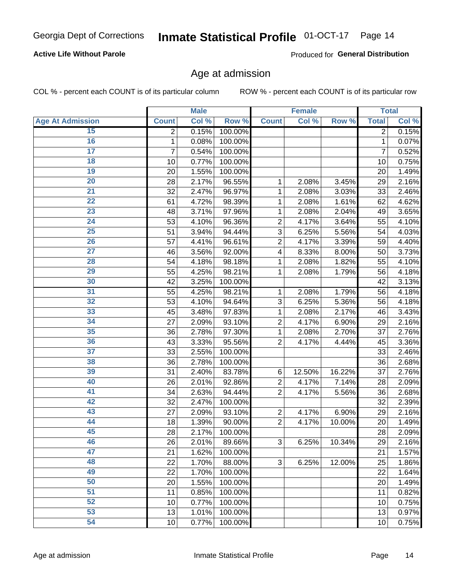#### **Active Life Without Parole**

Produced for General Distribution

### Age at admission

COL % - percent each COUNT is of its particular column

|                         | <b>Male</b>    |       | <b>Female</b> |                |        | <b>Total</b> |              |       |
|-------------------------|----------------|-------|---------------|----------------|--------|--------------|--------------|-------|
| <b>Age At Admission</b> | <b>Count</b>   | Col % | Row %         | <b>Count</b>   | Col %  | Row %        | <b>Total</b> | Col % |
| 15                      | $\overline{2}$ | 0.15% | 100.00%       |                |        |              | 2            | 0.15% |
| 16                      | 1              | 0.08% | 100.00%       |                |        |              | 1            | 0.07% |
| $\overline{17}$         | $\overline{7}$ | 0.54% | 100.00%       |                |        |              | 7            | 0.52% |
| 18                      | 10             | 0.77% | 100.00%       |                |        |              | 10           | 0.75% |
| 19                      | 20             | 1.55% | 100.00%       |                |        |              | 20           | 1.49% |
| $\overline{20}$         | 28             | 2.17% | 96.55%        | 1              | 2.08%  | 3.45%        | 29           | 2.16% |
| $\overline{21}$         | 32             | 2.47% | 96.97%        | 1              | 2.08%  | 3.03%        | 33           | 2.46% |
| 22                      | 61             | 4.72% | 98.39%        | 1              | 2.08%  | 1.61%        | 62           | 4.62% |
| $\overline{23}$         | 48             | 3.71% | 97.96%        | 1              | 2.08%  | 2.04%        | 49           | 3.65% |
| $\overline{24}$         | 53             | 4.10% | 96.36%        | $\overline{2}$ | 4.17%  | 3.64%        | 55           | 4.10% |
| $\overline{25}$         | 51             | 3.94% | 94.44%        | 3              | 6.25%  | 5.56%        | 54           | 4.03% |
| 26                      | 57             | 4.41% | 96.61%        | $\overline{2}$ | 4.17%  | 3.39%        | 59           | 4.40% |
| $\overline{27}$         | 46             | 3.56% | 92.00%        | 4              | 8.33%  | 8.00%        | 50           | 3.73% |
| 28                      | 54             | 4.18% | 98.18%        | 1              | 2.08%  | 1.82%        | 55           | 4.10% |
| 29                      | 55             | 4.25% | 98.21%        | 1              | 2.08%  | 1.79%        | 56           | 4.18% |
| 30                      | 42             | 3.25% | 100.00%       |                |        |              | 42           | 3.13% |
| 31                      | 55             | 4.25% | 98.21%        | 1              | 2.08%  | 1.79%        | 56           | 4.18% |
| 32                      | 53             | 4.10% | 94.64%        | 3              | 6.25%  | 5.36%        | 56           | 4.18% |
| 33                      | 45             | 3.48% | 97.83%        | 1              | 2.08%  | 2.17%        | 46           | 3.43% |
| 34                      | 27             | 2.09% | 93.10%        | $\overline{2}$ | 4.17%  | 6.90%        | 29           | 2.16% |
| 35                      | 36             | 2.78% | 97.30%        | 1              | 2.08%  | 2.70%        | 37           | 2.76% |
| 36                      | 43             | 3.33% | 95.56%        | $\overline{2}$ | 4.17%  | 4.44%        | 45           | 3.36% |
| $\overline{37}$         | 33             | 2.55% | 100.00%       |                |        |              | 33           | 2.46% |
| 38                      | 36             | 2.78% | 100.00%       |                |        |              | 36           | 2.68% |
| 39                      | 31             | 2.40% | 83.78%        | 6              | 12.50% | 16.22%       | 37           | 2.76% |
| 40                      | 26             | 2.01% | 92.86%        | $\overline{2}$ | 4.17%  | 7.14%        | 28           | 2.09% |
| 41                      | 34             | 2.63% | 94.44%        | $\overline{2}$ | 4.17%  | 5.56%        | 36           | 2.68% |
| 42                      | 32             | 2.47% | 100.00%       |                |        |              | 32           | 2.39% |
| 43                      | 27             | 2.09% | 93.10%        | $\overline{2}$ | 4.17%  | 6.90%        | 29           | 2.16% |
| 44                      | 18             | 1.39% | 90.00%        | $\overline{2}$ | 4.17%  | 10.00%       | 20           | 1.49% |
| 45                      | 28             | 2.17% | 100.00%       |                |        |              | 28           | 2.09% |
| 46                      | 26             | 2.01% | 89.66%        | 3              | 6.25%  | 10.34%       | 29           | 2.16% |
| 47                      | 21             | 1.62% | 100.00%       |                |        |              | 21           | 1.57% |
| 48                      | 22             | 1.70% | 88.00%        | 3              | 6.25%  | 12.00%       | 25           | 1.86% |
| 49                      | 22             | 1.70% | 100.00%       |                |        |              | 22           | 1.64% |
| 50                      | 20             | 1.55% | 100.00%       |                |        |              | 20           | 1.49% |
| 51                      | 11             | 0.85% | 100.00%       |                |        |              | 11           | 0.82% |
| 52                      | 10             | 0.77% | 100.00%       |                |        |              | 10           | 0.75% |
| 53                      | 13             | 1.01% | 100.00%       |                |        |              | 13           | 0.97% |
| 54                      | 10             | 0.77% | 100.00%       |                |        |              | 10           | 0.75% |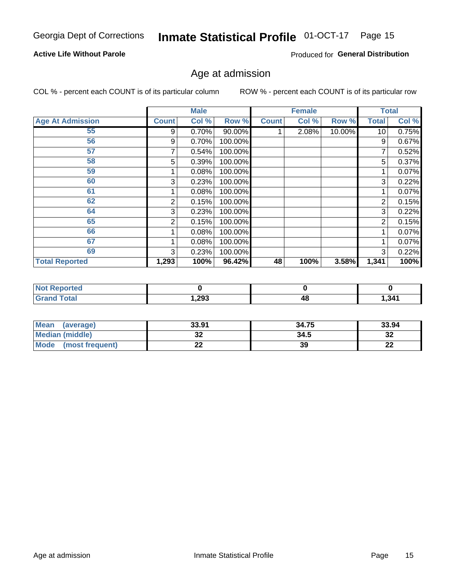#### **Active Life Without Parole**

Produced for General Distribution

### Age at admission

COL % - percent each COUNT is of its particular column

|                         |              | <b>Male</b> |         |              | <b>Female</b> |        |              | <b>Total</b> |
|-------------------------|--------------|-------------|---------|--------------|---------------|--------|--------------|--------------|
| <b>Age At Admission</b> | <b>Count</b> | Col %       | Row %   | <b>Count</b> | Col %         | Row %  | <b>Total</b> | Col %        |
| 55                      | 9            | 0.70%       | 90.00%  |              | 2.08%         | 10.00% | 10           | 0.75%        |
| 56                      | 9            | 0.70%       | 100.00% |              |               |        | 9            | 0.67%        |
| 57                      |              | 0.54%       | 100.00% |              |               |        | 7            | 0.52%        |
| 58                      | 5            | 0.39%       | 100.00% |              |               |        | 5            | 0.37%        |
| 59                      |              | 0.08%       | 100.00% |              |               |        |              | 0.07%        |
| 60                      | 3            | 0.23%       | 100.00% |              |               |        | 3            | 0.22%        |
| 61                      |              | 0.08%       | 100.00% |              |               |        |              | 0.07%        |
| 62                      | 2            | 0.15%       | 100.00% |              |               |        | 2            | 0.15%        |
| 64                      | 3            | 0.23%       | 100.00% |              |               |        | 3            | 0.22%        |
| 65                      | 2            | 0.15%       | 100.00% |              |               |        | 2            | 0.15%        |
| 66                      |              | 0.08%       | 100.00% |              |               |        |              | 0.07%        |
| 67                      |              | 0.08%       | 100.00% |              |               |        |              | 0.07%        |
| 69                      | 3            | 0.23%       | 100.00% |              |               |        | 3            | 0.22%        |
| <b>Total Reported</b>   | 1,293        | 100%        | 96.42%  | 48           | 100%          | 3.58%  | 1,341        | 100%         |

| <b>Not Reported</b> |        |    |       |
|---------------------|--------|----|-------|
| <b>Grand Total</b>  | 293, ا | 4Ł | 1,341 |

| <b>Mean</b><br>(average) | 33.91 | 34.75 | 33.94   |
|--------------------------|-------|-------|---------|
| <b>Median (middle)</b>   | JZ    | 34.5  | ົ<br>34 |
| Mode<br>(most frequent)  | --    | 39    | ົ<br>LL |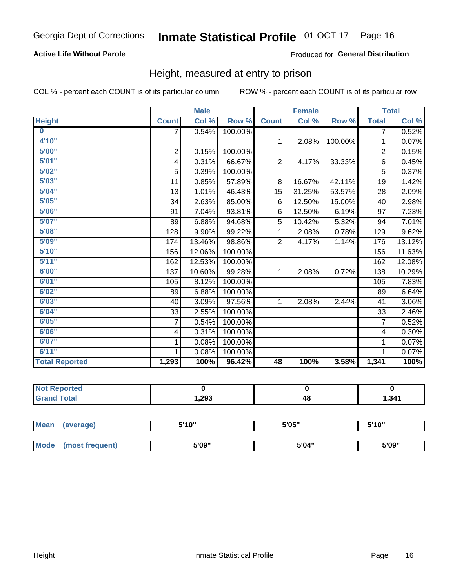#### **Active Life Without Parole**

#### Produced for General Distribution

### Height, measured at entry to prison

COL % - percent each COUNT is of its particular column

|                       |                | <b>Male</b> |         |                | <b>Female</b> |         |                | <b>Total</b> |
|-----------------------|----------------|-------------|---------|----------------|---------------|---------|----------------|--------------|
| <b>Height</b>         | <b>Count</b>   | Col %       | Row %   | <b>Count</b>   | Col %         | Row %   | <b>Total</b>   | Col %        |
| $\bf{0}$              | 7              | 0.54%       | 100.00% |                |               |         | 7              | 0.52%        |
| 4'10''                |                |             |         | $\mathbf{1}$   | 2.08%         | 100.00% | 1              | 0.07%        |
| 5'00''                | $\overline{2}$ | 0.15%       | 100.00% |                |               |         | $\overline{2}$ | 0.15%        |
| 5'01"                 | 4              | 0.31%       | 66.67%  | $\overline{2}$ | 4.17%         | 33.33%  | 6              | 0.45%        |
| 5'02"                 | 5              | 0.39%       | 100.00% |                |               |         | 5              | 0.37%        |
| 5'03''                | 11             | 0.85%       | 57.89%  | 8              | 16.67%        | 42.11%  | 19             | 1.42%        |
| 5'04"                 | 13             | 1.01%       | 46.43%  | 15             | 31.25%        | 53.57%  | 28             | 2.09%        |
| 5'05"                 | 34             | 2.63%       | 85.00%  | 6              | 12.50%        | 15.00%  | 40             | 2.98%        |
| 5'06''                | 91             | 7.04%       | 93.81%  | 6              | 12.50%        | 6.19%   | 97             | 7.23%        |
| 5'07''                | 89             | 6.88%       | 94.68%  | 5              | 10.42%        | 5.32%   | 94             | 7.01%        |
| 5'08''                | 128            | 9.90%       | 99.22%  | 1              | 2.08%         | 0.78%   | 129            | 9.62%        |
| 5'09''                | 174            | 13.46%      | 98.86%  | $\overline{2}$ | 4.17%         | 1.14%   | 176            | 13.12%       |
| 5'10''                | 156            | 12.06%      | 100.00% |                |               |         | 156            | 11.63%       |
| 5'11"                 | 162            | 12.53%      | 100.00% |                |               |         | 162            | 12.08%       |
| 6'00''                | 137            | 10.60%      | 99.28%  | $\mathbf{1}$   | 2.08%         | 0.72%   | 138            | 10.29%       |
| 6'01''                | 105            | 8.12%       | 100.00% |                |               |         | 105            | 7.83%        |
| 6'02"                 | 89             | 6.88%       | 100.00% |                |               |         | 89             | 6.64%        |
| 6'03''                | 40             | 3.09%       | 97.56%  | $\mathbf{1}$   | 2.08%         | 2.44%   | 41             | 3.06%        |
| 6'04"                 | 33             | 2.55%       | 100.00% |                |               |         | 33             | 2.46%        |
| 6'05"                 | $\overline{7}$ | 0.54%       | 100.00% |                |               |         | $\overline{7}$ | 0.52%        |
| 6'06''                | 4              | 0.31%       | 100.00% |                |               |         | 4              | 0.30%        |
| 6'07''                | 1              | 0.08%       | 100.00% |                |               |         | 1              | 0.07%        |
| 6'11''                | 1              | 0.08%       | 100.00% |                |               |         | 1              | 0.07%        |
| <b>Total Reported</b> | 1,293          | 100%        | 96.42%  | 48             | 100%          | 3.58%   | 1,341          | 100%         |

| ™rteα<br>N |       |    |       |
|------------|-------|----|-------|
|            | 1,293 | 48 | 341.ا |

| <b>Mean</b> | (average)       | 5'10" | 5'05" | 5'10" |  |
|-------------|-----------------|-------|-------|-------|--|
|             |                 |       |       |       |  |
| Mode        | (most frequent) | 5'09" | 5'04" | 5'09" |  |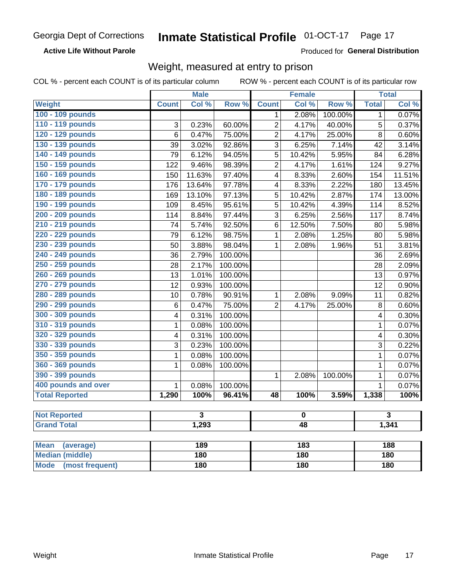**Active Life Without Parole** 

Produced for General Distribution

### Weight, measured at entry to prison

COL % - percent each COUNT is of its particular column

ROW % - percent each COUNT is of its particular row

|                                |                          | <b>Male</b>             |         |                         | <b>Female</b> |         |                | <b>Total</b>            |  |
|--------------------------------|--------------------------|-------------------------|---------|-------------------------|---------------|---------|----------------|-------------------------|--|
| <b>Weight</b>                  | <b>Count</b>             | Col %                   | Row %   | <b>Count</b>            | Col %         | Row %   | <b>Total</b>   | Col %                   |  |
| 100 - 109 pounds               |                          |                         |         | 1                       | 2.08%         | 100.00% | $\mathbf 1$    | 0.07%                   |  |
| 110 - 119 pounds               | 3                        | 0.23%                   | 60.00%  | $\overline{c}$          | 4.17%         | 40.00%  | 5              | 0.37%                   |  |
| 120 - 129 pounds               | $\overline{6}$           | 0.47%                   | 75.00%  | $\overline{c}$          | 4.17%         | 25.00%  | $\overline{8}$ | 0.60%                   |  |
| 130 - 139 pounds               | 39                       | 3.02%                   | 92.86%  | 3                       | 6.25%         | 7.14%   | 42             | 3.14%                   |  |
| 140 - 149 pounds               | $\overline{79}$          | 6.12%                   | 94.05%  | 5                       | 10.42%        | 5.95%   | 84             | 6.28%                   |  |
| 150 - 159 pounds               | 122                      | 9.46%                   | 98.39%  | $\overline{2}$          | 4.17%         | 1.61%   | 124            | 9.27%                   |  |
| 160 - 169 pounds               | 150                      | 11.63%                  | 97.40%  | $\overline{\mathbf{4}}$ | 8.33%         | 2.60%   | 154            | 11.51%                  |  |
| 170 - 179 pounds               | 176                      | 13.64%                  | 97.78%  | $\overline{\mathbf{4}}$ | 8.33%         | 2.22%   | 180            | 13.45%                  |  |
| 180 - 189 pounds               | 169                      | 13.10%                  | 97.13%  | 5                       | 10.42%        | 2.87%   | 174            | 13.00%                  |  |
| 190 - 199 pounds               | 109                      | 8.45%                   | 95.61%  | $\overline{5}$          | 10.42%        | 4.39%   | 114            | 8.52%                   |  |
| 200 - 209 pounds               | 114                      | 8.84%                   | 97.44%  | 3                       | 6.25%         | 2.56%   | 117            | 8.74%                   |  |
| 210 - 219 pounds               | 74                       | 5.74%                   | 92.50%  | 6                       | 12.50%        | 7.50%   | 80             | 5.98%                   |  |
| 220 - 229 pounds               | 79                       | 6.12%                   | 98.75%  | $\mathbf{1}$            | 2.08%         | 1.25%   | 80             | 5.98%                   |  |
| 230 - 239 pounds               | 50                       | 3.88%                   | 98.04%  | $\mathbf{1}$            | 2.08%         | 1.96%   | 51             | 3.81%                   |  |
| 240 - 249 pounds               | 36                       | 2.79%                   | 100.00% |                         |               |         | 36             | 2.69%                   |  |
| 250 - 259 pounds               | 28                       | 2.17%                   | 100.00% |                         |               |         | 28             | 2.09%                   |  |
| 260 - 269 pounds               | 13                       | 1.01%                   | 100.00% |                         |               |         | 13             | 0.97%                   |  |
| 270 - 279 pounds               | 12                       | 0.93%                   | 100.00% |                         |               |         | 12             | 0.90%                   |  |
| 280 - 289 pounds               | 10                       | 0.78%                   | 90.91%  | $\mathbf{1}$            | 2.08%         | 9.09%   | 11             | 0.82%                   |  |
| 290 - 299 pounds               | $6\phantom{1}6$          | 0.47%                   | 75.00%  | $\overline{2}$          | 4.17%         | 25.00%  | 8              | 0.60%                   |  |
| 300 - 309 pounds               | 4                        | 0.31%                   | 100.00% |                         |               |         | 4              | 0.30%                   |  |
| 310 - 319 pounds               | 1                        | 0.08%                   | 100.00% |                         |               |         | $\mathbf{1}$   | 0.07%                   |  |
| 320 - 329 pounds               | 4                        | 0.31%                   | 100.00% |                         |               |         | 4              | 0.30%                   |  |
| 330 - 339 pounds               | 3                        | 0.23%                   | 100.00% |                         |               |         | 3              | 0.22%                   |  |
| 350 - 359 pounds               | 1                        | 0.08%                   | 100.00% |                         |               |         | $\mathbf{1}$   | 0.07%                   |  |
| 360 - 369 pounds               | 1                        | 0.08%                   | 100.00% |                         |               |         | $\mathbf{1}$   | 0.07%                   |  |
| 390 - 399 pounds               |                          |                         |         | 1                       | 2.08%         | 100.00% | $\mathbf 1$    | 0.07%                   |  |
| 400 pounds and over            | 1                        | 0.08%                   | 100.00% |                         |               |         | $\mathbf{1}$   | 0.07%                   |  |
| <b>Total Reported</b>          | 1,290                    | 100%                    | 96.41%  | 48                      | 100%          | 3.59%   | 1,338          | 100%                    |  |
| <b>Not Reported</b>            |                          | $\overline{\mathbf{3}}$ |         |                         | $\pmb{0}$     |         |                | $\overline{\mathbf{3}}$ |  |
| <b>Grand Total</b>             | 1,293<br>$\overline{48}$ |                         |         |                         | 1,341         |         |                |                         |  |
|                                |                          |                         |         |                         |               |         |                |                         |  |
| <b>Mean</b><br>(average)       |                          | 189                     |         |                         | 183           |         |                | 188                     |  |
| <b>Median (middle)</b>         |                          | 180                     |         |                         | 180           |         |                | 180                     |  |
| <b>Mode</b><br>(most frequent) |                          | <b>180</b>              |         | <b>180</b>              |               |         | 180            |                         |  |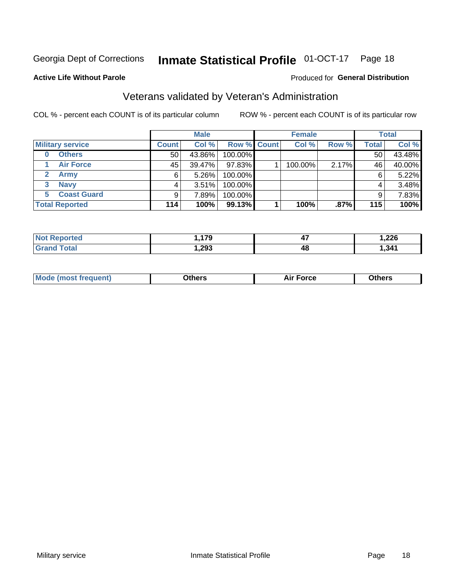#### **Inmate Statistical Profile 01-OCT-17** Page 18

#### **Active Life Without Parole**

#### **Produced for General Distribution**

### Veterans validated by Veteran's Administration

COL % - percent each COUNT is of its particular column

|                           |                 | <b>Male</b> |             | <b>Female</b> |       |              | <b>Total</b> |
|---------------------------|-----------------|-------------|-------------|---------------|-------|--------------|--------------|
| <b>Military service</b>   | <b>Count</b>    | Col %       | Row % Count | Col %         | Row % | <b>Total</b> | Col %        |
| <b>Others</b><br>$\bf{0}$ | 50 <sub>1</sub> | 43.86%      | 100.00%     |               |       | 50           | 43.48%       |
| <b>Air Force</b>          | 45              | 39.47%      | 97.83%      | 100.00%       | 2.17% | 46           | 40.00%       |
| Army                      | 6               | 5.26%       | 100.00%     |               |       | 6            | 5.22%        |
| <b>Navy</b><br>3          | 4               | 3.51%       | 100.00%     |               |       | 4            | 3.48%        |
| <b>Coast Guard</b><br>5.  | 9               | 7.89%       | 100.00%     |               |       | 9            | 7.83%        |
| <b>Total Reported</b>     | 114             | 100%        | 99.13%      | 100%          | .87%  | 115          | 100%         |

| тес          | 470<br>. . | $\overline{a}$<br>. .<br>T 1 | າງຂ<br>520, ا |
|--------------|------------|------------------------------|---------------|
| <b>Total</b> | ,293       | 48                           | 341           |

| Mo<br>m | ∖‡h∧rc<br>____ | $-0.002$<br>28 F T<br>UI CE | <b>Others</b><br>____ |
|---------|----------------|-----------------------------|-----------------------|
|         |                |                             |                       |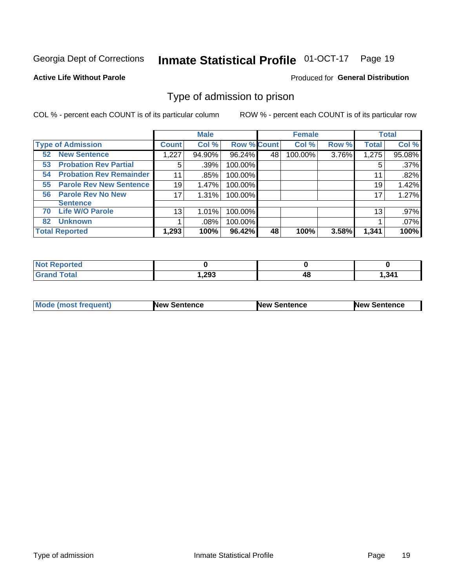#### **Inmate Statistical Profile 01-OCT-17** Page 19

#### **Active Life Without Parole**

#### Produced for General Distribution

### Type of admission to prison

COL % - percent each COUNT is of its particular column

|                                      |              | <b>Male</b> |                    |    | <b>Female</b> |       |              | <b>Total</b> |
|--------------------------------------|--------------|-------------|--------------------|----|---------------|-------|--------------|--------------|
| <b>Type of Admission</b>             | <b>Count</b> | Col %       | <b>Row % Count</b> |    | Col %         | Row % | <b>Total</b> | Col %        |
| <b>New Sentence</b><br>52            | 1,227        | 94.90%      | 96.24%             | 48 | 100.00%       | 3.76% | 1,275        | 95.08%       |
| <b>Probation Rev Partial</b><br>53   | 5            | .39%        | 100.00%            |    |               |       | 5            | .37%         |
| <b>Probation Rev Remainder</b><br>54 | 11           | .85%        | 100.00%            |    |               |       | 11           | .82%         |
| <b>Parole Rev New Sentence</b><br>55 | 19           | 1.47%       | 100.00%            |    |               |       | 19           | 1.42%        |
| <b>Parole Rev No New</b><br>56       | 17           | 1.31%       | 100.00%            |    |               |       | 17           | 1.27%        |
| <b>Sentence</b>                      |              |             |                    |    |               |       |              |              |
| <b>Life W/O Parole</b><br>70         | 13           | 1.01%       | 100.00%            |    |               |       | 13           | .97%         |
| <b>Unknown</b><br>82                 |              | .08%        | 100.00%            |    |               |       |              | .07%         |
| <b>Total Reported</b>                | 1,293        | 100%        | 96.42%             | 48 | 100%          | 3.58% | 1,341        | 100%         |

| <b>Not Reported</b>          |       |    |       |
|------------------------------|-------|----|-------|
| <b>Total</b><br><b>Grand</b> | 1,293 | тu | 1,341 |

| Mode (most frequent) | <b>New Sentence</b> | <b>New Sentence</b> | <b>New Sentence</b> |
|----------------------|---------------------|---------------------|---------------------|
|                      |                     |                     |                     |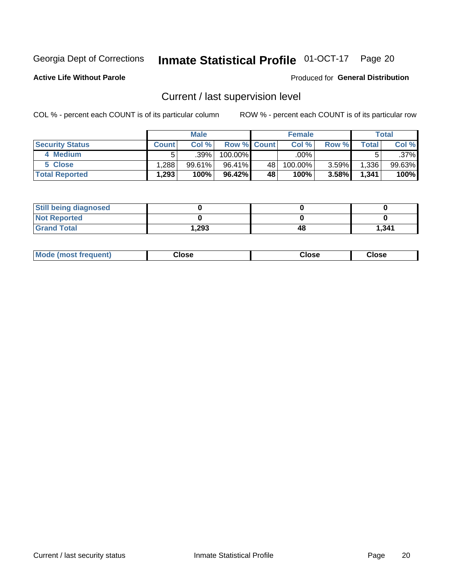## Inmate Statistical Profile 01-OCT-17 Page 20

**Active Life Without Parole** 

#### Produced for General Distribution

## Current / last supervision level

COL % - percent each COUNT is of its particular column

|                        |              | <b>Male</b> |                    |    | <b>Female</b> |       |       | <b>Total</b> |
|------------------------|--------------|-------------|--------------------|----|---------------|-------|-------|--------------|
| <b>Security Status</b> | <b>Count</b> | Col%        | <b>Row % Count</b> |    | Col %         | Row % | Total | Col %        |
| 4 Medium               |              | $.39\%$     | 100.00%            |    | .00%          |       |       | .37%         |
| 5 Close                | .288         | 99.61%      | 96.41%             | 48 | 100.00%       | 3.59% | 1,336 | 99.63%       |
| <b>Total Reported</b>  | 1,293        | 100%        | 96.42%             | 48 | 100%          | 3.58% | 1,341 | 100%         |

| <b>Still being diagnosed</b> |      |    |       |
|------------------------------|------|----|-------|
| <b>Not Reported</b>          |      |    |       |
| <b>Grand Total</b>           | .293 | 48 | 1,341 |

| <b>AhoM</b><br>rreauent) | Close | Close | Close |
|--------------------------|-------|-------|-------|
|                          |       |       |       |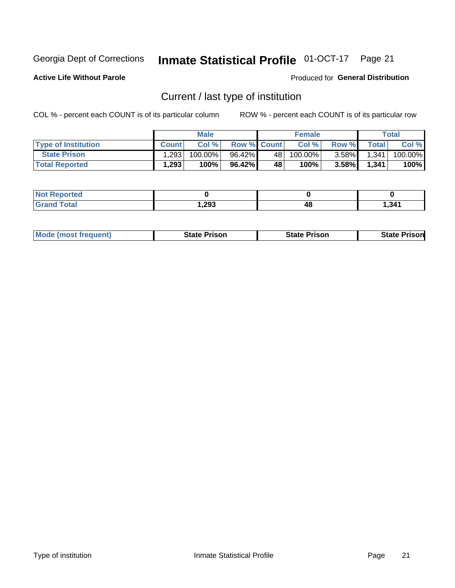## Inmate Statistical Profile 01-OCT-17 Page 21

**Active Life Without Parole** 

Produced for General Distribution

## Current / last type of institution

COL % - percent each COUNT is of its particular column

|                            |              | <b>Male</b> |                    |    | <b>Female</b> |          |       | Total   |
|----------------------------|--------------|-------------|--------------------|----|---------------|----------|-------|---------|
| <b>Type of Institution</b> | <b>Count</b> | Col%        | <b>Row % Count</b> |    | Col %         | Row %    | Total | Col %   |
| <b>State Prison</b>        | 1,293        | 100.00%     | 96.42%             | 48 | 100.00%       | $3.58\%$ | 1,341 | 100.00% |
| <b>Total Reported</b>      | 1,293        | 100%        | $96.42\%$          | 48 | $100\%$ .     | $3.58\%$ | 1.341 | 100%    |

| 'ted<br>. |      |    |      |
|-----------|------|----|------|
|           | ,293 | 4č | .341 |

|  | <b>Mode (most frequent)</b> | State Prison | <b>State Prison</b> | <b>State Prison</b> |
|--|-----------------------------|--------------|---------------------|---------------------|
|--|-----------------------------|--------------|---------------------|---------------------|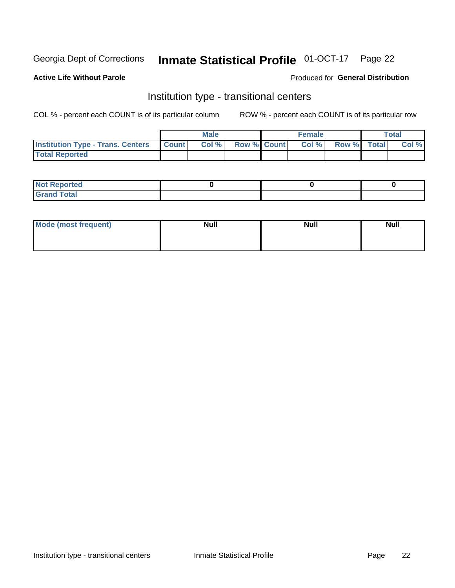## Inmate Statistical Profile 01-OCT-17 Page 22

#### **Active Life Without Parole**

#### Produced for General Distribution

### Institution type - transitional centers

COL % - percent each COUNT is of its particular column

|                                          |              | <b>Male</b> |             | <b>Female</b> |             | <b>Total</b> |
|------------------------------------------|--------------|-------------|-------------|---------------|-------------|--------------|
| <b>Institution Type - Trans. Centers</b> | <b>Count</b> | Col %       | Row % Count | Col %         | Row % Total | Col %        |
| <b>Total Reported</b>                    |              |             |             |               |             |              |

| <b>Reported</b><br><b>NOT</b><br>$\sim$            |  |  |
|----------------------------------------------------|--|--|
| $f$ $f \circ f \circ f$<br>$C = 1$<br><b>TULAI</b> |  |  |

| Mode (most frequent) | <b>Null</b> | <b>Null</b> | <b>Null</b> |
|----------------------|-------------|-------------|-------------|
|                      |             |             |             |
|                      |             |             |             |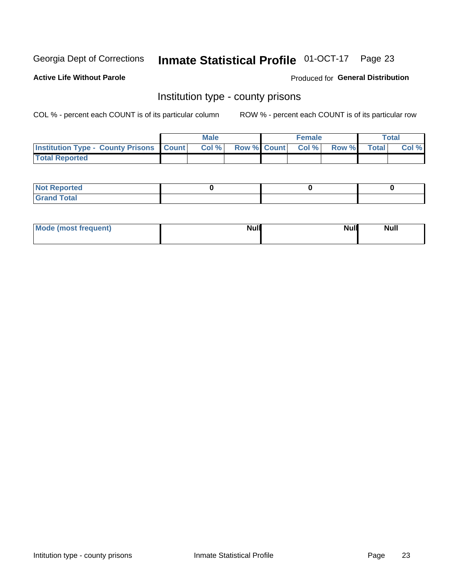## Inmate Statistical Profile 01-OCT-17 Page 23

**Active Life Without Parole** 

Produced for General Distribution

#### Institution type - county prisons

COL % - percent each COUNT is of its particular column

|                                                    | <b>Male</b> |       |  | <b>Female</b> |                          |             | <b>Total</b> |       |  |
|----------------------------------------------------|-------------|-------|--|---------------|--------------------------|-------------|--------------|-------|--|
| <b>Institution Type - County Prisons   Count  </b> |             | Col % |  |               | <b>Row % Count Col %</b> | Row % Total |              | Col % |  |
| <b>Total Reported</b>                              |             |       |  |               |                          |             |              |       |  |

| <b>Not</b><br>: Reported<br> |  |  |
|------------------------------|--|--|
| <b>Total</b><br>---          |  |  |

| Mode (most frequent) | <b>Null</b> | <b>Null</b><br><b>Null</b> |
|----------------------|-------------|----------------------------|
|                      |             |                            |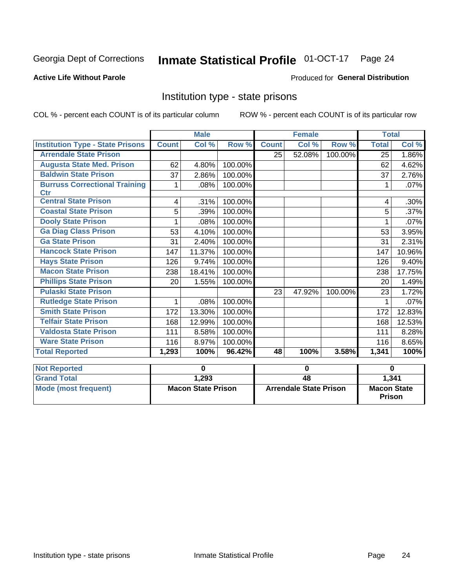## Inmate Statistical Profile 01-OCT-17 Page 24

#### **Active Life Without Parole**

#### Produced for General Distribution

### Institution type - state prisons

COL % - percent each COUNT is of its particular column

|                                         | <b>Male</b>  |                           |                  |                               | <b>Female</b> |         | <b>Total</b>                        |         |
|-----------------------------------------|--------------|---------------------------|------------------|-------------------------------|---------------|---------|-------------------------------------|---------|
| <b>Institution Type - State Prisons</b> | <b>Count</b> | Col %                     | Row <sup>%</sup> | <b>Count</b>                  | Col %         | Row %   | <b>Total</b>                        | Col %   |
| <b>Arrendale State Prison</b>           |              |                           |                  | 25                            | 52.08%        | 100.00% | 25                                  | 1.86%   |
| <b>Augusta State Med. Prison</b>        | 62           | 4.80%                     | 100.00%          |                               |               |         | 62                                  | 4.62%   |
| <b>Baldwin State Prison</b>             | 37           | 2.86%                     | 100.00%          |                               |               |         | 37                                  | 2.76%   |
| <b>Burruss Correctional Training</b>    | 1            | .08%                      | 100.00%          |                               |               |         | 1                                   | .07%    |
| <b>Ctr</b>                              |              |                           |                  |                               |               |         |                                     |         |
| <b>Central State Prison</b>             | 4            | .31%                      | 100.00%          |                               |               |         | 4                                   | $.30\%$ |
| <b>Coastal State Prison</b>             | 5            | .39%                      | 100.00%          |                               |               |         | 5                                   | .37%    |
| <b>Dooly State Prison</b>               | 1            | .08%                      | 100.00%          |                               |               |         |                                     | .07%    |
| <b>Ga Diag Class Prison</b>             | 53           | 4.10%                     | 100.00%          |                               |               |         | 53                                  | 3.95%   |
| <b>Ga State Prison</b>                  | 31           | 2.40%                     | 100.00%          |                               |               |         | 31                                  | 2.31%   |
| <b>Hancock State Prison</b>             | 147          | 11.37%                    | 100.00%          |                               |               |         | 147                                 | 10.96%  |
| <b>Hays State Prison</b>                | 126          | 9.74%                     | 100.00%          |                               |               |         | 126                                 | 9.40%   |
| <b>Macon State Prison</b>               | 238          | 18.41%                    | 100.00%          |                               |               |         | 238                                 | 17.75%  |
| <b>Phillips State Prison</b>            | 20           | 1.55%                     | 100.00%          |                               |               |         | 20                                  | 1.49%   |
| <b>Pulaski State Prison</b>             |              |                           |                  | 23                            | 47.92%        | 100.00% | 23                                  | 1.72%   |
| <b>Rutledge State Prison</b>            | 1            | .08%                      | 100.00%          |                               |               |         | 1                                   | .07%    |
| <b>Smith State Prison</b>               | 172          | 13.30%                    | 100.00%          |                               |               |         | 172                                 | 12.83%  |
| <b>Telfair State Prison</b>             | 168          | 12.99%                    | 100.00%          |                               |               |         | 168                                 | 12.53%  |
| <b>Valdosta State Prison</b>            | 111          | 8.58%                     | 100.00%          |                               |               |         | 111                                 | 8.28%   |
| <b>Ware State Prison</b>                | 116          | 8.97%                     | 100.00%          |                               |               |         | 116                                 | 8.65%   |
| <b>Total Reported</b>                   | 1,293        | 100%                      | 96.42%           | 48                            | 100%          | 3.58%   | 1,341                               | 100%    |
| <b>Not Reported</b>                     |              | $\bf{0}$                  |                  | $\mathbf 0$                   |               |         | $\bf{0}$                            |         |
| <b>Grand Total</b>                      |              | 1,293                     |                  | 48                            |               |         |                                     |         |
|                                         |              |                           |                  |                               |               |         | 1,341                               |         |
| <b>Mode (most frequent)</b>             |              | <b>Macon State Prison</b> |                  | <b>Arrendale State Prison</b> |               |         | <b>Macon State</b><br><b>Prison</b> |         |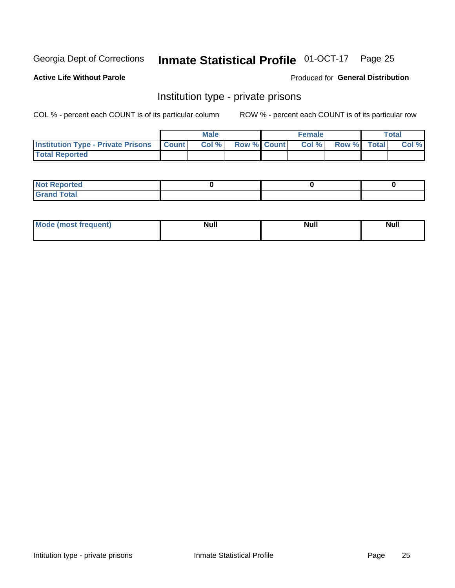## Inmate Statistical Profile 01-OCT-17 Page 25

#### **Active Life Without Parole**

#### Produced for General Distribution

### Institution type - private prisons

COL % - percent each COUNT is of its particular column

|                                                     | <b>Male</b> |       |                    | <b>Female</b> |       |             | Total |       |
|-----------------------------------------------------|-------------|-------|--------------------|---------------|-------|-------------|-------|-------|
| <b>Institution Type - Private Prisons   Count  </b> |             | Col % | <b>Row % Count</b> |               | Col % | Row % Total |       | Col % |
| <b>Total Reported</b>                               |             |       |                    |               |       |             |       |       |

| Not Reported           |  |  |
|------------------------|--|--|
| <b>Cotal</b><br>______ |  |  |

| <b>Mo</b><br>frequent) | <b>Null</b> | <b>Null</b> | . . I *<br><b>IVUII</b> |
|------------------------|-------------|-------------|-------------------------|
|                        |             |             |                         |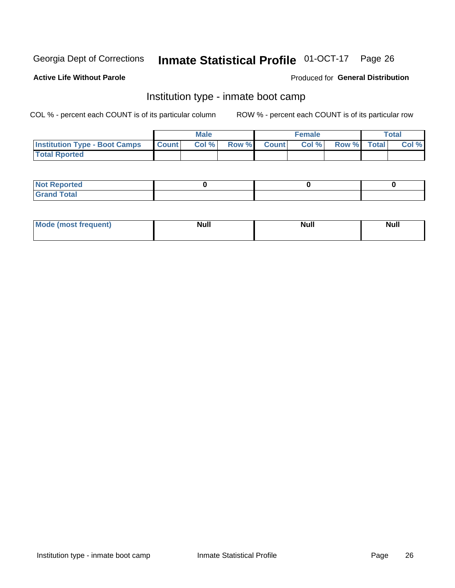#### **Inmate Statistical Profile 01-OCT-17** Page 26

#### **Active Life Without Parole**

#### Produced for General Distribution

### Institution type - inmate boot camp

COL % - percent each COUNT is of its particular column

|                                      | <b>Male</b>  |       |               |              | <b>Female</b> | <b>Total</b> |  |       |
|--------------------------------------|--------------|-------|---------------|--------------|---------------|--------------|--|-------|
| <b>Institution Type - Boot Camps</b> | <b>Count</b> | Col % | <b>Row %I</b> | <b>Count</b> | Col %         | Row % Total  |  | Col % |
| <b>Total Rported</b>                 |              |       |               |              |               |              |  |       |

| <b>Not Reported</b>            |  |  |
|--------------------------------|--|--|
| <b>Total</b><br>C <sub>r</sub> |  |  |

| Mod<br>uamo | Nul.<br>$- - - - - -$ | <b>Null</b> | <br>uu.<br>------ |
|-------------|-----------------------|-------------|-------------------|
|             |                       |             |                   |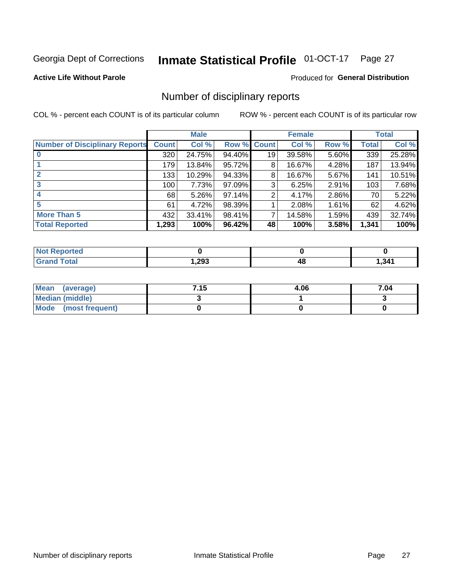## Inmate Statistical Profile 01-OCT-17 Page 27

#### **Active Life Without Parole**

#### Produced for General Distribution

### Number of disciplinary reports

COL % - percent each COUNT is of its particular column

|                                       | <b>Male</b>  |          |             | <b>Female</b> |        |          | <b>Total</b> |        |
|---------------------------------------|--------------|----------|-------------|---------------|--------|----------|--------------|--------|
| <b>Number of Disciplinary Reports</b> | <b>Count</b> | Col %    | Row % Count |               | Col %  | Row %    | Total        | Col %  |
|                                       | 320          | 24.75%   | 94.40%      | 19            | 39.58% | 5.60%    | 339          | 25.28% |
|                                       | 179          | 13.84%   | 95.72%      | 8             | 16.67% | 4.28%    | 187          | 13.94% |
| $\mathbf{2}$                          | 133          | 10.29%   | 94.33%      | 8             | 16.67% | 5.67%    | 141          | 10.51% |
| 3                                     | 100          | 7.73%    | 97.09%      | 3             | 6.25%  | 2.91%    | 103          | 7.68%  |
|                                       | 68           | $5.26\%$ | 97.14%      | 2             | 4.17%  | 2.86%    | 70           | 5.22%  |
| 5                                     | 61           | 4.72%    | 98.39%      |               | 2.08%  | $1.61\%$ | 62           | 4.62%  |
| <b>More Than 5</b>                    | 432          | 33.41%   | 98.41%      | 7             | 14.58% | 1.59%    | 439          | 32.74% |
| <b>Total Reported</b>                 | 1,293        | 100%     | 96.42%      | 48            | 100%   | 3.58%    | 1,341        | 100%   |

| тео<br>NO |      |    |       |
|-----------|------|----|-------|
| Гоtal     | ,293 | 48 | 1,341 |

| Mean (average)       | 7.15 | 4.06 | 7.04 |
|----------------------|------|------|------|
| Median (middle)      |      |      |      |
| Mode (most frequent) |      |      |      |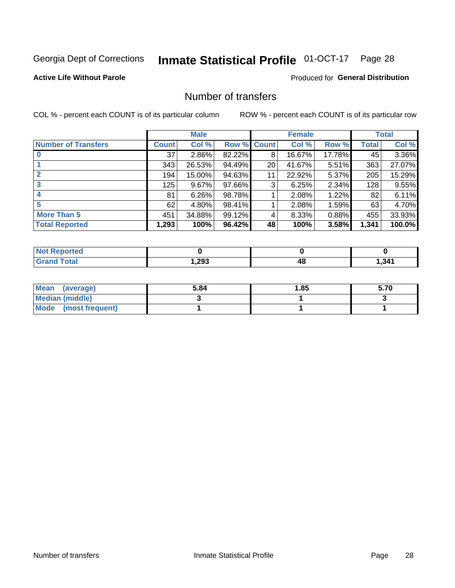## Inmate Statistical Profile 01-OCT-17 Page 28

#### **Active Life Without Parole**

#### **Produced for General Distribution**

### Number of transfers

COL % - percent each COUNT is of its particular column

|                            | <b>Male</b> |        | <b>Female</b> |             |        | <b>Total</b> |              |        |
|----------------------------|-------------|--------|---------------|-------------|--------|--------------|--------------|--------|
| <b>Number of Transfers</b> | Count l     | Col %  |               | Row % Count | Col %  | Row %        | <b>Total</b> | Col %  |
|                            | 37          | 2.86%  | 82.22%        | 8           | 16.67% | 17.78%       | 45           | 3.36%  |
|                            | 343         | 26.53% | 94.49%        | 20          | 41.67% | $5.51\%$     | 363          | 27.07% |
| $\mathbf{2}$               | 194         | 15.00% | 94.63%        | 11          | 22.92% | 5.37%        | 205          | 15.29% |
| 3                          | 125         | 9.67%  | 97.66%        | 3           | 6.25%  | 2.34%        | 128          | 9.55%  |
| 4                          | 81          | 6.26%  | 98.78%        |             | 2.08%  | 1.22%        | 82           | 6.11%  |
| 5                          | 62          | 4.80%  | 98.41%        |             | 2.08%  | 1.59%        | 63           | 4.70%  |
| <b>More Than 5</b>         | 451         | 34.88% | 99.12%        | 4           | 8.33%  | 0.88%        | 455          | 33.93% |
| <b>Total Reported</b>      | 1,293       | 100%   | 96.42%        | 48          | 100%   | 3.58%        | 1,341        | 100.0% |

| วrted<br>NO  |      |    |       |
|--------------|------|----|-------|
| <b>Total</b> | ,293 | 40 | 341,ا |

| Mean (average)         | 5.84 | 1.85 | 5.70 |
|------------------------|------|------|------|
| <b>Median (middle)</b> |      |      |      |
| Mode (most frequent)   |      |      |      |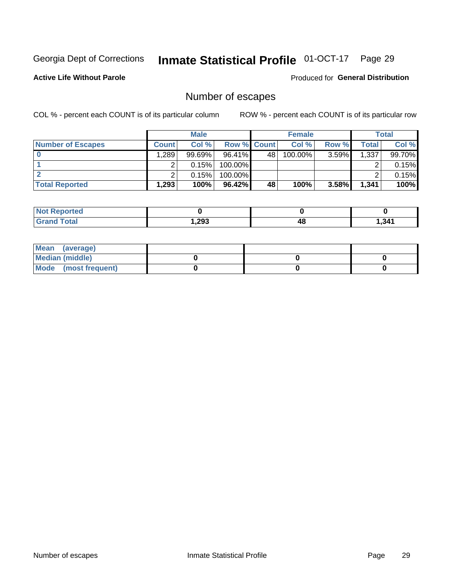## Inmate Statistical Profile 01-OCT-17 Page 29

**Active Life Without Parole** 

Produced for General Distribution

## Number of escapes

COL % - percent each COUNT is of its particular column

|                          | <b>Male</b>  |           |                    | <b>Female</b> |         |          | Total |        |
|--------------------------|--------------|-----------|--------------------|---------------|---------|----------|-------|--------|
| <b>Number of Escapes</b> | <b>Count</b> | Col %     | <b>Row % Count</b> |               | Col %   | Row %    | Total | Col %  |
|                          | 1,289        | $99.69\%$ | $96.41\%$          | 48            | 100.00% | $3.59\%$ | 1,337 | 99.70% |
|                          |              | 0.15%     | 100.00%            |               |         |          |       | 0.15%  |
|                          |              | 0.15%     | $100.00\%$         |               |         |          |       | 0.15%  |
| <b>Total Reported</b>    | .293         | 100%      | 96.42%             | 48            | 100%    | 3.58%    | 1,341 | 100%   |

| <b>Not Reported</b> |        |    |       |
|---------------------|--------|----|-------|
| <b>Total</b>        | 293, ا | 4۵ | 341.ا |

| Mean (average)       |  |  |
|----------------------|--|--|
| Median (middle)      |  |  |
| Mode (most frequent) |  |  |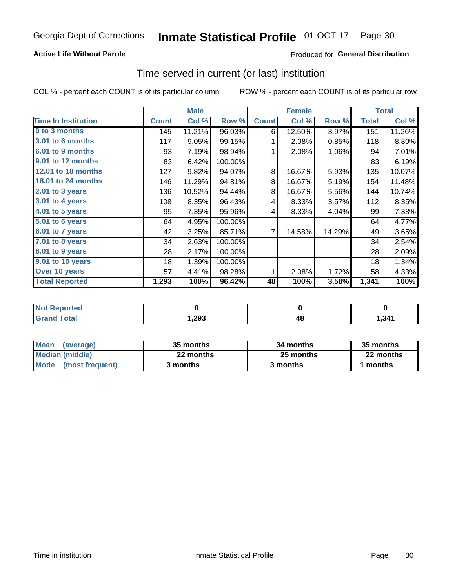#### **Active Life Without Parole**

#### Produced for General Distribution

### Time served in current (or last) institution

COL % - percent each COUNT is of its particular column

|                            |              | <b>Male</b> |           |                | <b>Female</b> |        | <b>Total</b> |        |
|----------------------------|--------------|-------------|-----------|----------------|---------------|--------|--------------|--------|
| <b>Time In Institution</b> | <b>Count</b> | Col %       | Row %     | <b>Count</b>   | Col %         | Row %  | <b>Total</b> | Col %  |
| 0 to 3 months              | 145          | 11.21%      | 96.03%    | 6              | 12.50%        | 3.97%  | 151          | 11.26% |
| <b>3.01 to 6 months</b>    | 117          | 9.05%       | 99.15%    | 1              | 2.08%         | 0.85%  | 118          | 8.80%  |
| 6.01 to 9 months           | 93           | 7.19%       | 98.94%    | 1              | 2.08%         | 1.06%  | 94           | 7.01%  |
| 9.01 to 12 months          | 83           | 6.42%       | 100.00%   |                |               |        | 83           | 6.19%  |
| 12.01 to 18 months         | 127          | 9.82%       | 94.07%    | 8              | 16.67%        | 5.93%  | 135          | 10.07% |
| <b>18.01 to 24 months</b>  | 146          | 11.29%      | 94.81%    | 8              | 16.67%        | 5.19%  | 154          | 11.48% |
| 2.01 to 3 years            | 136          | 10.52%      | 94.44%    | 8              | 16.67%        | 5.56%  | 144          | 10.74% |
| 3.01 to 4 years            | 108          | 8.35%       | 96.43%    | 4              | 8.33%         | 3.57%  | 112          | 8.35%  |
| 4.01 to 5 years            | 95           | 7.35%       | 95.96%    | 4              | 8.33%         | 4.04%  | 99           | 7.38%  |
| 5.01 to 6 years            | 64           | 4.95%       | 100.00%   |                |               |        | 64           | 4.77%  |
| 6.01 to 7 years            | 42           | 3.25%       | 85.71%    | $\overline{7}$ | 14.58%        | 14.29% | 49           | 3.65%  |
| $7.01$ to 8 years          | 34           | 2.63%       | 100.00%   |                |               |        | 34           | 2.54%  |
| $8.01$ to 9 years          | 28           | 2.17%       | 100.00%   |                |               |        | 28           | 2.09%  |
| 9.01 to 10 years           | 18           | 1.39%       | 100.00%   |                |               |        | 18           | 1.34%  |
| Over 10 years              | 57           | 4.41%       | 98.28%    | 1              | 2.08%         | 1.72%  | 58           | 4.33%  |
| <b>Total Reported</b>      | 1,293        | 100%        | $96.42\%$ | 48             | 100%          | 3.58%  | 1,341        | 100%   |

| <b>roorted</b><br><b>NOT</b> |      |         |       |
|------------------------------|------|---------|-------|
| $f \circ f \circ f$          | ,293 | ЛF<br>™ | 1,341 |

| <b>Mean</b><br>(average) | 35 months | 34 months | 35 months |
|--------------------------|-----------|-----------|-----------|
| Median (middle)          | 22 months | 25 months | 22 months |
| Mode (most frequent)     | 3 months  | 3 months  | 1 months  |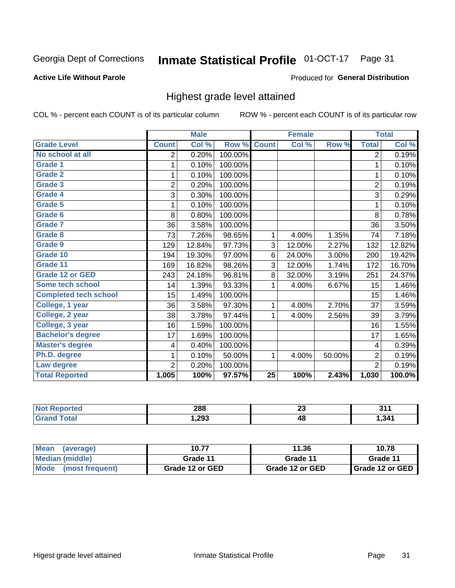#### **Inmate Statistical Profile 01-OCT-17** Page 31

#### **Active Life Without Parole**

#### Produced for General Distribution

### Highest grade level attained

COL % - percent each COUNT is of its particular column

|                              |                | <b>Male</b> |         |                 | <b>Female</b> |        |                | <b>Total</b> |
|------------------------------|----------------|-------------|---------|-----------------|---------------|--------|----------------|--------------|
| <b>Grade Level</b>           | <b>Count</b>   | Col %       | Row %   | <b>Count</b>    | Col %         | Row %  | <b>Total</b>   | Col %        |
| No school at all             | 2              | 0.20%       | 100.00% |                 |               |        | 2              | 0.19%        |
| <b>Grade 1</b>               | 1              | 0.10%       | 100.00% |                 |               |        | 1              | 0.10%        |
| <b>Grade 2</b>               | 1              | 0.10%       | 100.00% |                 |               |        | 1              | 0.10%        |
| <b>Grade 3</b>               | $\overline{2}$ | 0.20%       | 100.00% |                 |               |        | $\overline{2}$ | 0.19%        |
| <b>Grade 4</b>               | 3              | 0.30%       | 100.00% |                 |               |        | 3              | 0.29%        |
| Grade 5                      | 1              | 0.10%       | 100.00% |                 |               |        | 1              | 0.10%        |
| Grade 6                      | 8              | 0.80%       | 100.00% |                 |               |        | 8              | 0.78%        |
| Grade 7                      | 36             | 3.58%       | 100.00% |                 |               |        | 36             | 3.50%        |
| <b>Grade 8</b>               | 73             | 7.26%       | 98.65%  | 1               | 4.00%         | 1.35%  | 74             | 7.18%        |
| Grade 9                      | 129            | 12.84%      | 97.73%  | 3               | 12.00%        | 2.27%  | 132            | 12.82%       |
| Grade 10                     | 194            | 19.30%      | 97.00%  | 6               | 24.00%        | 3.00%  | 200            | 19.42%       |
| Grade 11                     | 169            | 16.82%      | 98.26%  | 3               | 12.00%        | 1.74%  | 172            | 16.70%       |
| <b>Grade 12 or GED</b>       | 243            | 24.18%      | 96.81%  | 8               | 32.00%        | 3.19%  | 251            | 24.37%       |
| Some tech school             | 14             | 1.39%       | 93.33%  | 1               | 4.00%         | 6.67%  | 15             | 1.46%        |
| <b>Completed tech school</b> | 15             | 1.49%       | 100.00% |                 |               |        | 15             | 1.46%        |
| College, 1 year              | 36             | 3.58%       | 97.30%  | 1               | 4.00%         | 2.70%  | 37             | 3.59%        |
| College, 2 year              | 38             | 3.78%       | 97.44%  | 1               | 4.00%         | 2.56%  | 39             | 3.79%        |
| College, 3 year              | 16             | 1.59%       | 100.00% |                 |               |        | 16             | 1.55%        |
| <b>Bachelor's degree</b>     | 17             | 1.69%       | 100.00% |                 |               |        | 17             | 1.65%        |
| <b>Master's degree</b>       | 4              | 0.40%       | 100.00% |                 |               |        | 4              | 0.39%        |
| Ph.D. degree                 | 1              | 0.10%       | 50.00%  | 1               | 4.00%         | 50.00% | $\overline{2}$ | 0.19%        |
| Law degree                   | $\overline{2}$ | 0.20%       | 100.00% |                 |               |        | $\overline{2}$ | 0.19%        |
| <b>Total Reported</b>        | 1,005          | 100%        | 97.57%  | $\overline{25}$ | 100%          | 2.43%  | 1,030          | 100.0%       |

| orted       | 288  | $\sim$<br>ZJ | 54    |
|-------------|------|--------------|-------|
| <b>otal</b> | .293 | 48           | 341.ا |

| <b>Mean</b><br>(average) | 10.77           | 11.36           | 10.78           |
|--------------------------|-----------------|-----------------|-----------------|
| Median (middle)          | Grade 11        | Grade 11        | Grade 11        |
| Mode<br>(most frequent)  | Grade 12 or GED | Grade 12 or GED | Grade 12 or GED |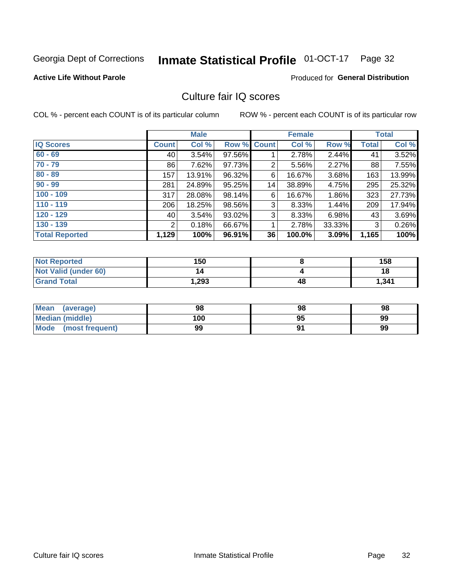#### **Inmate Statistical Profile 01-OCT-17** Page 32

#### **Active Life Without Parole**

#### Produced for General Distribution

### Culture fair IQ scores

COL % - percent each COUNT is of its particular column

|                       |              | <b>Male</b> |                    |    | <b>Female</b> |        |              | <b>Total</b> |
|-----------------------|--------------|-------------|--------------------|----|---------------|--------|--------------|--------------|
| <b>IQ Scores</b>      | <b>Count</b> | Col %       | <b>Row % Count</b> |    | Col %         | Row %  | <b>Total</b> | Col %        |
| $60 - 69$             | 40           | 3.54%       | 97.56%             |    | 2.78%         | 2.44%  | 41           | 3.52%        |
| $70 - 79$             | 86           | 7.62%       | 97.73%             | 2  | 5.56%         | 2.27%  | 88           | 7.55%        |
| $80 - 89$             | 157          | 13.91%      | 96.32%             | 6  | 16.67%        | 3.68%  | 163          | 13.99%       |
| $90 - 99$             | 281          | 24.89%      | 95.25%             | 14 | 38.89%        | 4.75%  | 295          | 25.32%       |
| $100 - 109$           | 317          | 28.08%      | 98.14%             | 6  | 16.67%        | 1.86%  | 323          | 27.73%       |
| $110 - 119$           | 206          | 18.25%      | 98.56%             | 3  | 8.33%         | 1.44%  | 209          | 17.94%       |
| $120 - 129$           | 40           | 3.54%       | 93.02%             | 3  | 8.33%         | 6.98%  | 43           | 3.69%        |
| $130 - 139$           | 2            | 0.18%       | 66.67%             | 1  | 2.78%         | 33.33% | 3            | 0.26%        |
| <b>Total Reported</b> | 1,129        | 100%        | 96.91%             | 36 | 100.0%        | 3.09%  | 1,165        | 100%         |

| <b>Not Reported</b>  | 150  |    | 158   |
|----------------------|------|----|-------|
| Not Valid (under 60) |      |    | 18    |
| <b>Grand Total</b>   | .293 | 48 | 1,341 |

| <b>Mean</b><br>(average) | 98  | 98 | 98 |
|--------------------------|-----|----|----|
| Median (middle)          | 100 | 95 | 99 |
| Mode (most frequent)     | 99  |    | 99 |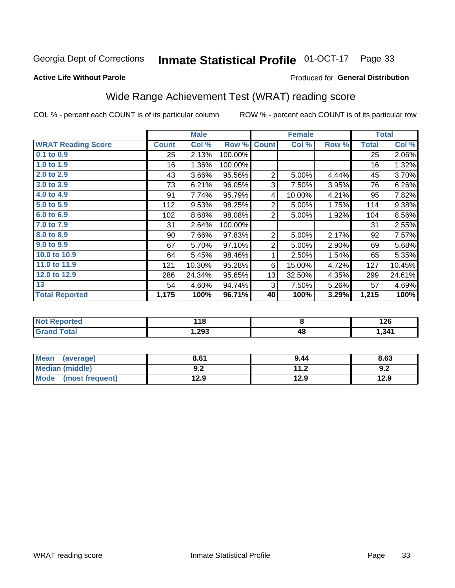#### Inmate Statistical Profile 01-OCT-17 Page 33

#### **Active Life Without Parole**

#### Produced for General Distribution

### Wide Range Achievement Test (WRAT) reading score

COL % - percent each COUNT is of its particular column

ROW % - percent each COUNT is of its particular row

|                           |              | <b>Male</b> |         |                | <b>Female</b> |       |              | <b>Total</b> |
|---------------------------|--------------|-------------|---------|----------------|---------------|-------|--------------|--------------|
| <b>WRAT Reading Score</b> | <b>Count</b> | Col %       | Row %   | <b>Count</b>   | Col %         | Row % | <b>Total</b> | Col %        |
| 0.1 to 0.9                | 25           | 2.13%       | 100.00% |                |               |       | 25           | 2.06%        |
| 1.0 to 1.9                | 16           | 1.36%       | 100.00% |                |               |       | 16           | 1.32%        |
| 2.0 to 2.9                | 43           | 3.66%       | 95.56%  | $\overline{2}$ | 5.00%         | 4.44% | 45           | 3.70%        |
| 3.0 to 3.9                | 73           | 6.21%       | 96.05%  | 3              | 7.50%         | 3.95% | 76           | 6.26%        |
| 4.0 to 4.9                | 91           | 7.74%       | 95.79%  | 4              | 10.00%        | 4.21% | 95           | 7.82%        |
| 5.0 to 5.9                | 112          | 9.53%       | 98.25%  | $\overline{c}$ | 5.00%         | 1.75% | 114          | 9.38%        |
| 6.0 to 6.9                | 102          | 8.68%       | 98.08%  | $\overline{2}$ | 5.00%         | 1.92% | 104          | 8.56%        |
| 7.0 to 7.9                | 31           | 2.64%       | 100.00% |                |               |       | 31           | 2.55%        |
| 8.0 to 8.9                | 90           | 7.66%       | 97.83%  | $\overline{c}$ | 5.00%         | 2.17% | 92           | 7.57%        |
| 9.0 to 9.9                | 67           | 5.70%       | 97.10%  | $\mathbf 2$    | 5.00%         | 2.90% | 69           | 5.68%        |
| 10.0 to 10.9              | 64           | 5.45%       | 98.46%  | 1              | 2.50%         | 1.54% | 65           | 5.35%        |
| 11.0 to 11.9              | 121          | 10.30%      | 95.28%  | 6              | 15.00%        | 4.72% | 127          | 10.45%       |
| 12.0 to 12.9              | 286          | 24.34%      | 95.65%  | 13             | 32.50%        | 4.35% | 299          | 24.61%       |
| 13                        | 54           | 4.60%       | 94.74%  | 3              | 7.50%         | 5.26% | 57           | 4.69%        |
| <b>Total Reported</b>     | 1,175        | 100%        | 96.71%  | 40             | 100%          | 3.29% | 1,215        | 100%         |
|                           |              |             |         |                |               |       |              |              |
| <b>Not Reported</b>       |              | 118         |         |                | 8             |       |              | 126          |
| <b>Grand Total</b>        |              | 1,293       |         |                | 48            |       |              | 1,341        |

| <b>Mean</b><br>(average) | 8.61       | 9.44 | 8.63 |
|--------------------------|------------|------|------|
| <b>Median (middle)</b>   | י ה<br>J.Z | 11.2 | 9.2  |
| Mode<br>(most frequent)  | 12.9       | 12.9 | 12.9 |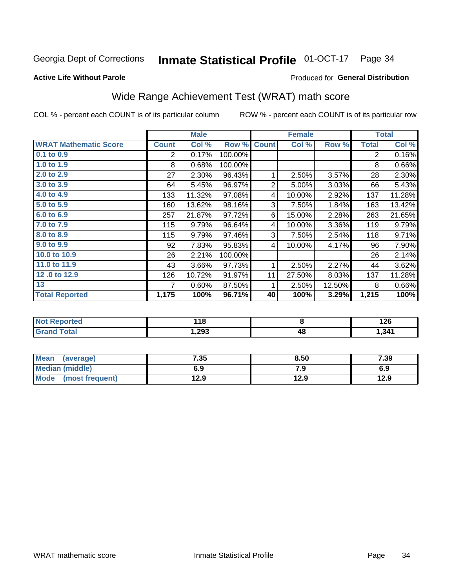#### **Inmate Statistical Profile 01-OCT-17** Page 34

#### **Active Life Without Parole**

#### Produced for General Distribution

## Wide Range Achievement Test (WRAT) math score

COL % - percent each COUNT is of its particular column

|                              |                | <b>Male</b> |         |                | <b>Female</b> |        |              | <b>Total</b> |
|------------------------------|----------------|-------------|---------|----------------|---------------|--------|--------------|--------------|
| <b>WRAT Mathematic Score</b> | <b>Count</b>   | Col %       | Row %   | <b>Count</b>   | Col %         | Row %  | <b>Total</b> | Col %        |
| 0.1 to 0.9                   | $\overline{2}$ | 0.17%       | 100.00% |                |               |        | 2            | 0.16%        |
| 1.0 to 1.9                   | 8              | 0.68%       | 100.00% |                |               |        | 8            | 0.66%        |
| 2.0 to 2.9                   | 27             | 2.30%       | 96.43%  | 1              | 2.50%         | 3.57%  | 28           | 2.30%        |
| 3.0 to 3.9                   | 64             | 5.45%       | 96.97%  | $\overline{2}$ | 5.00%         | 3.03%  | 66           | 5.43%        |
| 4.0 to 4.9                   | 133            | 11.32%      | 97.08%  | 4              | 10.00%        | 2.92%  | 137          | 11.28%       |
| 5.0 to 5.9                   | 160            | 13.62%      | 98.16%  | 3              | 7.50%         | 1.84%  | 163          | 13.42%       |
| 6.0 to 6.9                   | 257            | 21.87%      | 97.72%  | 6              | 15.00%        | 2.28%  | 263          | 21.65%       |
| 7.0 to 7.9                   | 115            | 9.79%       | 96.64%  | 4              | 10.00%        | 3.36%  | 119          | 9.79%        |
| 8.0 to 8.9                   | 115            | 9.79%       | 97.46%  | 3              | 7.50%         | 2.54%  | 118          | 9.71%        |
| 9.0 to 9.9                   | 92             | 7.83%       | 95.83%  | 4              | 10.00%        | 4.17%  | 96           | 7.90%        |
| 10.0 to 10.9                 | 26             | 2.21%       | 100.00% |                |               |        | 26           | 2.14%        |
| 11.0 to 11.9                 | 43             | 3.66%       | 97.73%  | 1              | 2.50%         | 2.27%  | 44           | 3.62%        |
| 12.0 to 12.9                 | 126            | 10.72%      | 91.97%  | 11             | 27.50%        | 8.03%  | 137          | 11.28%       |
| 13                           | 7              | 0.60%       | 87.50%  | 1              | 2.50%         | 12.50% | 8            | 0.66%        |
| <b>Total Reported</b>        | 1,175          | 100%        | 96.71%  | 40             | 100%          | 3.29%  | 1,215        | 100%         |
|                              |                |             |         |                |               |        |              |              |
|                              |                |             |         |                |               |        |              |              |

| <b>Not</b>  | 140   |    | ,     |
|-------------|-------|----|-------|
| Reported    | 1 I O |    | 14V   |
| <b>otal</b> | .293, | 48 | 1,341 |

| <b>Mean</b><br>(average)       | 7.35 | 8.50 | 7.39 |
|--------------------------------|------|------|------|
| Median (middle)                | 6.9  | 7.9  | 6.9  |
| <b>Mode</b><br>(most frequent) | 12.9 | 12.9 | 12.9 |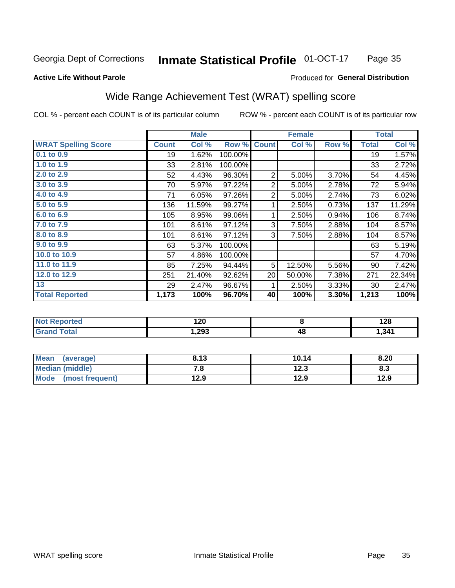#### **Inmate Statistical Profile 01-OCT-17** Page 35

#### **Active Life Without Parole**

#### Produced for General Distribution

### Wide Range Achievement Test (WRAT) spelling score

COL % - percent each COUNT is of its particular column

|                            |              | <b>Male</b> |         |                | <b>Female</b>           |       |              | <b>Total</b> |
|----------------------------|--------------|-------------|---------|----------------|-------------------------|-------|--------------|--------------|
| <b>WRAT Spelling Score</b> | <b>Count</b> | Col %       | Row %   | <b>Count</b>   | Col %                   | Row % | <b>Total</b> | Col %        |
| 0.1 to 0.9                 | 19           | 1.62%       | 100.00% |                |                         |       | 19           | 1.57%        |
| 1.0 to $1.9$               | 33           | 2.81%       | 100.00% |                |                         |       | 33           | 2.72%        |
| 2.0 to 2.9                 | 52           | 4.43%       | 96.30%  | $\overline{2}$ | 5.00%                   | 3.70% | 54           | 4.45%        |
| 3.0 to 3.9                 | 70           | 5.97%       | 97.22%  | $\overline{2}$ | 5.00%                   | 2.78% | 72           | 5.94%        |
| 4.0 to 4.9                 | 71           | 6.05%       | 97.26%  | $\overline{2}$ | 5.00%                   | 2.74% | 73           | 6.02%        |
| 5.0 to 5.9                 | 136          | 11.59%      | 99.27%  | 1              | 2.50%                   | 0.73% | 137          | 11.29%       |
| 6.0 to 6.9                 | 105          | 8.95%       | 99.06%  | 1              | 2.50%                   | 0.94% | 106          | 8.74%        |
| 7.0 to 7.9                 | 101          | 8.61%       | 97.12%  | 3              | 7.50%                   | 2.88% | 104          | 8.57%        |
| 8.0 to 8.9                 | 101          | 8.61%       | 97.12%  | 3              | 7.50%                   | 2.88% | 104          | 8.57%        |
| 9.0 to 9.9                 | 63           | 5.37%       | 100.00% |                |                         |       | 63           | 5.19%        |
| 10.0 to 10.9               | 57           | 4.86%       | 100.00% |                |                         |       | 57           | 4.70%        |
| 11.0 to 11.9               | 85           | 7.25%       | 94.44%  | 5              | 12.50%                  | 5.56% | 90           | 7.42%        |
| 12.0 to 12.9               | 251          | 21.40%      | 92.62%  | 20             | 50.00%                  | 7.38% | 271          | 22.34%       |
| 13                         | 29           | 2.47%       | 96.67%  | 1              | 2.50%                   | 3.33% | 30           | 2.47%        |
| <b>Total Reported</b>      | 1,173        | 100%        | 96.70%  | 40             | 100%                    | 3.30% | 1,213        | 100%         |
|                            |              |             |         |                |                         |       |              |              |
| <b>Not Reported</b>        |              | 120         |         |                | $\overline{\mathbf{8}}$ |       |              | 128          |
| <b>Grand Total</b>         |              | 1,293       |         |                | 48                      |       |              | 1,341        |

| <b>Mean</b><br>(average)       | 8.13 | 10.14 | 8.20 |
|--------------------------------|------|-------|------|
| Median (middle)                | 7. O | 12.3  | ი.ა  |
| <b>Mode</b><br>(most frequent) | 12.9 | 12.9  | 12.9 |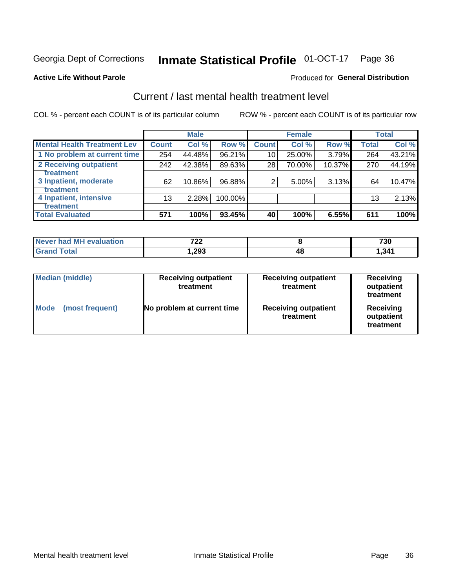## Inmate Statistical Profile 01-OCT-17 Page 36

#### **Active Life Without Parole**

#### Produced for General Distribution

## Current / last mental health treatment level

COL % - percent each COUNT is of its particular column

|                                    |              | <b>Male</b> |         |              | <b>Female</b> |        |                 | <b>Total</b> |
|------------------------------------|--------------|-------------|---------|--------------|---------------|--------|-----------------|--------------|
| <b>Mental Health Treatment Lev</b> | <b>Count</b> | Col %       | Row %   | <b>Count</b> | Col%          | Row %  | <b>Total</b>    | Col %        |
| 1 No problem at current time       | 254          | 44.48%      | 96.21%  | 10           | 25.00%        | 3.79%  | 264             | 43.21%       |
| 2 Receiving outpatient             | 242          | 42.38%      | 89.63%  | 28           | 70.00%        | 10.37% | 270             | 44.19%       |
| <b>Treatment</b>                   |              |             |         |              |               |        |                 |              |
| 3 Inpatient, moderate              | 62           | 10.86%      | 96.88%  | 2            | 5.00%         | 3.13%  | 64              | 10.47%       |
| <b>Treatment</b>                   |              |             |         |              |               |        |                 |              |
| 4 Inpatient, intensive             | 13           | 2.28%       | 100.00% |              |               |        | 13 <sub>1</sub> | 2.13%        |
| Treatment                          |              |             |         |              |               |        |                 |              |
| <b>Total Evaluated</b>             | 571          | 100%        | 93.45%  | 40           | 100%          | 6.55%  | 611             | 100%         |

| Never had MH evaluation | 700<br>LL |    | 730   |
|-------------------------|-----------|----|-------|
| Total                   | 293. ،    | 48 | 341.ا |

| <b>Median (middle)</b>         | <b>Receiving outpatient</b><br>treatment | <b>Receiving outpatient</b><br>treatment | <b>Receiving</b><br>outpatient<br>treatment |
|--------------------------------|------------------------------------------|------------------------------------------|---------------------------------------------|
| <b>Mode</b><br>(most frequent) | No problem at current time               | <b>Receiving outpatient</b><br>treatment | Receiving<br>outpatient<br>treatment        |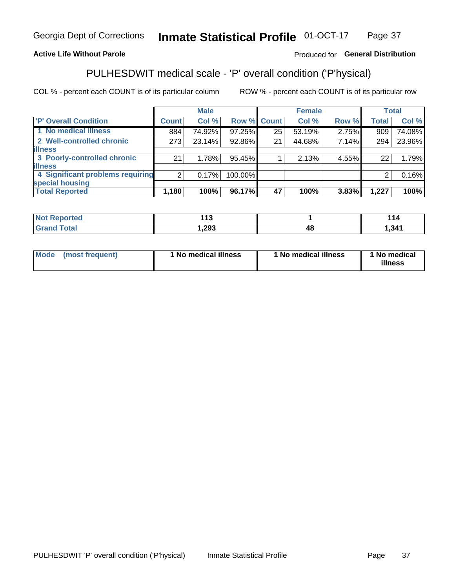#### **Inmate Statistical Profile 01-OCT-17** Page 37

#### **Active Life Without Parole**

#### Produced for General Distribution

## PULHESDWIT medical scale - 'P' overall condition ('P'hysical)

COL % - percent each COUNT is of its particular column

|                                  |                | <b>Male</b> |             |    | <b>Female</b> |       |              | <b>Total</b> |
|----------------------------------|----------------|-------------|-------------|----|---------------|-------|--------------|--------------|
| 'P' Overall Condition            | Count l        | Col %       | Row % Count |    | Col %         | Row % | <b>Total</b> | Col %        |
| 1 No medical illness             | 884            | 74.92%      | 97.25%      | 25 | 53.19%        | 2.75% | 909          | 74.08%       |
| 2 Well-controlled chronic        | 273            | 23.14%      | 92.86%      | 21 | 44.68%        | 7.14% | 294          | 23.96%       |
| <b>illness</b>                   |                |             |             |    |               |       |              |              |
| 3 Poorly-controlled chronic      | 21             | 1.78%       | 95.45%      |    | 2.13%         | 4.55% | 22           | 1.79%        |
| <b>illness</b>                   |                |             |             |    |               |       |              |              |
| 4 Significant problems requiring | $\overline{2}$ | 0.17%       | 100.00%     |    |               |       | 2            | 0.16%        |
| special housing                  |                |             |             |    |               |       |              |              |
| <b>Total Reported</b>            | 1,180          | 100%        | 96.17%      | 47 | 100%          | 3.83% | 1,227        | 100%         |

|       | $\overline{ }$<br>. . |    | 44               |
|-------|-----------------------|----|------------------|
| _____ | ,293                  | 48 | .34 <sup>4</sup> |

| <b>Mode</b> | (most frequent) | 1 No medical illness | 1 No medical illness | 1 No medical<br>illness |
|-------------|-----------------|----------------------|----------------------|-------------------------|
|-------------|-----------------|----------------------|----------------------|-------------------------|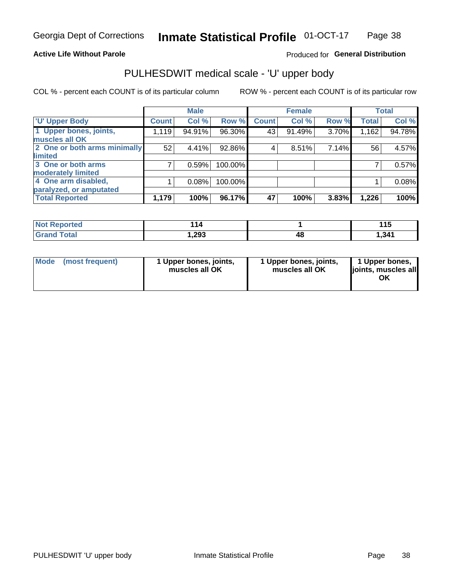#### **Active Life Without Parole**

#### Produced for General Distribution

## PULHESDWIT medical scale - 'U' upper body

COL % - percent each COUNT is of its particular column

|                              |              | <b>Male</b> |         |              | <b>Female</b> |       |              | <b>Total</b> |
|------------------------------|--------------|-------------|---------|--------------|---------------|-------|--------------|--------------|
| <b>'U' Upper Body</b>        | <b>Count</b> | Col %       | Row %   | <b>Count</b> | Col %         | Row % | <b>Total</b> | Col %        |
| 1 Upper bones, joints,       | 1,119        | 94.91%      | 96.30%  | 43           | 91.49%        | 3.70% | 1,162        | 94.78%       |
| muscles all OK               |              |             |         |              |               |       |              |              |
| 2 One or both arms minimally | 52           | 4.41%       | 92.86%  | 4            | 8.51%         | 7.14% | 56           | 4.57%        |
| limited                      |              |             |         |              |               |       |              |              |
| 3 One or both arms           |              | 0.59%       | 100.00% |              |               |       |              | 0.57%        |
| <b>moderately limited</b>    |              |             |         |              |               |       |              |              |
| 4 One arm disabled,          |              | 0.08%       | 100.00% |              |               |       |              | 0.08%        |
| paralyzed, or amputated      |              |             |         |              |               |       |              |              |
| <b>Total Reported</b>        | 1,179        | 100%        | 96.17%  | 47           | 100%          | 3.83% | 1,226        | 100%         |

| <b>Not Reported</b>  | - 19 |    | AA<br>. |
|----------------------|------|----|---------|
| <b>Total</b><br>Grar | ,293 | 4٤ | 1,341   |

| Mode | (most frequent) | 1 Upper bones, joints,<br>muscles all OK | 1 Upper bones, joints,<br>muscles all OK | 1 Upper bones,<br>ljoints, muscles all<br>OK |
|------|-----------------|------------------------------------------|------------------------------------------|----------------------------------------------|
|------|-----------------|------------------------------------------|------------------------------------------|----------------------------------------------|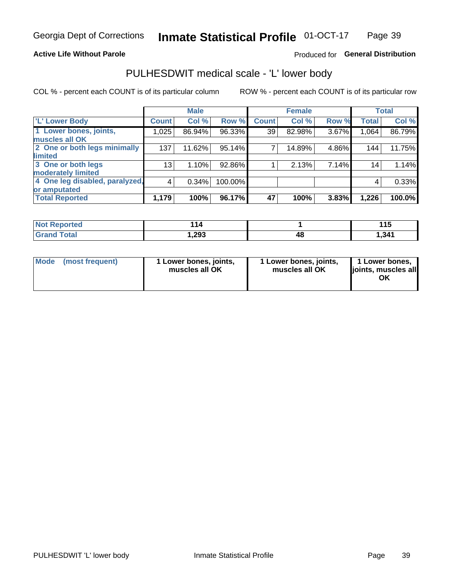#### **Active Life Without Parole**

#### Produced for General Distribution

## PULHESDWIT medical scale - 'L' lower body

COL % - percent each COUNT is of its particular column

|                                |              | <b>Male</b> |         |              | <b>Female</b> |       |              | <b>Total</b> |
|--------------------------------|--------------|-------------|---------|--------------|---------------|-------|--------------|--------------|
| 'L' Lower Body                 | <b>Count</b> | Col %       | Row %   | <b>Count</b> | Col %         | Row % | <b>Total</b> | Col %        |
| 1 Lower bones, joints,         | 1,025        | 86.94%      | 96.33%  | 39           | 82.98%        | 3.67% | 1,064        | 86.79%       |
| muscles all OK                 |              |             |         |              |               |       |              |              |
| 2 One or both legs minimally   | 137          | 11.62%      | 95.14%  | 7            | 14.89%        | 4.86% | 144          | 11.75%       |
| limited                        |              |             |         |              |               |       |              |              |
| 3 One or both legs             | 13           | 1.10%       | 92.86%  |              | 2.13%         | 7.14% | 14           | 1.14%        |
| moderately limited             |              |             |         |              |               |       |              |              |
| 4 One leg disabled, paralyzed, | 4            | 0.34%       | 100.00% |              |               |       | 4            | 0.33%        |
| or amputated                   |              |             |         |              |               |       |              |              |
| <b>Total Reported</b>          | 1,179        | 100%        | 96.17%  | 47           | 100%          | 3.83% | 1,226        | 100.0%       |

| <b>Not Reported</b> | 14     |    | 44 F<br>. |
|---------------------|--------|----|-----------|
| <b>Grand Total</b>  | 293, ، | 48 | 341.ا     |

| Mode | (most frequent) | 1 Lower bones, joints,<br>muscles all OK | 1 Lower bones, joints,<br>muscles all OK | 1 Lower bones,<br>ljoints, muscles all<br>OK |
|------|-----------------|------------------------------------------|------------------------------------------|----------------------------------------------|
|------|-----------------|------------------------------------------|------------------------------------------|----------------------------------------------|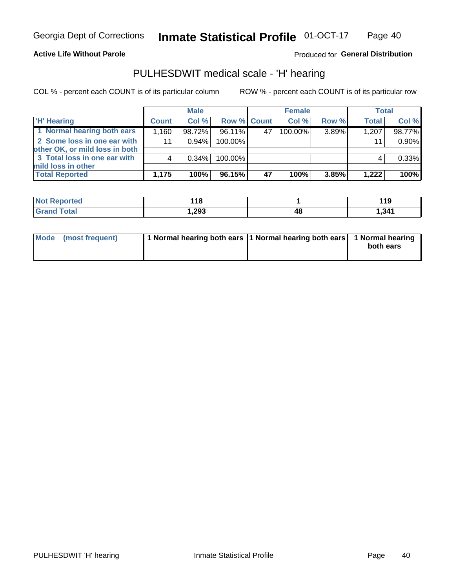#### **Active Life Without Parole**

#### Produced for General Distribution

### PULHESDWIT medical scale - 'H' hearing

COL % - percent each COUNT is of its particular column

|                                                               |                   | <b>Male</b> |             |    | <b>Female</b> |       | <b>Total</b> |        |
|---------------------------------------------------------------|-------------------|-------------|-------------|----|---------------|-------|--------------|--------|
| <b>H'</b> Hearing                                             | <b>Count</b>      | Col %       | Row % Count |    | Col%          | Row % | <b>Total</b> | Col %  |
| 1 Normal hearing both ears                                    | .160 <sup>†</sup> | 98.72%      | 96.11%      | 47 | 100.00%       | 3.89% | 1,207        | 98.77% |
| 2 Some loss in one ear with<br>other OK, or mild loss in both | 11 <sub>1</sub>   | 0.94%       | 100.00%     |    |               |       | 11           | 0.90%  |
| 3 Total loss in one ear with<br>mild loss in other            |                   | 0.34%       | 100.00%     |    |               |       |              | 0.33%  |
| <b>Total Reported</b>                                         | 1,175             | 100%        | 96.15%      | 47 | 100%          | 3.85% | 1,222        | 100%   |

| <b>Not</b>      | 18    |    | 1 4 C       |
|-----------------|-------|----|-------------|
| <b>Reported</b> | __    |    | <u> 1 J</u> |
| <b>Total</b>    | .293, | 4۵ | 1,341       |

| Mode (most frequent) | 1 Normal hearing both ears 1 Normal hearing both ears 1 Normal hearing | both ears |
|----------------------|------------------------------------------------------------------------|-----------|
|                      |                                                                        |           |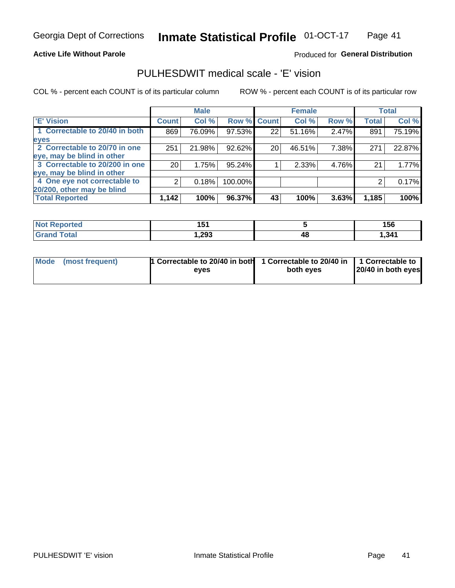#### **Active Life Without Parole**

#### Produced for General Distribution

### PULHESDWIT medical scale - 'E' vision

COL % - percent each COUNT is of its particular column

|                                |              | <b>Male</b> |             |    | <b>Female</b> |       |              | <b>Total</b> |
|--------------------------------|--------------|-------------|-------------|----|---------------|-------|--------------|--------------|
| <b>E' Vision</b>               | <b>Count</b> | Col %       | Row % Count |    | Col %         | Row % | <b>Total</b> | Col %        |
| 1 Correctable to 20/40 in both | 869          | 76.09%      | 97.53%      | 22 | 51.16%        | 2.47% | 891          | 75.19%       |
| eyes                           |              |             |             |    |               |       |              |              |
| 2 Correctable to 20/70 in one  | 251          | 21.98%      | 92.62%      | 20 | 46.51%        | 7.38% | 271          | 22.87%       |
| eye, may be blind in other     |              |             |             |    |               |       |              |              |
| 3 Correctable to 20/200 in one | 20           | 1.75%       | $95.24\%$   |    | 2.33%         | 4.76% | 21           | 1.77%        |
| eye, may be blind in other     |              |             |             |    |               |       |              |              |
| 4 One eye not correctable to   | 2            | 0.18%       | 100.00%     |    |               |       | 2            | 0.17%        |
| 20/200, other may be blind     |              |             |             |    |               |       |              |              |
| <b>Total Reported</b>          | 1,142        | 100%        | $96.37\%$   | 43 | 100%          | 3.63% | 1,185        | 100%         |

| <b>Not Reported</b> | .<br>ט ו |    | 156  |
|---------------------|----------|----|------|
| Total               | ,293     | 48 | .341 |

| Mode (most frequent) | 1 Correctable to 20/40 in both<br>eves | 1 Correctable to 20/40 in   1 Correctable to<br>both eyes | 20/40 in both eyes |
|----------------------|----------------------------------------|-----------------------------------------------------------|--------------------|
|                      |                                        |                                                           |                    |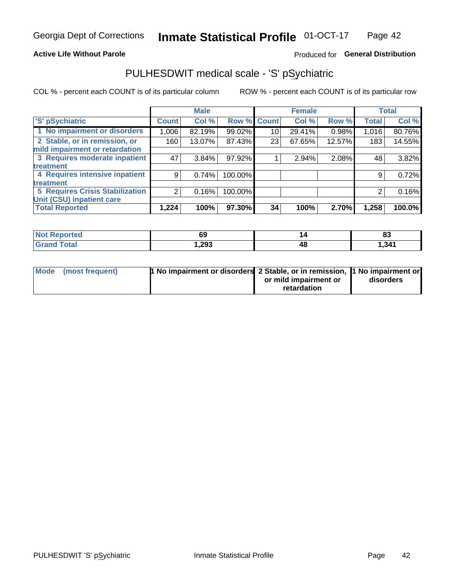#### **Active Life Without Parole**

#### Produced for General Distribution

## PULHESDWIT medical scale - 'S' pSychiatric

COL % - percent each COUNT is of its particular column

|                                        |              | <b>Male</b> |         |             | <b>Female</b> |        |              | <b>Total</b> |
|----------------------------------------|--------------|-------------|---------|-------------|---------------|--------|--------------|--------------|
| 'S' pSychiatric                        | <b>Count</b> | Col %       |         | Row % Count | Col %         | Row %  | <b>Total</b> | Col %        |
| 1 No impairment or disorders           | 1,006        | 82.19%      | 99.02%  | 10          | 29.41%        | 0.98%  | 1,016        | 80.76%       |
| 2 Stable, or in remission, or          | 160          | 13.07%      | 87.43%  | 23          | 67.65%        | 12.57% | 183          | 14.55%       |
| mild impairment or retardation         |              |             |         |             |               |        |              |              |
| 3 Requires moderate inpatient          | 47           | $3.84\%$    | 97.92%  |             | 2.94%         | 2.08%  | 48           | 3.82%        |
| <b>treatment</b>                       |              |             |         |             |               |        |              |              |
| 4 Requires intensive inpatient         | 9            | 0.74%       | 100.00% |             |               |        | 9            | 0.72%        |
| treatment                              |              |             |         |             |               |        |              |              |
| <b>5 Requires Crisis Stabilization</b> | ⌒            | 0.16%       | 100.00% |             |               |        | 2            | 0.16%        |
| Unit (CSU) inpatient care              |              |             |         |             |               |        |              |              |
| <b>Total Reported</b>                  | 1,224        | 100%        | 97.30%  | 34          | 100%          | 2.70%  | 1,258        | 100.0%       |

| <b>Not Reported</b>     | $\epsilon$ | . . | 00    |
|-------------------------|------------|-----|-------|
|                         | ັບ         |     | ია    |
| <b>Total</b><br><b></b> | 1,293      | 47  | , 341 |

| Mode (most frequent) | <b>1 No impairment or disorders</b> 2 Stable, or in remission, 11 No impairment or |                       |           |
|----------------------|------------------------------------------------------------------------------------|-----------------------|-----------|
|                      |                                                                                    | or mild impairment or | disorders |
|                      |                                                                                    | retardation           |           |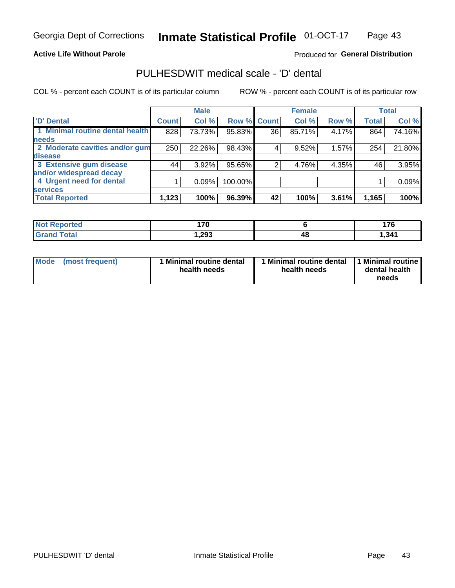#### **Active Life Without Parole**

#### Produced for General Distribution

## PULHESDWIT medical scale - 'D' dental

COL % - percent each COUNT is of its particular column

|                                 |              | <b>Male</b> |         |              | <b>Female</b> |       |              | <b>Total</b> |
|---------------------------------|--------------|-------------|---------|--------------|---------------|-------|--------------|--------------|
| <b>D'</b> Dental                | <b>Count</b> | Col %       | Row %   | <b>Count</b> | Col %         | Row % | <b>Total</b> | Col %        |
| 1 Minimal routine dental health | 828          | 73.73%      | 95.83%  | 36           | 85.71%        | 4.17% | 864          | 74.16%       |
| <b>needs</b>                    |              |             |         |              |               |       |              |              |
| 2 Moderate cavities and/or gum  | 250          | 22.26%      | 98.43%  | 4            | 9.52%         | 1.57% | 254          | 21.80%       |
| disease                         |              |             |         |              |               |       |              |              |
| 3 Extensive gum disease         | 44           | 3.92%       | 95.65%  | ⌒            | 4.76%         | 4.35% | 46           | 3.95%        |
| and/or widespread decay         |              |             |         |              |               |       |              |              |
| 4 Urgent need for dental        |              | 0.09%       | 100.00% |              |               |       |              | 0.09%        |
| <b>services</b>                 |              |             |         |              |               |       |              |              |
| <b>Total Reported</b>           | 1,123        | 100%        | 96.39%  | 42           | 100%          | 3.61% | 1,165        | 100%         |

| <b>Not Reported</b> | 17M  |    | ---  |
|---------------------|------|----|------|
| Total               | ,293 | 48 | .341 |

| <b>Mode</b> | (most frequent) | <b>Minimal routine dental</b><br>health needs | 1 Minimal routine dental   1 Minimal routine  <br>health needs | dental health<br>needs |
|-------------|-----------------|-----------------------------------------------|----------------------------------------------------------------|------------------------|
|-------------|-----------------|-----------------------------------------------|----------------------------------------------------------------|------------------------|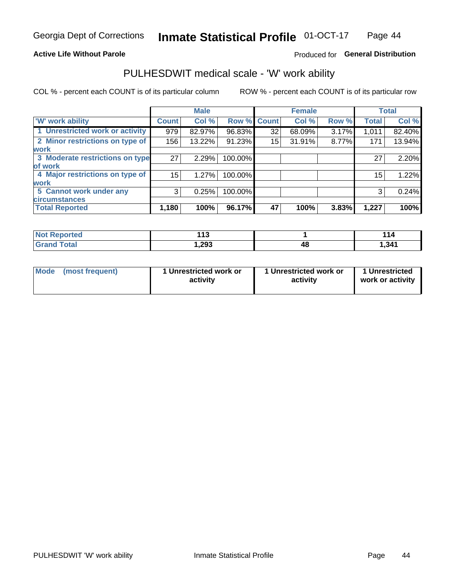#### **Active Life Without Parole**

#### Produced for General Distribution

### PULHESDWIT medical scale - 'W' work ability

COL % - percent each COUNT is of its particular column

|                                 |              | <b>Male</b> |         |             | <b>Female</b> |       |              | <b>Total</b> |
|---------------------------------|--------------|-------------|---------|-------------|---------------|-------|--------------|--------------|
| <b>W' work ability</b>          | <b>Count</b> | Col %       |         | Row % Count | Col %         | Row % | <b>Total</b> | Col %        |
| 1 Unrestricted work or activity | 979          | 82.97%      | 96.83%  | 32          | 68.09%        | 3.17% | 1,011        | 82.40%       |
| 2 Minor restrictions on type of | 156          | 13.22%      | 91.23%  | 15          | 31.91%        | 8.77% | 171          | 13.94%       |
| <b>work</b>                     |              |             |         |             |               |       |              |              |
| 3 Moderate restrictions on type | 27           | 2.29%       | 100.00% |             |               |       | 27           | 2.20%        |
| lof work                        |              |             |         |             |               |       |              |              |
| 4 Major restrictions on type of | 15           | 1.27%       | 100.00% |             |               |       | 15           | 1.22%        |
| <b>work</b>                     |              |             |         |             |               |       |              |              |
| 5 Cannot work under any         | 3            | 0.25%       | 100.00% |             |               |       | 3            | 0.24%        |
| <b>circumstances</b>            |              |             |         |             |               |       |              |              |
| <b>Total Reported</b>           | 1,180        | 100%        | 96.17%  | 47          | 100%          | 3.83% | 1,227        | 100%         |

| <b>Not Reported</b>         | 442<br>. |    |       |
|-----------------------------|----------|----|-------|
| <b>Total</b><br><b>Cron</b> | 293, ا   | 4č | 1,341 |

| Mode (most frequent) | 1 Unrestricted work or | 1 Unrestricted work or | 1 Unrestricted   |
|----------------------|------------------------|------------------------|------------------|
|                      | activity               | activity               | work or activity |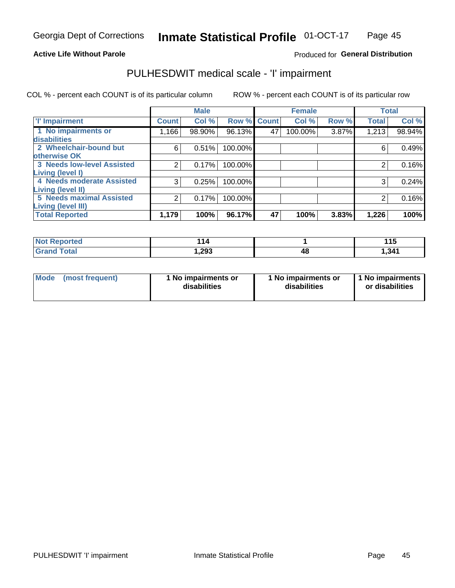#### **Active Life Without Parole**

#### Produced for General Distribution

## PULHESDWIT medical scale - 'I' impairment

COL % - percent each COUNT is of its particular column ROW % - percent each COUNT is of its particular row

|                                                       |              | <b>Male</b> |             |    | <b>Female</b> |       |              | <b>Total</b> |
|-------------------------------------------------------|--------------|-------------|-------------|----|---------------|-------|--------------|--------------|
| <b>T' Impairment</b>                                  | <b>Count</b> | Col %       | Row % Count |    | Col %         | Row % | <b>Total</b> | Col %        |
| 1 No impairments or<br>disabilities                   | 1,166        | 98.90%      | 96.13%      | 47 | 100.00%       | 3.87% | 1,213        | 98.94%       |
| 2 Wheelchair-bound but<br>otherwise OK                | 6            | 0.51%       | 100.00%     |    |               |       | 6            | 0.49%        |
| <b>3 Needs low-level Assisted</b><br>Living (level I) | 2            | 0.17%       | 100.00%     |    |               |       |              | 0.16%        |
| 4 Needs moderate Assisted<br>Living (level II)        | 3            | 0.25%       | 100.00%     |    |               |       | 3            | 0.24%        |
| <b>5 Needs maximal Assisted</b><br>Living (level III) | 2            | 0.17%       | 100.00%     |    |               |       | 2            | 0.16%        |
| <b>Total Reported</b>                                 | 1,179        | 100%        | 96.17%      | 47 | 100%          | 3.83% | 1,226        | 100%         |

| orted       | 44<br>14 |    | <b>44F</b><br>. |
|-------------|----------|----|-----------------|
| <b>otal</b> | 1,293    | łС | 341,ا           |

| Mode | (most frequent) | 1 No impairments or<br>disabilities | 1 No impairments or<br>disabilities | 1 No impairments<br>or disabilities |
|------|-----------------|-------------------------------------|-------------------------------------|-------------------------------------|
|------|-----------------|-------------------------------------|-------------------------------------|-------------------------------------|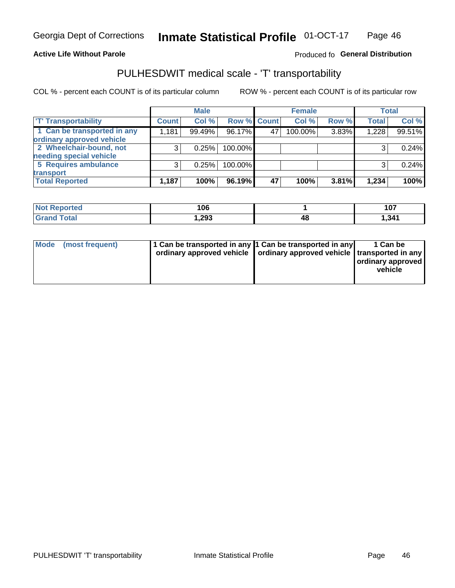#### **Active Life Without Parole**

#### Produced fo General Distribution

## PULHESDWIT medical scale - 'T' transportability

COL % - percent each COUNT is of its particular column

|                             |              | <b>Male</b> |             |    | <b>Female</b> |       |              | <b>Total</b> |
|-----------------------------|--------------|-------------|-------------|----|---------------|-------|--------------|--------------|
| <b>T' Transportability</b>  | <b>Count</b> | Col %       | Row % Count |    | Col %         | Row % | <b>Total</b> | Col %        |
| 1 Can be transported in any | 1,181        | 99.49%      | 96.17%      | 47 | 100.00%       | 3.83% | 1,228        | 99.51%       |
| ordinary approved vehicle   |              |             |             |    |               |       |              |              |
| 2 Wheelchair-bound, not     |              | 0.25%       | 100.00%     |    |               |       |              | 0.24%        |
| needing special vehicle     |              |             |             |    |               |       |              |              |
| 5 Requires ambulance        |              | 0.25%       | 100.00%     |    |               |       |              | 0.24%        |
| transport                   |              |             |             |    |               |       |              |              |
| <b>Total Reported</b>       | 1,187        | 100%        | 96.19%      | 47 | 100%          | 3.81% | 1,234        | 100%         |

| eported | 106    |    | 107   |
|---------|--------|----|-------|
|         | 293, ا | 4Ł | 1,341 |

| Mode (most frequent) | 1 Can be transported in any 1 Can be transported in any | ordinary approved vehicle   ordinary approved vehicle   transported in any | 1 Can be<br>ordinary approved<br>vehicle |
|----------------------|---------------------------------------------------------|----------------------------------------------------------------------------|------------------------------------------|
|                      |                                                         |                                                                            |                                          |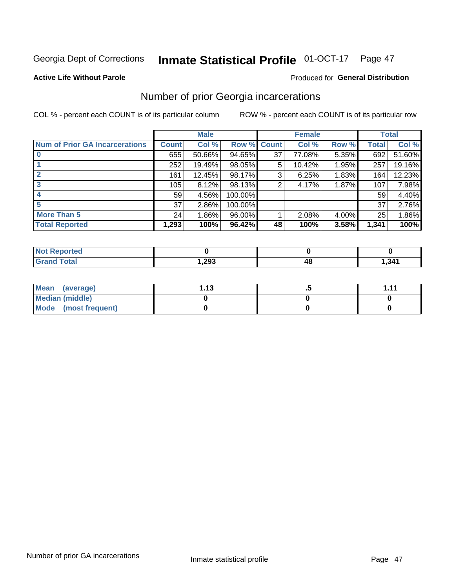#### **Inmate Statistical Profile 01-OCT-17** Page 47

#### **Active Life Without Parole**

#### Produced for General Distribution

### Number of prior Georgia incarcerations

COL % - percent each COUNT is of its particular column

|                                       |              | <b>Male</b> |                    |    | <b>Female</b> |       |       | <b>Total</b> |
|---------------------------------------|--------------|-------------|--------------------|----|---------------|-------|-------|--------------|
| <b>Num of Prior GA Incarcerations</b> | <b>Count</b> | Col %       | <b>Row % Count</b> |    | Col %         | Row % | Total | Col %        |
|                                       | 655          | 50.66%      | 94.65%             | 37 | 77.08%        | 5.35% | 692   | 51.60%       |
|                                       | 252          | 19.49%      | 98.05%             | 5  | 10.42%        | 1.95% | 257   | 19.16%       |
|                                       | 161          | 12.45%      | 98.17%             | 3  | 6.25%         | 1.83% | 164   | 12.23%       |
| 3                                     | 105          | 8.12%       | 98.13%             | 2  | 4.17%         | 1.87% | 107   | 7.98%        |
| 4                                     | 59           | 4.56%       | 100.00%            |    |               |       | 59    | 4.40%        |
| 5                                     | 37           | 2.86%       | 100.00%            |    |               |       | 37    | 2.76%        |
| <b>More Than 5</b>                    | 24           | 1.86%       | 96.00%             |    | 2.08%         | 4.00% | 25    | 1.86%        |
| <b>Total Reported</b>                 | 1,293        | 100%        | 96.42%             | 48 | 100%          | 3.58% | 1,341 | 100%         |

| orted<br><b>NI</b>              |       |    |       |
|---------------------------------|-------|----|-------|
| <b>otal</b><br>$\mathbf{v}$ and | .293. | ΔЭ | 1,341 |

| Mean (average)         | 1 1 2 | 4444 |
|------------------------|-------|------|
| <b>Median (middle)</b> |       |      |
| Mode (most frequent)   |       |      |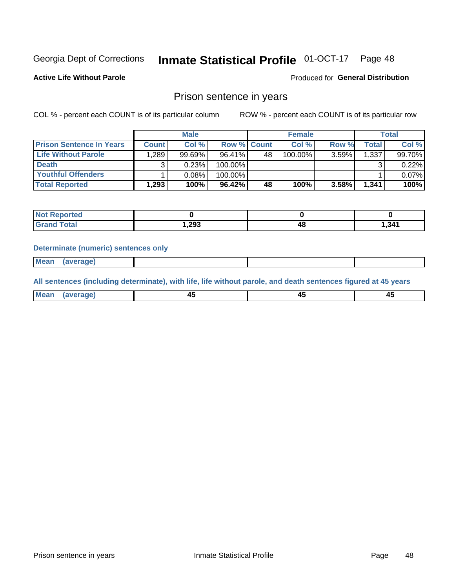#### **Inmate Statistical Profile 01-OCT-17** Page 48

**Active Life Without Parole** 

Produced for General Distribution

#### Prison sentence in years

COL % - percent each COUNT is of its particular column

ROW % - percent each COUNT is of its particular row

|                                 | <b>Male</b>  |        |                    | <b>Female</b> |         |       | <b>Total</b>       |        |
|---------------------------------|--------------|--------|--------------------|---------------|---------|-------|--------------------|--------|
| <b>Prison Sentence In Years</b> | <b>Count</b> | Col %  | <b>Row % Count</b> |               | Col %   | Row % | Total <sub>1</sub> | Col %  |
| Life Without Parole             | .289         | 99.69% | 96.41%             | 48            | 100.00% | 3.59% | 1.337              | 99.70% |
| <b>Death</b>                    |              | 0.23%  | 100.00%            |               |         |       |                    | 0.22%  |
| <b>Youthful Offenders</b>       |              | 0.08%  | 100.00%            |               |         |       |                    | 0.07%  |
| <b>Total Reported</b>           | 1,293        | 100%   | 96.42%             | 48            | 100%    | 3.58% | 1,341              | 100%   |

| Reported     |        |    |        |
|--------------|--------|----|--------|
| <b>Total</b> | 293. ا | 48 | 341. ا |

#### **Determinate (numeric) sentences only**

**Mean** (average)

All sentences (including determinate), with life, life without parole, and death sentences figured at 45 years

| l Mea | --     | --     |  |
|-------|--------|--------|--|
| апе   | $\sim$ | $\sim$ |  |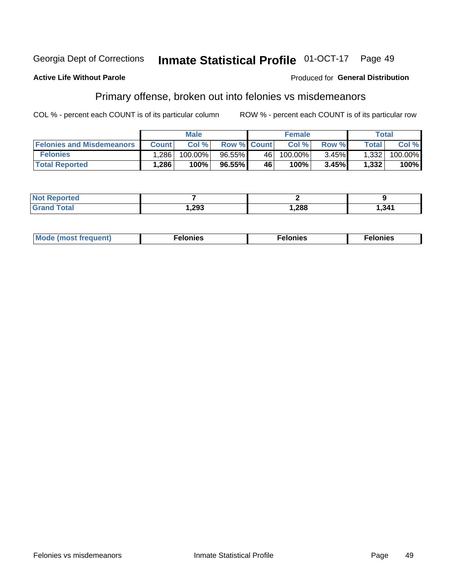#### Georgia Dept of Corrections Inmate Statistical Profile 01-OCT-17 Page 49

#### **Active Life Without Parole**

#### Produced for General Distribution

### Primary offense, broken out into felonies vs misdemeanors

COL % - percent each COUNT is of its particular column

|                                  | <b>Male</b>  |         |                    | <b>Female</b> |         |          | Total   |         |
|----------------------------------|--------------|---------|--------------------|---------------|---------|----------|---------|---------|
| <b>Felonies and Misdemeanors</b> | <b>Count</b> | Col%    | <b>Row % Count</b> |               | Col%    | Row %    | Total i | Col %   |
| <b>Felonies</b>                  | .286'        | 100.00% | 96.55%             | 46 l          | 100.00% | $3.45\%$ | 1,332   | 100.00% |
| <b>Total Reported</b>            | .286         | 100%    | 96.55%             | 46            | 100%    | 3.45%    | 1,332   | 100%    |

| <b>Not Reported</b>   |          |      |       |
|-----------------------|----------|------|-------|
| Total<br><b>Grand</b> | . 293, ، | ,288 | 1,341 |

| <b>Mode</b><br>frequent)<br>nies<br>≧ (most tr.<br>. | onies<br>. | lonies<br>енл<br>____ |
|------------------------------------------------------|------------|-----------------------|
|------------------------------------------------------|------------|-----------------------|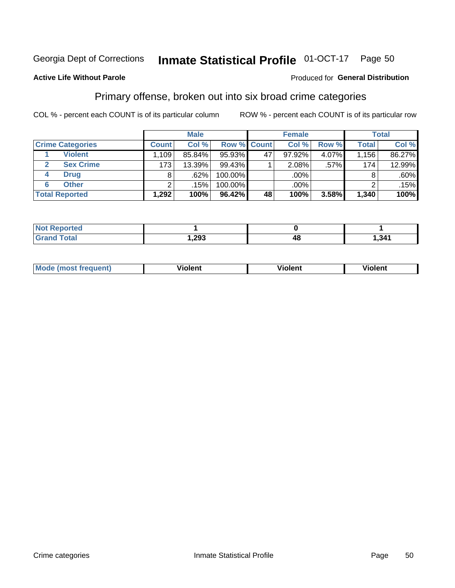#### **Inmate Statistical Profile 01-OCT-17** Page 50

#### **Active Life Without Parole**

#### Produced for General Distribution

### Primary offense, broken out into six broad crime categories

COL % - percent each COUNT is of its particular column

|                         | <b>Male</b>  |        |           | <b>Female</b>      |        |         | <b>Total</b> |         |
|-------------------------|--------------|--------|-----------|--------------------|--------|---------|--------------|---------|
| <b>Crime Categories</b> | <b>Count</b> | Col %  |           | <b>Row % Count</b> | Col %  | Row %   | <b>Total</b> | Col %   |
| <b>Violent</b>          | 1,109        | 85.84% | 95.93%    | 47                 | 97.92% | 4.07%   | 1,156        | 86.27%  |
| <b>Sex Crime</b>        | 173          | 13.39% | 99.43%    |                    | 2.08%  | $.57\%$ | 174          | 12.99%  |
| <b>Drug</b><br>4        | 8            | .62%   | 100.00%   |                    | .00%   |         | 8            | $.60\%$ |
| <b>Other</b><br>6       | 2            | .15%   | 100.00%   |                    | .00%   |         |              | .15%    |
| <b>Total Reported</b>   | 1,292        | 100%   | $96.42\%$ | 48                 | 100%   | 3.58%   | 1,340        | 100%    |

| τeα<br>NO<br>. |             |      |
|----------------|-------------|------|
|                | ററാ<br>دە∡, | 34′. |

| <b>Mode (most frequent)</b> |         |                | --             |
|-----------------------------|---------|----------------|----------------|
|                             | violent | <b>Violent</b> | <b>Violent</b> |
|                             |         |                |                |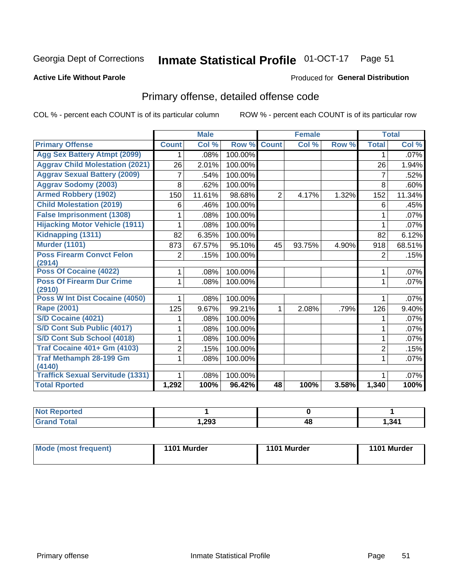#### **Inmate Statistical Profile 01-OCT-17** Page 51

#### **Active Life Without Parole**

#### Produced for General Distribution

## Primary offense, detailed offense code

COL % - percent each COUNT is of its particular column

|                                          |                | <b>Male</b> |         |                | <b>Female</b> |       |                | <b>Total</b> |
|------------------------------------------|----------------|-------------|---------|----------------|---------------|-------|----------------|--------------|
| <b>Primary Offense</b>                   | <b>Count</b>   | Col %       | Row %   | <b>Count</b>   | Col %         | Row % | <b>Total</b>   | Col %        |
| <b>Agg Sex Battery Atmpt (2099)</b>      | 1.             | .08%        | 100.00% |                |               |       | 1              | .07%         |
| <b>Aggrav Child Molestation (2021)</b>   | 26             | 2.01%       | 100.00% |                |               |       | 26             | 1.94%        |
| <b>Aggrav Sexual Battery (2009)</b>      | 7              | .54%        | 100.00% |                |               |       | $\overline{7}$ | .52%         |
| <b>Aggrav Sodomy (2003)</b>              | 8              | .62%        | 100.00% |                |               |       | 8              | .60%         |
| <b>Armed Robbery (1902)</b>              | 150            | 11.61%      | 98.68%  | $\overline{2}$ | 4.17%         | 1.32% | 152            | 11.34%       |
| <b>Child Molestation (2019)</b>          | 6              | .46%        | 100.00% |                |               |       | 6              | .45%         |
| <b>False Imprisonment (1308)</b>         | 1              | .08%        | 100.00% |                |               |       | 1              | .07%         |
| <b>Hijacking Motor Vehicle (1911)</b>    |                | .08%        | 100.00% |                |               |       |                | .07%         |
| Kidnapping (1311)                        | 82             | 6.35%       | 100.00% |                |               |       | 82             | 6.12%        |
| <b>Murder (1101)</b>                     | 873            | 67.57%      | 95.10%  | 45             | 93.75%        | 4.90% | 918            | 68.51%       |
| <b>Poss Firearm Convct Felon</b>         | $\overline{2}$ | .15%        | 100.00% |                |               |       | $\overline{2}$ | .15%         |
| (2914)                                   |                |             |         |                |               |       |                |              |
| Poss Of Cocaine (4022)                   | 1              | .08%        | 100.00% |                |               |       | 1              | .07%         |
| <b>Poss Of Firearm Dur Crime</b>         | 1              | .08%        | 100.00% |                |               |       | 1              | .07%         |
| (2910)<br>Poss W Int Dist Cocaine (4050) |                |             |         |                |               |       |                |              |
|                                          | 1              | .08%        | 100.00% |                |               |       | 1              | .07%         |
| <b>Rape (2001)</b>                       | 125            | 9.67%       | 99.21%  | 1              | 2.08%         | .79%  | 126            | 9.40%        |
| S/D Cocaine (4021)                       |                | .08%        | 100.00% |                |               |       | 1              | .07%         |
| S/D Cont Sub Public (4017)               | 1              | .08%        | 100.00% |                |               |       | 1              | .07%         |
| S/D Cont Sub School (4018)               | 1              | .08%        | 100.00% |                |               |       | 1              | .07%         |
| <b>Traf Cocaine 401+ Gm (4103)</b>       | 2              | .15%        | 100.00% |                |               |       | $\overline{2}$ | .15%         |
| <b>Traf Methamph 28-199 Gm</b>           | 1.             | .08%        | 100.00% |                |               |       |                | $.07\%$      |
| (4140)                                   |                |             |         |                |               |       |                |              |
| <b>Traffick Sexual Servitude (1331)</b>  |                | .08%        | 100.00% |                |               |       |                | .07%         |
| <b>Total Rported</b>                     | 1,292          | 100%        | 96.42%  | 48             | 100%          | 3.58% | 1,340          | 100%         |

| <b>Not Reported</b> |      |    |      |
|---------------------|------|----|------|
| <b>Total</b>        | .293 | 4C | 341, |

| <b>Mode (most frequent)</b> | 1101 Murder | 1101 Murder | 1101 Murder |
|-----------------------------|-------------|-------------|-------------|
|                             |             |             |             |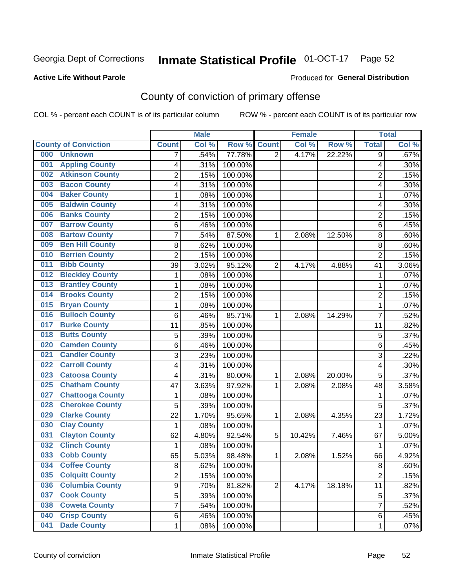## Inmate Statistical Profile 01-OCT-17 Page 52

#### **Active Life Without Parole**

#### Produced for General Distribution

## County of conviction of primary offense

COL % - percent each COUNT is of its particular column

|                                |                | <b>Male</b> |         |                | <b>Female</b> |        |                | <b>Total</b> |
|--------------------------------|----------------|-------------|---------|----------------|---------------|--------|----------------|--------------|
| <b>County of Conviction</b>    | <b>Count</b>   | Col %       | Row %   | <b>Count</b>   | Col %         | Row %  | <b>Total</b>   | Col %        |
| 000<br><b>Unknown</b>          | 7              | .54%        | 77.78%  | $\overline{2}$ | 4.17%         | 22.22% | 9              | .67%         |
| <b>Appling County</b><br>001   | 4              | .31%        | 100.00% |                |               |        | 4              | .30%         |
| <b>Atkinson County</b><br>002  | $\overline{c}$ | .15%        | 100.00% |                |               |        | $\overline{2}$ | .15%         |
| <b>Bacon County</b><br>003     | 4              | .31%        | 100.00% |                |               |        | 4              | .30%         |
| <b>Baker County</b><br>004     | 1              | .08%        | 100.00% |                |               |        | 1              | .07%         |
| <b>Baldwin County</b><br>005   | 4              | .31%        | 100.00% |                |               |        | 4              | .30%         |
| <b>Banks County</b><br>006     | $\overline{c}$ | .15%        | 100.00% |                |               |        | $\overline{2}$ | .15%         |
| <b>Barrow County</b><br>007    | 6              | .46%        | 100.00% |                |               |        | 6              | .45%         |
| <b>Bartow County</b><br>008    | 7              | .54%        | 87.50%  | 1              | 2.08%         | 12.50% | 8              | .60%         |
| <b>Ben Hill County</b><br>009  | 8              | .62%        | 100.00% |                |               |        | 8              | .60%         |
| <b>Berrien County</b><br>010   | $\overline{2}$ | .15%        | 100.00% |                |               |        | $\overline{2}$ | .15%         |
| <b>Bibb County</b><br>011      | 39             | 3.02%       | 95.12%  | $\overline{2}$ | 4.17%         | 4.88%  | 41             | 3.06%        |
| <b>Bleckley County</b><br>012  | 1              | .08%        | 100.00% |                |               |        | 1              | .07%         |
| <b>Brantley County</b><br>013  | $\mathbf{1}$   | .08%        | 100.00% |                |               |        | 1              | .07%         |
| <b>Brooks County</b><br>014    | $\overline{2}$ | .15%        | 100.00% |                |               |        | $\overline{2}$ | .15%         |
| <b>Bryan County</b><br>015     | $\mathbf{1}$   | .08%        | 100.00% |                |               |        | $\mathbf{1}$   | .07%         |
| <b>Bulloch County</b><br>016   | 6              | .46%        | 85.71%  | 1              | 2.08%         | 14.29% | $\overline{7}$ | .52%         |
| <b>Burke County</b><br>017     | 11             | .85%        | 100.00% |                |               |        | 11             | .82%         |
| <b>Butts County</b><br>018     | 5              | .39%        | 100.00% |                |               |        | 5              | .37%         |
| <b>Camden County</b><br>020    | 6              | .46%        | 100.00% |                |               |        | 6              | .45%         |
| <b>Candler County</b><br>021   | 3              | .23%        | 100.00% |                |               |        | 3              | .22%         |
| <b>Carroll County</b><br>022   | 4              | .31%        | 100.00% |                |               |        | 4              | .30%         |
| <b>Catoosa County</b><br>023   | 4              | .31%        | 80.00%  | 1              | 2.08%         | 20.00% | 5              | .37%         |
| <b>Chatham County</b><br>025   | 47             | 3.63%       | 97.92%  | 1              | 2.08%         | 2.08%  | 48             | 3.58%        |
| <b>Chattooga County</b><br>027 | 1              | .08%        | 100.00% |                |               |        | 1              | .07%         |
| <b>Cherokee County</b><br>028  | 5              | .39%        | 100.00% |                |               |        | 5              | .37%         |
| <b>Clarke County</b><br>029    | 22             | 1.70%       | 95.65%  | 1              | 2.08%         | 4.35%  | 23             | 1.72%        |
| <b>Clay County</b><br>030      | 1              | .08%        | 100.00% |                |               |        | 1              | .07%         |
| <b>Clayton County</b><br>031   | 62             | 4.80%       | 92.54%  | 5              | 10.42%        | 7.46%  | 67             | 5.00%        |
| <b>Clinch County</b><br>032    | $\mathbf{1}$   | .08%        | 100.00% |                |               |        | 1              | .07%         |
| <b>Cobb County</b><br>033      | 65             | 5.03%       | 98.48%  | 1              | 2.08%         | 1.52%  | 66             | 4.92%        |
| <b>Coffee County</b><br>034    | 8              | .62%        | 100.00% |                |               |        | 8              | .60%         |
| <b>Colquitt County</b><br>035  | 2              | .15%        | 100.00% |                |               |        | $\overline{2}$ | .15%         |
| <b>Columbia County</b><br>036  | 9              | .70%        | 81.82%  | $\overline{2}$ | 4.17%         | 18.18% | 11             | .82%         |
| <b>Cook County</b><br>037      | 5              | .39%        | 100.00% |                |               |        | 5              | .37%         |
| <b>Coweta County</b><br>038    | 7              | .54%        | 100.00% |                |               |        | $\overline{7}$ | .52%         |
| <b>Crisp County</b><br>040     | 6              | .46%        | 100.00% |                |               |        | 6              | .45%         |
| <b>Dade County</b><br>041      | $\mathbf 1$    | .08%        | 100.00% |                |               |        | $\mathbf 1$    | .07%         |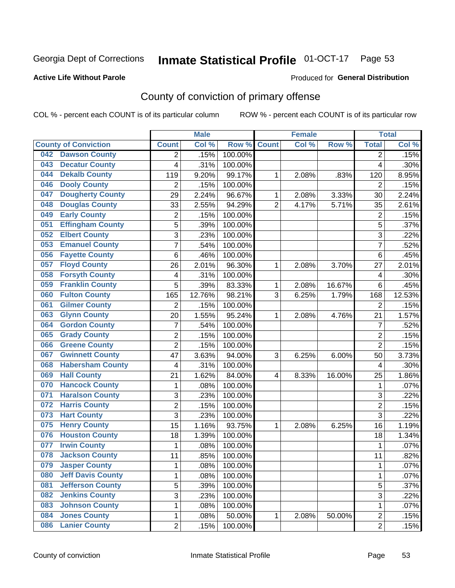## Inmate Statistical Profile 01-OCT-17 Page 53

#### **Active Life Without Parole**

#### Produced for General Distribution

## County of conviction of primary offense

COL % - percent each COUNT is of its particular column

|                             |                          |                         | <b>Male</b> |         |                | <b>Female</b> |        |                | <b>Total</b> |
|-----------------------------|--------------------------|-------------------------|-------------|---------|----------------|---------------|--------|----------------|--------------|
| <b>County of Conviction</b> |                          | <b>Count</b>            | Col %       | Row %   | <b>Count</b>   | Col %         | Row %  | <b>Total</b>   | Col %        |
| 042                         | <b>Dawson County</b>     | 2                       | .15%        | 100.00% |                |               |        | 2              | .15%         |
| 043                         | <b>Decatur County</b>    | 4                       | .31%        | 100.00% |                |               |        | 4              | .30%         |
| 044                         | <b>Dekalb County</b>     | 119                     | 9.20%       | 99.17%  | 1              | 2.08%         | .83%   | 120            | 8.95%        |
| 046                         | <b>Dooly County</b>      | $\overline{2}$          | .15%        | 100.00% |                |               |        | 2              | .15%         |
| 047                         | <b>Dougherty County</b>  | 29                      | 2.24%       | 96.67%  | 1              | 2.08%         | 3.33%  | 30             | 2.24%        |
| 048                         | <b>Douglas County</b>    | 33                      | 2.55%       | 94.29%  | $\overline{2}$ | 4.17%         | 5.71%  | 35             | 2.61%        |
| 049                         | <b>Early County</b>      | $\overline{2}$          | .15%        | 100.00% |                |               |        | $\overline{2}$ | .15%         |
| 051                         | <b>Effingham County</b>  | 5                       | .39%        | 100.00% |                |               |        | 5              | .37%         |
| 052                         | <b>Elbert County</b>     | 3                       | .23%        | 100.00% |                |               |        | 3              | .22%         |
| 053                         | <b>Emanuel County</b>    | $\overline{7}$          | .54%        | 100.00% |                |               |        | $\overline{7}$ | .52%         |
| 056                         | <b>Fayette County</b>    | 6                       | .46%        | 100.00% |                |               |        | 6              | .45%         |
| 057                         | <b>Floyd County</b>      | 26                      | 2.01%       | 96.30%  | 1              | 2.08%         | 3.70%  | 27             | 2.01%        |
| 058                         | <b>Forsyth County</b>    | $\overline{\mathbf{4}}$ | .31%        | 100.00% |                |               |        | 4              | .30%         |
| 059                         | <b>Franklin County</b>   | 5                       | .39%        | 83.33%  | 1              | 2.08%         | 16.67% | 6              | .45%         |
| 060                         | <b>Fulton County</b>     | 165                     | 12.76%      | 98.21%  | 3              | 6.25%         | 1.79%  | 168            | 12.53%       |
| 061                         | <b>Gilmer County</b>     | $\overline{2}$          | .15%        | 100.00% |                |               |        | 2              | .15%         |
| 063                         | <b>Glynn County</b>      | 20                      | 1.55%       | 95.24%  | 1              | 2.08%         | 4.76%  | 21             | 1.57%        |
| 064                         | <b>Gordon County</b>     | $\overline{7}$          | .54%        | 100.00% |                |               |        | $\overline{7}$ | .52%         |
| 065                         | <b>Grady County</b>      | $\overline{2}$          | .15%        | 100.00% |                |               |        | $\overline{2}$ | .15%         |
| 066                         | <b>Greene County</b>     | $\overline{2}$          | .15%        | 100.00% |                |               |        | $\overline{2}$ | .15%         |
| 067                         | <b>Gwinnett County</b>   | 47                      | 3.63%       | 94.00%  | 3              | 6.25%         | 6.00%  | 50             | 3.73%        |
| 068                         | <b>Habersham County</b>  | 4                       | .31%        | 100.00% |                |               |        | 4              | .30%         |
| 069                         | <b>Hall County</b>       | 21                      | 1.62%       | 84.00%  | 4              | 8.33%         | 16.00% | 25             | 1.86%        |
| 070                         | <b>Hancock County</b>    | 1                       | .08%        | 100.00% |                |               |        | 1              | .07%         |
| 071                         | <b>Haralson County</b>   | 3                       | .23%        | 100.00% |                |               |        | 3              | .22%         |
| 072                         | <b>Harris County</b>     | $\overline{2}$          | .15%        | 100.00% |                |               |        | $\overline{2}$ | .15%         |
| 073                         | <b>Hart County</b>       | $\overline{3}$          | .23%        | 100.00% |                |               |        | $\overline{3}$ | .22%         |
| 075                         | <b>Henry County</b>      | 15                      | 1.16%       | 93.75%  | 1              | 2.08%         | 6.25%  | 16             | 1.19%        |
| 076                         | <b>Houston County</b>    | 18                      | 1.39%       | 100.00% |                |               |        | 18             | 1.34%        |
| 077                         | <b>Irwin County</b>      | 1                       | .08%        | 100.00% |                |               |        | 1              | .07%         |
| 078                         | <b>Jackson County</b>    | 11                      | .85%        | 100.00% |                |               |        | 11             | .82%         |
| 079                         | <b>Jasper County</b>     | 1                       | .08%        | 100.00% |                |               |        | 1              | .07%         |
| 080                         | <b>Jeff Davis County</b> | 1                       | .08%        | 100.00% |                |               |        | $\mathbf{1}$   | .07%         |
| 081                         | <b>Jefferson County</b>  | $\overline{5}$          | .39%        | 100.00% |                |               |        | 5              | .37%         |
| 082                         | <b>Jenkins County</b>    | $\overline{3}$          | .23%        | 100.00% |                |               |        | $\overline{3}$ | .22%         |
| 083                         | <b>Johnson County</b>    | 1                       | .08%        | 100.00% |                |               |        | 1              | .07%         |
| 084                         | <b>Jones County</b>      | 1                       | .08%        | 50.00%  | 1              | 2.08%         | 50.00% | $\overline{2}$ | .15%         |
| 086                         | <b>Lanier County</b>     | $\overline{2}$          | .15%        | 100.00% |                |               |        | $\overline{2}$ | .15%         |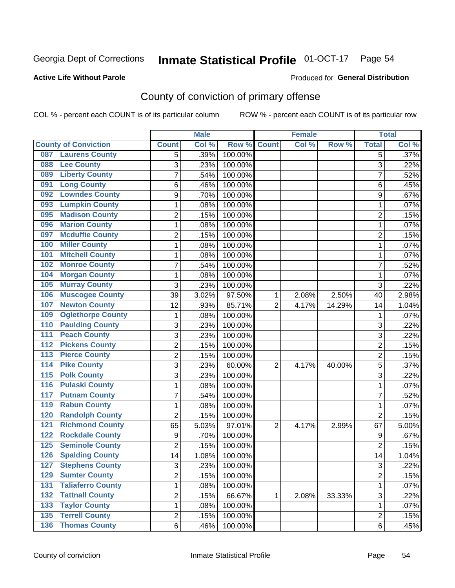## Inmate Statistical Profile 01-OCT-17 Page 54

#### **Active Life Without Parole**

#### Produced for General Distribution

## County of conviction of primary offense

COL % - percent each COUNT is of its particular column

|                                           |                | <b>Male</b> |         |                | <b>Female</b> |        |                  | <b>Total</b> |
|-------------------------------------------|----------------|-------------|---------|----------------|---------------|--------|------------------|--------------|
| <b>County of Conviction</b>               | <b>Count</b>   | Col %       | Row %   | <b>Count</b>   | Col %         | Row %  | <b>Total</b>     | Col %        |
| <b>Laurens County</b><br>087              | 5              | .39%        | 100.00% |                |               |        | 5                | .37%         |
| <b>Lee County</b><br>088                  | 3              | .23%        | 100.00% |                |               |        | 3                | .22%         |
| <b>Liberty County</b><br>089              | 7              | .54%        | 100.00% |                |               |        | $\overline{7}$   | .52%         |
| <b>Long County</b><br>091                 | 6              | .46%        | 100.00% |                |               |        | 6                | .45%         |
| <b>Lowndes County</b><br>092              | 9              | .70%        | 100.00% |                |               |        | 9                | .67%         |
| <b>Lumpkin County</b><br>093              | 1              | .08%        | 100.00% |                |               |        | $\mathbf{1}$     | .07%         |
| <b>Madison County</b><br>095              | $\overline{c}$ | .15%        | 100.00% |                |               |        | $\overline{2}$   | .15%         |
| <b>Marion County</b><br>096               | 1              | .08%        | 100.00% |                |               |        | $\mathbf{1}$     | .07%         |
| <b>Mcduffie County</b><br>097             | 2              | .15%        | 100.00% |                |               |        | $\overline{2}$   | .15%         |
| <b>Miller County</b><br>100               | 1              | .08%        | 100.00% |                |               |        | $\mathbf{1}$     | .07%         |
| <b>Mitchell County</b><br>101             | 1              | .08%        | 100.00% |                |               |        | 1                | .07%         |
| <b>Monroe County</b><br>102               | 7              | .54%        | 100.00% |                |               |        | 7                | .52%         |
| <b>Morgan County</b><br>104               | 1              | .08%        | 100.00% |                |               |        | 1                | .07%         |
| 105<br><b>Murray County</b>               | 3              | .23%        | 100.00% |                |               |        | 3                | .22%         |
| <b>Muscogee County</b><br>106             | 39             | 3.02%       | 97.50%  | 1              | 2.08%         | 2.50%  | 40               | 2.98%        |
| <b>Newton County</b><br>107               | 12             | .93%        | 85.71%  | $\overline{2}$ | 4.17%         | 14.29% | 14               | 1.04%        |
| <b>Oglethorpe County</b><br>109           | 1              | .08%        | 100.00% |                |               |        | 1                | .07%         |
| <b>Paulding County</b><br>110             | 3              | .23%        | 100.00% |                |               |        | 3                | .22%         |
| <b>Peach County</b><br>111                | 3              | .23%        | 100.00% |                |               |        | 3                | .22%         |
| <b>Pickens County</b><br>$\overline{112}$ | $\overline{2}$ | .15%        | 100.00% |                |               |        | $\overline{2}$   | .15%         |
| <b>Pierce County</b><br>$\overline{113}$  | 2              | .15%        | 100.00% |                |               |        | $\overline{2}$   | .15%         |
| <b>Pike County</b><br>$\overline{114}$    | 3              | .23%        | 60.00%  | $\overline{2}$ | 4.17%         | 40.00% | 5                | .37%         |
| <b>Polk County</b><br>$\overline{115}$    | 3              | .23%        | 100.00% |                |               |        | 3                | .22%         |
| <b>Pulaski County</b><br>$\overline{116}$ | 1              | .08%        | 100.00% |                |               |        | $\mathbf{1}$     | .07%         |
| <b>Putnam County</b><br>117               | 7              | .54%        | 100.00% |                |               |        | 7                | .52%         |
| <b>Rabun County</b><br>119                | 1              | .08%        | 100.00% |                |               |        | $\mathbf{1}$     | .07%         |
| <b>Randolph County</b><br>120             | $\overline{2}$ | .15%        | 100.00% |                |               |        | $\overline{2}$   | .15%         |
| <b>Richmond County</b><br>121             | 65             | 5.03%       | 97.01%  | $\overline{2}$ | 4.17%         | 2.99%  | 67               | 5.00%        |
| <b>Rockdale County</b><br>122             | 9              | .70%        | 100.00% |                |               |        | $\boldsymbol{9}$ | .67%         |
| 125<br><b>Seminole County</b>             | $\overline{2}$ | .15%        | 100.00% |                |               |        | $\overline{2}$   | .15%         |
| <b>Spalding County</b><br>126             | 14             | 1.08%       | 100.00% |                |               |        | 14               | 1.04%        |
| 127<br><b>Stephens County</b>             | 3              | .23%        | 100.00% |                |               |        | 3                | .22%         |
| <b>Sumter County</b><br>129               | $\overline{2}$ | .15%        | 100.00% |                |               |        | $\overline{2}$   | .15%         |
| <b>Taliaferro County</b><br>131           | 1              | .08%        | 100.00% |                |               |        | $\mathbf{1}$     | .07%         |
| <b>Tattnall County</b><br>132             | $\overline{c}$ | .15%        | 66.67%  | 1              | 2.08%         | 33.33% | 3                | .22%         |
| <b>Taylor County</b><br>133               | 1              | .08%        | 100.00% |                |               |        | 1                | .07%         |
| <b>Terrell County</b><br>$\overline{135}$ | $\overline{2}$ | .15%        | 100.00% |                |               |        | $\overline{c}$   | .15%         |
| <b>136 Thomas County</b>                  | 6              | .46%        | 100.00% |                |               |        | 6                | .45%         |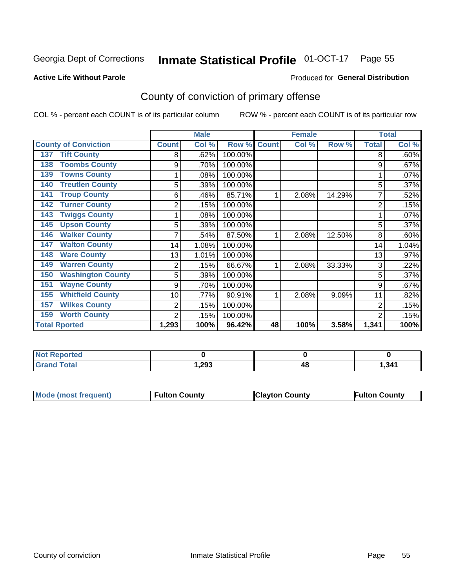## Inmate Statistical Profile 01-OCT-17 Page 55

#### **Active Life Without Parole**

#### Produced for General Distribution

## County of conviction of primary offense

COL % - percent each COUNT is of its particular column

|                                 |              | <b>Male</b> |         | <b>Female</b> |       |        | <b>Total</b>   |       |
|---------------------------------|--------------|-------------|---------|---------------|-------|--------|----------------|-------|
| <b>County of Conviction</b>     | <b>Count</b> | Col %       | Row %   | <b>Count</b>  | Col % | Row %  | <b>Total</b>   | Col % |
| <b>Tift County</b><br>137       | 8            | .62%        | 100.00% |               |       |        | 8              | .60%  |
| <b>Toombs County</b><br>138     | 9            | .70%        | 100.00% |               |       |        | 9              | .67%  |
| <b>Towns County</b><br>139      |              | .08%        | 100.00% |               |       |        |                | .07%  |
| <b>Treutlen County</b><br>140   | 5            | .39%        | 100.00% |               |       |        | 5              | .37%  |
| <b>Troup County</b><br>141      | 6            | .46%        | 85.71%  |               | 2.08% | 14.29% |                | .52%  |
| <b>Turner County</b><br>142     | 2            | .15%        | 100.00% |               |       |        | $\overline{2}$ | .15%  |
| <b>Twiggs County</b><br>143     |              | .08%        | 100.00% |               |       |        |                | .07%  |
| <b>Upson County</b><br>145      | 5            | .39%        | 100.00% |               |       |        | 5              | .37%  |
| <b>Walker County</b><br>146     |              | .54%        | 87.50%  |               | 2.08% | 12.50% | 8              | .60%  |
| <b>Walton County</b><br>147     | 14           | 1.08%       | 100.00% |               |       |        | 14             | 1.04% |
| <b>Ware County</b><br>148       | 13           | 1.01%       | 100.00% |               |       |        | 13             | .97%  |
| <b>Warren County</b><br>149     | 2            | .15%        | 66.67%  | 1             | 2.08% | 33.33% | 3              | .22%  |
| <b>Washington County</b><br>150 | 5            | .39%        | 100.00% |               |       |        | 5              | .37%  |
| <b>Wayne County</b><br>151      | 9            | .70%        | 100.00% |               |       |        | 9              | .67%  |
| <b>Whitfield County</b><br>155  | 10           | .77%        | 90.91%  |               | 2.08% | 9.09%  | 11             | .82%  |
| <b>Wilkes County</b><br>157     | 2            | .15%        | 100.00% |               |       |        | $\overline{2}$ | .15%  |
| <b>Worth County</b><br>159      | 2            | .15%        | 100.00% |               |       |        | $\overline{2}$ | .15%  |
| <b>Total Rported</b>            | 1,293        | 100%        | 96.42%  | 48            | 100%  | 3.58%  | 1,341          | 100%  |

| <b>Reported</b><br><b>NOT</b> |       |    |       |
|-------------------------------|-------|----|-------|
| <b>otal</b>                   | 1,293 | 48 | 1,341 |

| <b>Mode (most frequent)</b><br><b>Clayton County</b><br><b>Fulton County</b> |                      |
|------------------------------------------------------------------------------|----------------------|
|                                                                              | <b>Fulton County</b> |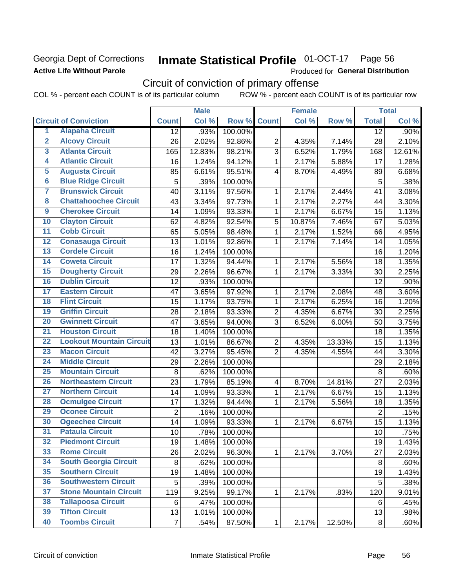#### Georgia Dept of Corrections **Active Life Without Parole**

## Inmate Statistical Profile 01-OCT-17 Page 56

Produced for General Distribution

## Circuit of conviction of primary offense

COL % - percent each COUNT is of its particular column ROW % - percent each COUNT is of its particular row

|                         |                                 |                 | <b>Male</b> |         |                         | <b>Female</b> |        |                | <b>Total</b> |
|-------------------------|---------------------------------|-----------------|-------------|---------|-------------------------|---------------|--------|----------------|--------------|
|                         | <b>Circuit of Conviction</b>    | <b>Count</b>    | Col %       | Row %   | <b>Count</b>            | Col %         | Row %  | <b>Total</b>   | Col %        |
| 1                       | <b>Alapaha Circuit</b>          | $\overline{12}$ | .93%        | 100.00% |                         |               |        | 12             | .90%         |
| $\overline{2}$          | <b>Alcovy Circuit</b>           | 26              | 2.02%       | 92.86%  | $\overline{2}$          | 4.35%         | 7.14%  | 28             | 2.10%        |
| $\overline{\mathbf{3}}$ | <b>Atlanta Circuit</b>          | 165             | 12.83%      | 98.21%  | 3                       | 6.52%         | 1.79%  | 168            | 12.61%       |
| 4                       | <b>Atlantic Circuit</b>         | 16              | 1.24%       | 94.12%  | $\mathbf 1$             | 2.17%         | 5.88%  | 17             | 1.28%        |
| 5                       | <b>Augusta Circuit</b>          | 85              | 6.61%       | 95.51%  | $\overline{\mathbf{4}}$ | 8.70%         | 4.49%  | 89             | 6.68%        |
| $\overline{6}$          | <b>Blue Ridge Circuit</b>       | 5               | .39%        | 100.00% |                         |               |        | 5              | .38%         |
| 7                       | <b>Brunswick Circuit</b>        | 40              | 3.11%       | 97.56%  | 1                       | 2.17%         | 2.44%  | 41             | 3.08%        |
| 8                       | <b>Chattahoochee Circuit</b>    | 43              | 3.34%       | 97.73%  | $\mathbf 1$             | 2.17%         | 2.27%  | 44             | 3.30%        |
| $\overline{9}$          | <b>Cherokee Circuit</b>         | 14              | 1.09%       | 93.33%  | $\mathbf{1}$            | 2.17%         | 6.67%  | 15             | 1.13%        |
| 10                      | <b>Clayton Circuit</b>          | 62              | 4.82%       | 92.54%  | 5                       | 10.87%        | 7.46%  | 67             | 5.03%        |
| $\overline{11}$         | <b>Cobb Circuit</b>             | 65              | 5.05%       | 98.48%  | $\mathbf{1}$            | 2.17%         | 1.52%  | 66             | 4.95%        |
| 12                      | <b>Conasauga Circuit</b>        | 13              | 1.01%       | 92.86%  | 1                       | 2.17%         | 7.14%  | 14             | 1.05%        |
| 13                      | <b>Cordele Circuit</b>          | 16              | 1.24%       | 100.00% |                         |               |        | 16             | 1.20%        |
| $\overline{14}$         | <b>Coweta Circuit</b>           | 17              | 1.32%       | 94.44%  | $\mathbf{1}$            | 2.17%         | 5.56%  | 18             | 1.35%        |
| $\overline{15}$         | <b>Dougherty Circuit</b>        | 29              | 2.26%       | 96.67%  | $\mathbf{1}$            | 2.17%         | 3.33%  | 30             | 2.25%        |
| 16                      | <b>Dublin Circuit</b>           | 12              | .93%        | 100.00% |                         |               |        | 12             | .90%         |
| 17                      | <b>Eastern Circuit</b>          | 47              | 3.65%       | 97.92%  | 1                       | 2.17%         | 2.08%  | 48             | 3.60%        |
| 18                      | <b>Flint Circuit</b>            | 15              | 1.17%       | 93.75%  | $\mathbf{1}$            | 2.17%         | 6.25%  | 16             | 1.20%        |
| 19                      | <b>Griffin Circuit</b>          | 28              | 2.18%       | 93.33%  | $\overline{2}$          | 4.35%         | 6.67%  | 30             | 2.25%        |
| $\overline{20}$         | <b>Gwinnett Circuit</b>         | 47              | 3.65%       | 94.00%  | 3                       | 6.52%         | 6.00%  | 50             | 3.75%        |
| $\overline{21}$         | <b>Houston Circuit</b>          | 18              | 1.40%       | 100.00% |                         |               |        | 18             | 1.35%        |
| $\overline{22}$         | <b>Lookout Mountain Circuit</b> | 13              | 1.01%       | 86.67%  | $\boldsymbol{2}$        | 4.35%         | 13.33% | 15             | 1.13%        |
| 23                      | <b>Macon Circuit</b>            | 42              | 3.27%       | 95.45%  | $\overline{2}$          | 4.35%         | 4.55%  | 44             | 3.30%        |
| $\overline{24}$         | <b>Middle Circuit</b>           | 29              | 2.26%       | 100.00% |                         |               |        | 29             | 2.18%        |
| $\overline{25}$         | <b>Mountain Circuit</b>         | 8               | .62%        | 100.00% |                         |               |        | 8              | .60%         |
| 26                      | <b>Northeastern Circuit</b>     | 23              | 1.79%       | 85.19%  | $\overline{\mathbf{4}}$ | 8.70%         | 14.81% | 27             | 2.03%        |
| $\overline{27}$         | <b>Northern Circuit</b>         | 14              | 1.09%       | 93.33%  | $\mathbf{1}$            | 2.17%         | 6.67%  | 15             | 1.13%        |
| 28                      | <b>Ocmulgee Circuit</b>         | 17              | 1.32%       | 94.44%  | 1                       | 2.17%         | 5.56%  | 18             | 1.35%        |
| 29                      | <b>Oconee Circuit</b>           | $\overline{2}$  | .16%        | 100.00% |                         |               |        | $\overline{2}$ | .15%         |
| 30                      | <b>Ogeechee Circuit</b>         | 14              | 1.09%       | 93.33%  | $\mathbf{1}$            | 2.17%         | 6.67%  | 15             | 1.13%        |
| $\overline{31}$         | <b>Pataula Circuit</b>          | 10              | .78%        | 100.00% |                         |               |        | 10             | .75%         |
| 32                      | <b>Piedmont Circuit</b>         | 19              | 1.48%       | 100.00% |                         |               |        | 19             | 1.43%        |
| 33                      | <b>Rome Circuit</b>             | 26              | 2.02%       | 96.30%  | $\mathbf{1}$            | 2.17%         | 3.70%  | 27             | 2.03%        |
| 34                      | <b>South Georgia Circuit</b>    | 8               | .62%        | 100.00% |                         |               |        | 8              | .60%         |
| 35                      | <b>Southern Circuit</b>         | 19              | 1.48%       | 100.00% |                         |               |        | 19             | 1.43%        |
| 36                      | <b>Southwestern Circuit</b>     | 5               | .39%        | 100.00% |                         |               |        | 5              | .38%         |
| 37                      | <b>Stone Mountain Circuit</b>   | 119             | 9.25%       | 99.17%  | 1                       | 2.17%         | .83%   | 120            | 9.01%        |
| 38                      | <b>Tallapoosa Circuit</b>       | 6               | .47%        | 100.00% |                         |               |        | 6              | .45%         |
| 39                      | <b>Tifton Circuit</b>           | 13              | 1.01%       | 100.00% |                         |               |        | 13             | .98%         |
| 40                      | <b>Toombs Circuit</b>           | $\overline{7}$  | .54%        | 87.50%  | $\mathbf{1}$            | 2.17%         | 12.50% | 8              | .60%         |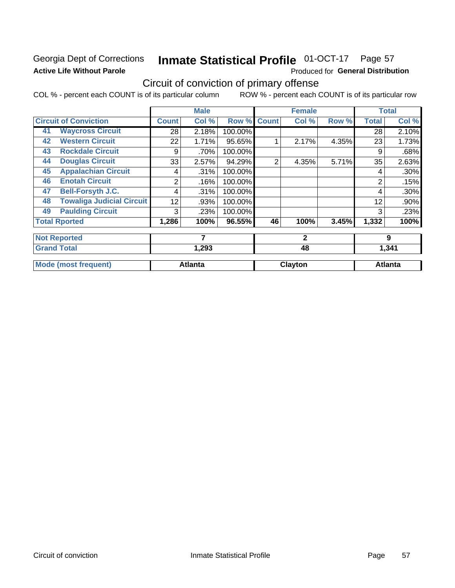### Georgia Dept of Corrections **Active Life Without Parole**

## Inmate Statistical Profile 01-OCT-17 Page 57

Produced for General Distribution

## Circuit of conviction of primary offense

COL % - percent each COUNT is of its particular column ROW % - percent each COUNT is of its particular row

|    |                                  |              | <b>Male</b>    |         |              | <b>Female</b> |       |                | <b>Total</b>   |
|----|----------------------------------|--------------|----------------|---------|--------------|---------------|-------|----------------|----------------|
|    | <b>Circuit of Conviction</b>     | <b>Count</b> | Col %          | Row %   | <b>Count</b> | Col %         | Row % | <b>Total</b>   | Col %          |
| 41 | <b>Waycross Circuit</b>          | 28           | 2.18%          | 100.00% |              |               |       | 28             | 2.10%          |
| 42 | <b>Western Circuit</b>           | 22           | 1.71%          | 95.65%  |              | 2.17%         | 4.35% | 23             | 1.73%          |
| 43 | <b>Rockdale Circuit</b>          | 9            | .70%           | 100.00% |              |               |       | 9              | .68%           |
| 44 | <b>Douglas Circuit</b>           | 33'          | 2.57%          | 94.29%  | 2            | 4.35%         | 5.71% | 35             | 2.63%          |
| 45 | <b>Appalachian Circuit</b>       | 4            | .31%           | 100.00% |              |               |       | 4              | .30%           |
| 46 | <b>Enotah Circuit</b>            | 2            | .16%           | 100.00% |              |               |       | $\overline{2}$ | .15%           |
| 47 | <b>Bell-Forsyth J.C.</b>         | 4            | .31%           | 100.00% |              |               |       | 4              | .30%           |
| 48 | <b>Towaliga Judicial Circuit</b> | 12           | .93%           | 100.00% |              |               |       | 12             | .90%           |
| 49 | <b>Paulding Circuit</b>          | 3            | .23%           | 100.00% |              |               |       | 3              | .23%           |
|    | <b>Total Rported</b>             | 1,286        | 100%           | 96.55%  | 46           | 100%          | 3.45% | 1,332          | 100%           |
|    | <b>Not Reported</b>              |              | 7              |         |              | $\mathbf{2}$  |       |                | 9              |
|    | <b>Grand Total</b>               |              | 1,293          |         |              | 48            |       |                | 1,341          |
|    | <b>Mode (most frequent)</b>      |              | <b>Atlanta</b> |         |              | Clayton       |       |                | <b>Atlanta</b> |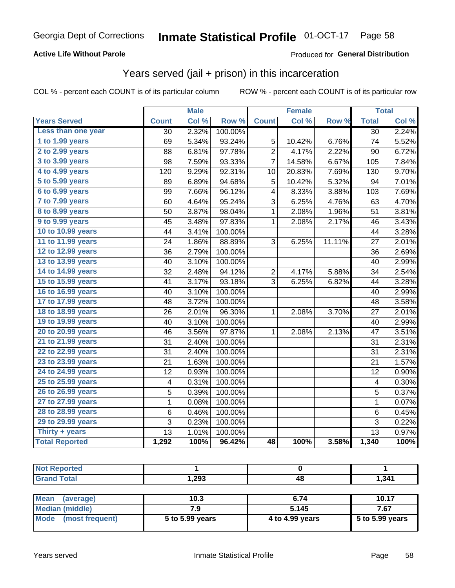#### **Active Life Without Parole**

#### Produced for General Distribution

### Years served (jail + prison) in this incarceration

COL % - percent each COUNT is of its particular column

|                        | <b>Male</b>     |       | <b>Female</b>    |                |        | <b>Total</b> |                 |       |
|------------------------|-----------------|-------|------------------|----------------|--------|--------------|-----------------|-------|
| <b>Years Served</b>    | <b>Count</b>    | Col % | Row <sup>%</sup> | <b>Count</b>   | Col %  | Row %        | <b>Total</b>    | Col % |
| Less than one year     | $\overline{30}$ | 2.32% | 100.00%          |                |        |              | $\overline{30}$ | 2.24% |
| 1 to 1.99 years        | 69              | 5.34% | 93.24%           | 5              | 10.42% | 6.76%        | 74              | 5.52% |
| 2 to 2.99 years        | 88              | 6.81% | 97.78%           | $\overline{2}$ | 4.17%  | 2.22%        | 90              | 6.72% |
| 3 to 3.99 years        | 98              | 7.59% | 93.33%           | 7              | 14.58% | 6.67%        | 105             | 7.84% |
| 4 to 4.99 years        | 120             | 9.29% | 92.31%           | 10             | 20.83% | 7.69%        | 130             | 9.70% |
| 5 to 5.99 years        | 89              | 6.89% | 94.68%           | 5              | 10.42% | 5.32%        | 94              | 7.01% |
| 6 to 6.99 years        | 99              | 7.66% | 96.12%           | 4              | 8.33%  | 3.88%        | 103             | 7.69% |
| 7 to 7.99 years        | 60              | 4.64% | 95.24%           | 3              | 6.25%  | 4.76%        | 63              | 4.70% |
| <b>8 to 8.99 years</b> | 50              | 3.87% | 98.04%           | $\mathbf{1}$   | 2.08%  | 1.96%        | 51              | 3.81% |
| 9 to 9.99 years        | 45              | 3.48% | 97.83%           | $\mathbf 1$    | 2.08%  | 2.17%        | 46              | 3.43% |
| 10 to 10.99 years      | 44              | 3.41% | 100.00%          |                |        |              | 44              | 3.28% |
| 11 to 11.99 years      | 24              | 1.86% | 88.89%           | 3              | 6.25%  | 11.11%       | 27              | 2.01% |
| 12 to 12.99 years      | 36              | 2.79% | 100.00%          |                |        |              | 36              | 2.69% |
| 13 to 13.99 years      | 40              | 3.10% | 100.00%          |                |        |              | 40              | 2.99% |
| 14 to 14.99 years      | 32              | 2.48% | 94.12%           | $\overline{c}$ | 4.17%  | 5.88%        | 34              | 2.54% |
| 15 to 15.99 years      | 41              | 3.17% | 93.18%           | 3              | 6.25%  | 6.82%        | 44              | 3.28% |
| 16 to 16.99 years      | 40              | 3.10% | 100.00%          |                |        |              | 40              | 2.99% |
| 17 to 17.99 years      | 48              | 3.72% | 100.00%          |                |        |              | 48              | 3.58% |
| 18 to 18.99 years      | 26              | 2.01% | 96.30%           | 1              | 2.08%  | 3.70%        | 27              | 2.01% |
| 19 to 19.99 years      | 40              | 3.10% | 100.00%          |                |        |              | 40              | 2.99% |
| 20 to 20.99 years      | 46              | 3.56% | 97.87%           | 1              | 2.08%  | 2.13%        | 47              | 3.51% |
| 21 to 21.99 years      | 31              | 2.40% | 100.00%          |                |        |              | 31              | 2.31% |
| 22 to 22.99 years      | 31              | 2.40% | 100.00%          |                |        |              | 31              | 2.31% |
| 23 to 23.99 years      | 21              | 1.63% | 100.00%          |                |        |              | 21              | 1.57% |
| 24 to 24.99 years      | 12              | 0.93% | 100.00%          |                |        |              | 12              | 0.90% |
| 25 to 25.99 years      | 4               | 0.31% | 100.00%          |                |        |              | 4               | 0.30% |
| 26 to 26.99 years      | 5               | 0.39% | 100.00%          |                |        |              | 5               | 0.37% |
| 27 to 27.99 years      | $\mathbf 1$     | 0.08% | 100.00%          |                |        |              | $\mathbf 1$     | 0.07% |
| 28 to 28.99 years      | 6               | 0.46% | 100.00%          |                |        |              | $\,6$           | 0.45% |
| 29 to 29.99 years      | 3               | 0.23% | 100.00%          |                |        |              | 3               | 0.22% |
| Thirty + years         | 13              | 1.01% | 100.00%          |                |        |              | 13              | 0.97% |
| <b>Total Reported</b>  | 1,292           | 100%  | 96.42%           | 48             | 100%   | 3.58%        | 1,340           | 100%  |

| _____ | .293 | πυ | , 341 |
|-------|------|----|-------|

| <b>Mean</b><br>(average) | 10.3            | 6.74            | 10.17             |
|--------------------------|-----------------|-----------------|-------------------|
| Median (middle)          |                 | 5.145           | 7.67              |
| Mode (most frequent)     | 5 to 5.99 years | 4 to 4.99 years | $5$ to 5.99 years |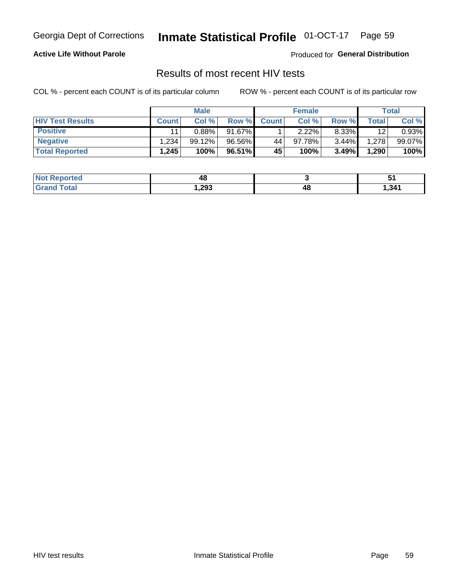#### Inmate Statistical Profile 01-OCT-17 Page 59

#### **Active Life Without Parole**

Produced for General Distribution

### Results of most recent HIV tests

COL % - percent each COUNT is of its particular column

|                         | <b>Male</b>  |        | <b>Female</b> |              |          | Total    |       |        |
|-------------------------|--------------|--------|---------------|--------------|----------|----------|-------|--------|
| <b>HIV Test Results</b> | <b>Count</b> | Col %  | Row %I        | <b>Count</b> | Col %    | Row %    | Total | Col %  |
| <b>Positive</b>         | 11           | 0.88%  | 91.67%        |              | $2.22\%$ | 8.33%    | 12    | 0.93%  |
| <b>Negative</b>         | .234         | 99.12% | 96.56%        | 44           | 97.78%   | $3.44\%$ | 1,278 | 99.07% |
| <b>Total Reported</b>   | .245         | 100%   | 96.51%        | <b>45</b>    | 100%     | 3.49%    | 1,290 | 100%   |

| <b>Not Reported</b>    | 48    |    |      |
|------------------------|-------|----|------|
| <b>Total</b><br>. Grec | 1,293 | 48 | .341 |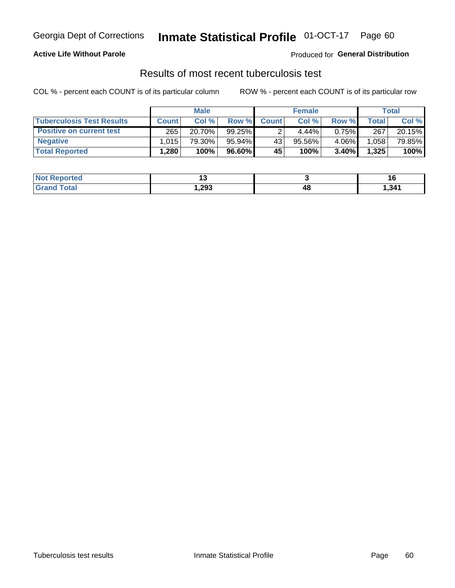## Georgia Dept of Corrections **Inmate Statistical Profile** 01-OCT-17 Page 60

#### **Active Life Without Parole**

Produced for **General Distribution**

### Results of most recent tuberculosis test

COL % - percent each COUNT is of its particular column ROW % - percent each COUNT is of its particular row

|                                  | <b>Male</b>  |         |           | <b>Female</b> |        |          | Total |        |
|----------------------------------|--------------|---------|-----------|---------------|--------|----------|-------|--------|
| <b>Tuberculosis Test Results</b> | <b>Count</b> | Col%    | Row %I    | <b>Count</b>  | Col%   | Row %    | Total | Col %  |
| <b>Positive on current test</b>  | 265          | 20.70%  | $99.25\%$ |               | 4.44%  | $0.75\%$ | 267   | 20.15% |
| <b>Negative</b>                  | 1.015        | 79.30%」 | 95.94%    | 43            | 95.56% | 4.06%    | 1,058 | 79.85% |
| <b>Total Reported</b>            | .280         | 100%    | $96.60\%$ | 45            | 100%   | 3.40%    | 1,325 | 100%   |

| <b>Not Reported</b> | . .    |    | <b>76</b> |
|---------------------|--------|----|-----------|
| <b>Grand Total</b>  | 293, ا | 48 | 341.ا     |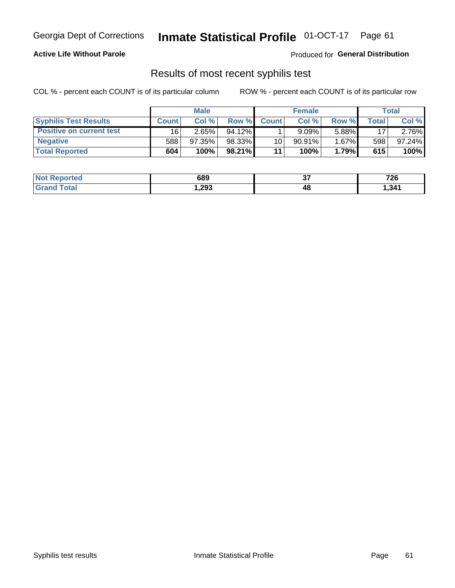## Georgia Dept of Corrections **Inmate Statistical Profile** 01-OCT-17 Page 61

#### **Active Life Without Parole**

Produced for **General Distribution**

### Results of most recent syphilis test

COL % - percent each COUNT is of its particular column ROW % - percent each COUNT is of its particular row

|                                 | <b>Male</b>  |           |           | <b>Female</b> |           |          | Total |        |
|---------------------------------|--------------|-----------|-----------|---------------|-----------|----------|-------|--------|
| <b>Syphilis Test Results</b>    | <b>Count</b> | Col%      | Row %     | <b>Count</b>  | Col %     | Row %I   | Total | Col %  |
| <b>Positive on current test</b> | 16           | 2.65%     | $94.12\%$ |               | 9.09%     | 5.88%    | 17    | 2.76%  |
| <b>Negative</b>                 | 588          | $97.35\%$ | 98.33%    | 10            | $90.91\%$ | $1.67\%$ | 598   | 97.24% |
| <b>Total Reported</b>           | 604          | $100\%$   | $98.21\%$ | 11            | 100%      | 1.79%    | 615   | 100%   |

| <b>Not Reported</b>          | 689    | ~-<br>ັ | <b>70C</b><br>. ZO |
|------------------------------|--------|---------|--------------------|
| <b>Total</b><br><b>Grand</b> | 293, ا | 48      | , 341              |